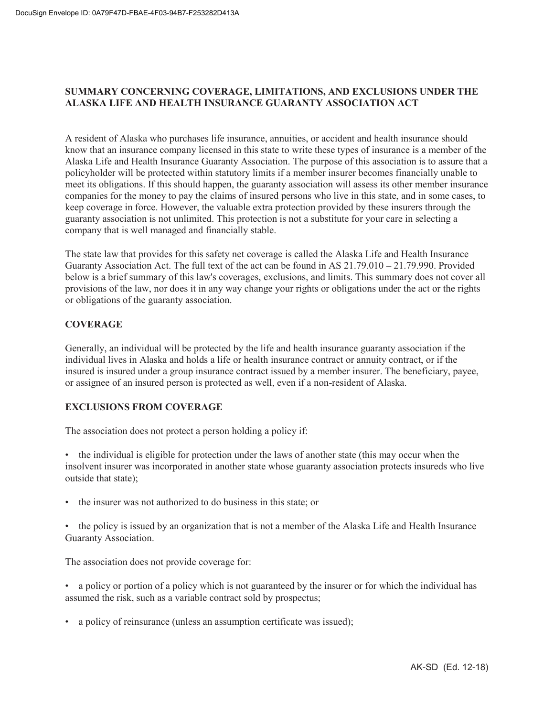# **SUMMARY CONCERNING COVERAGE, LIMITATIONS, AND EXCLUSIONS UNDER THE ALASKA LIFE AND HEALTH INSURANCE GUARANTY ASSOCIATION ACT**

A resident of Alaska who purchases life insurance, annuities, or accident and health insurance should know that an insurance company licensed in this state to write these types of insurance is a member of the Alaska Life and Health Insurance Guaranty Association. The purpose of this association is to assure that a policyholder will be protected within statutory limits if a member insurer becomes financially unable to meet its obligations. If this should happen, the guaranty association will assess its other member insurance companies for the money to pay the claims of insured persons who live in this state, and in some cases, to keep coverage in force. However, the valuable extra protection provided by these insurers through the guaranty association is not unlimited. This protection is not a substitute for your care in selecting a company that is well managed and financially stable.

The state law that provides for this safety net coverage is called the Alaska Life and Health Insurance Guaranty Association Act. The full text of the act can be found in AS 21.79.010 – 21.79.990. Provided below is a brief summary of this law's coverages, exclusions, and limits. This summary does not cover all provisions of the law, nor does it in any way change your rights or obligations under the act or the rights or obligations of the guaranty association.

# **COVERAGE**

Generally, an individual will be protected by the life and health insurance guaranty association if the individual lives in Alaska and holds a life or health insurance contract or annuity contract, or if the insured is insured under a group insurance contract issued by a member insurer. The beneficiary, payee, or assignee of an insured person is protected as well, even if a non-resident of Alaska.

# **EXCLUSIONS FROM COVERAGE**

The association does not protect a person holding a policy if:

• the individual is eligible for protection under the laws of another state (this may occur when the insolvent insurer was incorporated in another state whose guaranty association protects insureds who live outside that state);

• the insurer was not authorized to do business in this state; or

• the policy is issued by an organization that is not a member of the Alaska Life and Health Insurance Guaranty Association.

The association does not provide coverage for:

- a policy or portion of a policy which is not guaranteed by the insurer or for which the individual has assumed the risk, such as a variable contract sold by prospectus;
- a policy of reinsurance (unless an assumption certificate was issued);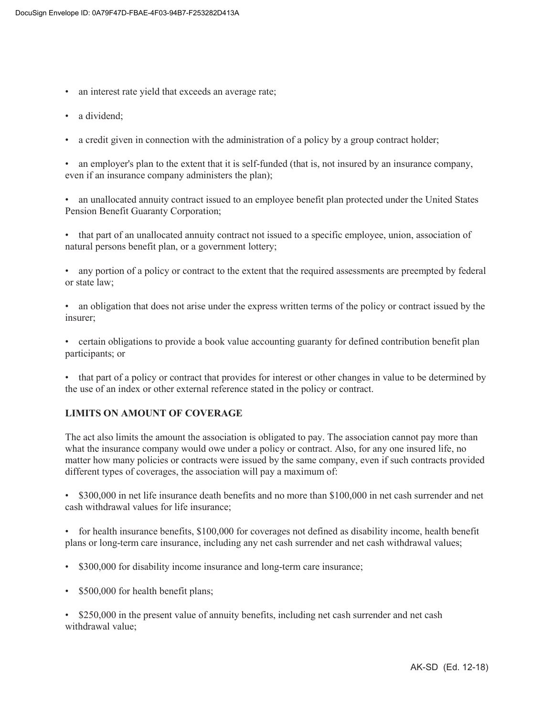- an interest rate yield that exceeds an average rate;
- a dividend;
- a credit given in connection with the administration of a policy by a group contract holder;

• an employer's plan to the extent that it is self-funded (that is, not insured by an insurance company, even if an insurance company administers the plan);

• an unallocated annuity contract issued to an employee benefit plan protected under the United States Pension Benefit Guaranty Corporation;

• that part of an unallocated annuity contract not issued to a specific employee, union, association of natural persons benefit plan, or a government lottery;

• any portion of a policy or contract to the extent that the required assessments are preempted by federal or state law;

• an obligation that does not arise under the express written terms of the policy or contract issued by the insurer;

• certain obligations to provide a book value accounting guaranty for defined contribution benefit plan participants; or

• that part of a policy or contract that provides for interest or other changes in value to be determined by the use of an index or other external reference stated in the policy or contract.

# **LIMITS ON AMOUNT OF COVERAGE**

The act also limits the amount the association is obligated to pay. The association cannot pay more than what the insurance company would owe under a policy or contract. Also, for any one insured life, no matter how many policies or contracts were issued by the same company, even if such contracts provided different types of coverages, the association will pay a maximum of:

• \$300,000 in net life insurance death benefits and no more than \$100,000 in net cash surrender and net cash withdrawal values for life insurance;

• for health insurance benefits, \$100,000 for coverages not defined as disability income, health benefit plans or long-term care insurance, including any net cash surrender and net cash withdrawal values;

- \$300,000 for disability income insurance and long-term care insurance;
- \$500,000 for health benefit plans;

• \$250,000 in the present value of annuity benefits, including net cash surrender and net cash withdrawal value;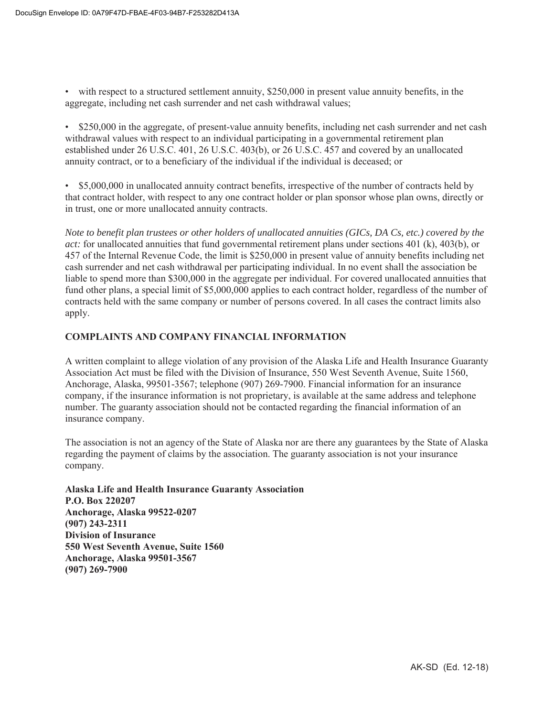- with respect to a structured settlement annuity, \$250,000 in present value annuity benefits, in the aggregate, including net cash surrender and net cash withdrawal values;
- \$250,000 in the aggregate, of present-value annuity benefits, including net cash surrender and net cash withdrawal values with respect to an individual participating in a governmental retirement plan established under 26 U.S.C. 401, 26 U.S.C. 403(b), or 26 U.S.C. 457 and covered by an unallocated annuity contract, or to a beneficiary of the individual if the individual is deceased; or
- \$5,000,000 in unallocated annuity contract benefits, irrespective of the number of contracts held by that contract holder, with respect to any one contract holder or plan sponsor whose plan owns, directly or in trust, one or more unallocated annuity contracts.

*Note to benefit plan trustees or other holders of unallocated annuities (GICs, DA Cs, etc.) covered by the act:* for unallocated annuities that fund governmental retirement plans under sections 401 (k), 403(b), or 457 of the Internal Revenue Code, the limit is \$250,000 in present value of annuity benefits including net cash surrender and net cash withdrawal per participating individual. In no event shall the association be liable to spend more than \$300,000 in the aggregate per individual. For covered unallocated annuities that fund other plans, a special limit of \$5,000,000 applies to each contract holder, regardless of the number of contracts held with the same company or number of persons covered. In all cases the contract limits also apply.

# **COMPLAINTS AND COMPANY FINANCIAL INFORMATION**

A written complaint to allege violation of any provision of the Alaska Life and Health Insurance Guaranty Association Act must be filed with the Division of Insurance, 550 West Seventh Avenue, Suite 1560, Anchorage, Alaska, 99501-3567; telephone (907) 269-7900. Financial information for an insurance company, if the insurance information is not proprietary, is available at the same address and telephone number. The guaranty association should not be contacted regarding the financial information of an insurance company.

The association is not an agency of the State of Alaska nor are there any guarantees by the State of Alaska regarding the payment of claims by the association. The guaranty association is not your insurance company.

**Alaska Life and Health Insurance Guaranty Association P.O. Box 220207 Anchorage, Alaska 99522-0207 (907) 243-2311 Division of Insurance 550 West Seventh Avenue, Suite 1560 Anchorage, Alaska 99501-3567 (907) 269-7900**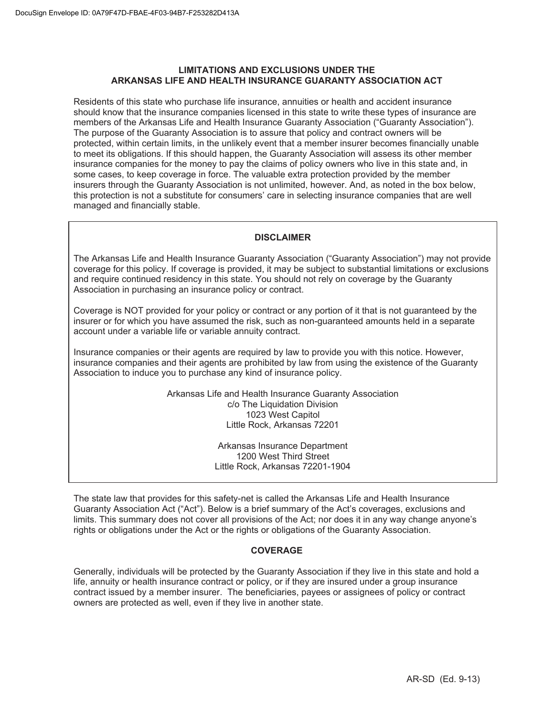## **LIMITATIONS AND EXCLUSIONS UNDER THE ARKANSAS LIFE AND HEALTH INSURANCE GUARANTY ASSOCIATION ACT**

Residents of this state who purchase life insurance, annuities or health and accident insurance should know that the insurance companies licensed in this state to write these types of insurance are members of the Arkansas Life and Health Insurance Guaranty Association ("Guaranty Association"). The purpose of the Guaranty Association is to assure that policy and contract owners will be protected, within certain limits, in the unlikely event that a member insurer becomes financially unable to meet its obligations. If this should happen, the Guaranty Association will assess its other member insurance companies for the money to pay the claims of policy owners who live in this state and, in some cases, to keep coverage in force. The valuable extra protection provided by the member insurers through the Guaranty Association is not unlimited, however. And, as noted in the box below, this protection is not a substitute for consumers' care in selecting insurance companies that are well managed and financially stable.

# **DISCLAIMER**

The Arkansas Life and Health Insurance Guaranty Association ("Guaranty Association") may not provide coverage for this policy. If coverage is provided, it may be subject to substantial limitations or exclusions and require continued residency in this state. You should not rely on coverage by the Guaranty Association in purchasing an insurance policy or contract.

Coverage is NOT provided for your policy or contract or any portion of it that is not guaranteed by the insurer or for which you have assumed the risk, such as non-guaranteed amounts held in a separate account under a variable life or variable annuity contract.

Insurance companies or their agents are required by law to provide you with this notice. However, insurance companies and their agents are prohibited by law from using the existence of the Guaranty Association to induce you to purchase any kind of insurance policy.

> Arkansas Life and Health Insurance Guaranty Association c/o The Liquidation Division 1023 West Capitol Little Rock, Arkansas 72201

> > Arkansas Insurance Department 1200 West Third Street Little Rock, Arkansas 72201-1904

The state law that provides for this safety-net is called the Arkansas Life and Health Insurance Guaranty Association Act ("Act"). Below is a brief summary of the Act's coverages, exclusions and limits. This summary does not cover all provisions of the Act; nor does it in any way change anyone's rights or obligations under the Act or the rights or obligations of the Guaranty Association.

# **COVERAGE**

Generally, individuals will be protected by the Guaranty Association if they live in this state and hold a life, annuity or health insurance contract or policy, or if they are insured under a group insurance contract issued by a member insurer. The beneficiaries, payees or assignees of policy or contract owners are protected as well, even if they live in another state.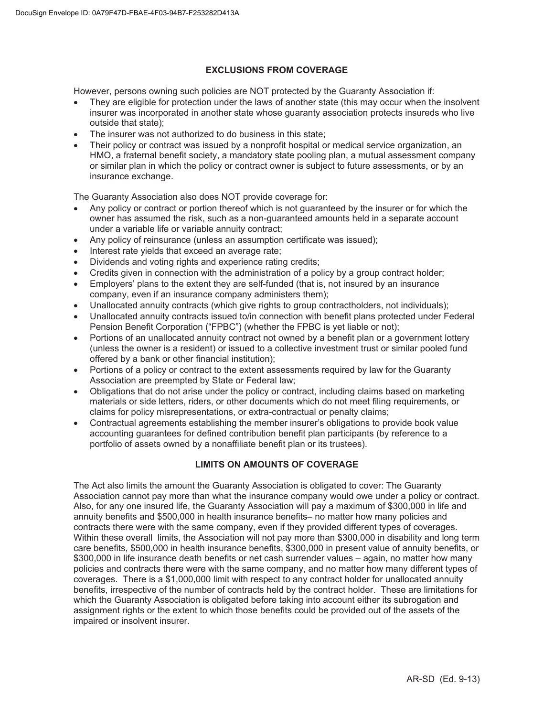## **EXCLUSIONS FROM COVERAGE**

However, persons owning such policies are NOT protected by the Guaranty Association if:

- They are eligible for protection under the laws of another state (this may occur when the insolvent insurer was incorporated in another state whose guaranty association protects insureds who live outside that state);
- The insurer was not authorized to do business in this state;
- Their policy or contract was issued by a nonprofit hospital or medical service organization, an HMO, a fraternal benefit society, a mandatory state pooling plan, a mutual assessment company or similar plan in which the policy or contract owner is subject to future assessments, or by an insurance exchange.

The Guaranty Association also does NOT provide coverage for:

- Any policy or contract or portion thereof which is not guaranteed by the insurer or for which the owner has assumed the risk, such as a non-guaranteed amounts held in a separate account under a variable life or variable annuity contract;
- Any policy of reinsurance (unless an assumption certificate was issued);
- Interest rate vields that exceed an average rate;
- Dividends and voting rights and experience rating credits;
- Credits given in connection with the administration of a policy by a group contract holder;
- Employers' plans to the extent they are self-funded (that is, not insured by an insurance company, even if an insurance company administers them);
- Unallocated annuity contracts (which give rights to group contractholders, not individuals);
- Unallocated annuity contracts issued to/in connection with benefit plans protected under Federal Pension Benefit Corporation ("FPBC") (whether the FPBC is yet liable or not);
- Portions of an unallocated annuity contract not owned by a benefit plan or a government lottery (unless the owner is a resident) or issued to a collective investment trust or similar pooled fund offered by a bank or other financial institution);
- Portions of a policy or contract to the extent assessments required by law for the Guaranty Association are preempted by State or Federal law;
- Obligations that do not arise under the policy or contract, including claims based on marketing materials or side letters, riders, or other documents which do not meet filing requirements, or claims for policy misrepresentations, or extra-contractual or penalty claims;
- Contractual agreements establishing the member insurer's obligations to provide book value accounting guarantees for defined contribution benefit plan participants (by reference to a portfolio of assets owned by a nonaffiliate benefit plan or its trustees).

# **LIMITS ON AMOUNTS OF COVERAGE**

The Act also limits the amount the Guaranty Association is obligated to cover: The Guaranty Association cannot pay more than what the insurance company would owe under a policy or contract. Also, for any one insured life, the Guaranty Association will pay a maximum of \$300,000 in life and annuity benefits and \$500,000 in health insurance benefits– no matter how many policies and contracts there were with the same company, even if they provided different types of coverages. Within these overall limits, the Association will not pay more than \$300,000 in disability and long term care benefits, \$500,000 in health insurance benefits, \$300,000 in present value of annuity benefits, or \$300,000 in life insurance death benefits or net cash surrender values – again, no matter how many policies and contracts there were with the same company, and no matter how many different types of coverages. There is a \$1,000,000 limit with respect to any contract holder for unallocated annuity benefits, irrespective of the number of contracts held by the contract holder. These are limitations for which the Guaranty Association is obligated before taking into account either its subrogation and assignment rights or the extent to which those benefits could be provided out of the assets of the impaired or insolvent insurer.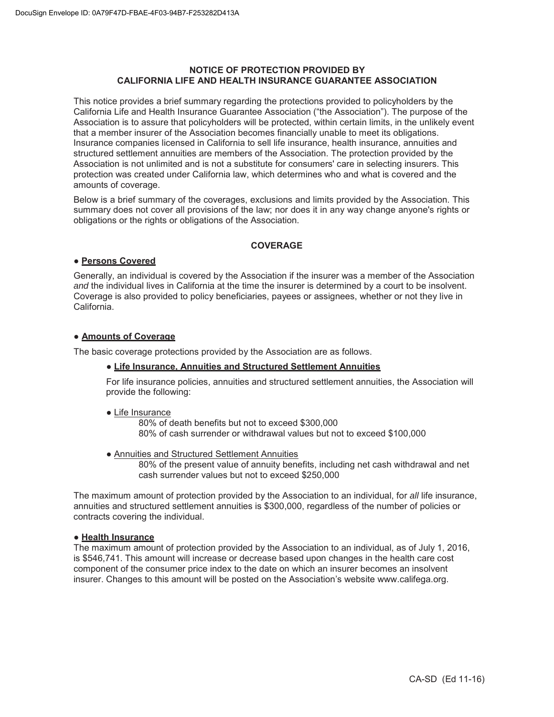#### **NOTICE OF PROTECTION PROVIDED BY CALIFORNIA LIFE AND HEALTH INSURANCE GUARANTEE ASSOCIATION**

This notice provides a brief summary regarding the protections provided to policyholders by the California Life and Health Insurance Guarantee Association ("the Association"). The purpose of the Association is to assure that policyholders will be protected, within certain limits, in the unlikely event that a member insurer of the Association becomes financially unable to meet its obligations. Insurance companies licensed in California to sell life insurance, health insurance, annuities and structured settlement annuities are members of the Association. The protection provided by the Association is not unlimited and is not a substitute for consumers' care in selecting insurers. This protection was created under California law, which determines who and what is covered and the amounts of coverage.

Below is a brief summary of the coverages, exclusions and limits provided by the Association. This summary does not cover all provisions of the law; nor does it in any way change anyone's rights or obligations or the rights or obligations of the Association.

#### **COVERAGE**

## **ƔPersons Covered**

Generally, an individual is covered by the Association if the insurer was a member of the Association *and* the individual lives in California at the time the insurer is determined by a court to be insolvent. Coverage is also provided to policy beneficiaries, payees or assignees, whether or not they live in California.

## **ƔAmounts of Coverage**

The basic coverage protections provided by the Association are as follows.

#### **ƔLife Insurance, Annuities and Structured Settlement Annuities**

For life insurance policies, annuities and structured settlement annuities, the Association will provide the following:

#### **Ɣ**Life Insurance

80% of death benefits but not to exceed \$300,000 80% of cash surrender or withdrawal values but not to exceed \$100,000

**Ɣ**Annuities and Structured Settlement Annuities

80% of the present value of annuity benefits, including net cash withdrawal and net cash surrender values but not to exceed \$250,000

The maximum amount of protection provided by the Association to an individual, for *all* life insurance, annuities and structured settlement annuities is \$300,000, regardless of the number of policies or contracts covering the individual.

#### **ƔHealth Insurance**

The maximum amount of protection provided by the Association to an individual, as of July 1, 2016, is \$546,741. This amount will increase or decrease based upon changes in the health care cost component of the consumer price index to the date on which an insurer becomes an insolvent insurer. Changes to this amount will be posted on the Association's website www.califega.org.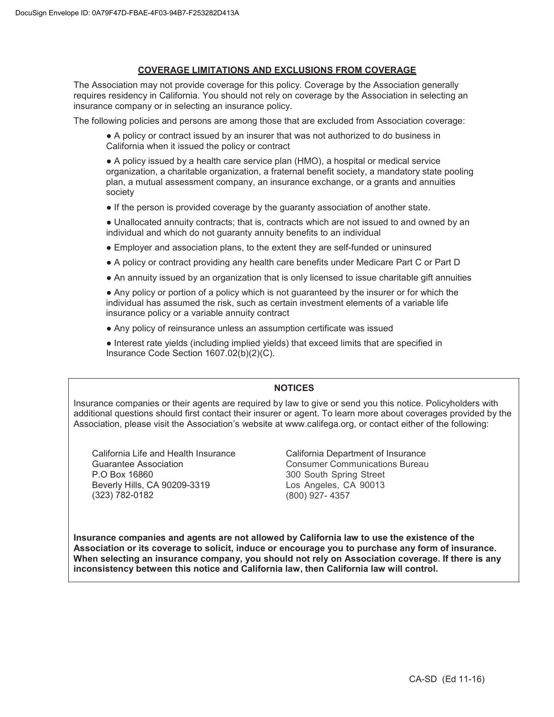# **COVERAGE LIMITATIONS AND EXCLUSIONS FROM COVERAGE**

The Association may not provide coverage for this policy. Coverage by the Association generally requires residency in California. You should not rely on coverage by the Association in selecting an insurance company or in selecting an insurance policy.

The following policies and persons are among those that are excluded from Association coverage:

• A policy or contract issued by an insurer that was not authorized to do business in California when it issued the policy or contract

• A policy issued by a health care service plan (HMO), a hospital or medical service organization, a charitable organization, a fraternal benefit society, a mandatory state pooling plan, a mutual assessment company, an insurance exchange, or a grants and annuities society

• If the person is provided coverage by the guaranty association of another state.

• Unallocated annuity contracts; that is, contracts which are not issued to and owned by an individual and which do not guaranty annuity benefits to an individual

- Employer and association plans, to the extent they are self-funded or uninsured
- A policy or contract providing any health care benefits under Medicare Part C or Part D
- An annuity issued by an organization that is only licensed to issue charitable gift annuities

• Any policy or portion of a policy which is not guaranteed by the insurer or for which the individual has assumed the risk, such as certain investment elements of a variable life insurance policy or a variable annuity contract

• Any policy of reinsurance unless an assumption certificate was issued

 $\bullet$  Interest rate yields (including implied yields) that exceed limits that are specified in Insurance Code Section 1607.02(b)(2)(C).

# **NOTICES**

Insurance companies or their agents are required by law to give or send you this notice. Policyholders with additional questions should first contact their insurer or agent. To learn more about coverages provided by the Association, please visit the Association's website at www.califega.org, or contact either of the following:

California Life and Health Insurance Guarantee Association P.O Box 16860 Beverly Hills, CA 90209-3319 (323) 782-0182

California Department of Insurance Consumer Communications Bureau 300 South Spring Street Los Angeles, CA 90013 (800) 927- 4357

**Insurance companies and agents are not allowed by California law to use the existence of the Association or its coverage to solicit, induce or encourage you to purchase any form of insurance. When selecting an insurance company, you should not rely on Association coverage. If there is any inconsistency between this notice and California law, then California law will control.**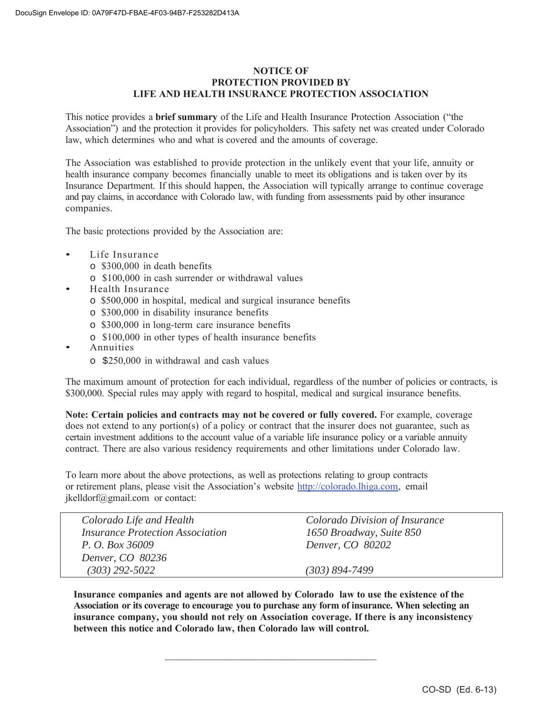# **NOTICE OF PROTECTION PROVIDED BY LIFE AND HEALTH INSURANCE PROTECTION ASSOCIATION**

This notice provides a **brief summary** of the Life and Health Insurance Protection Association ("the Association") and the protection it provides for policyholders. This safety net was created under Colorado law, which determines who and what is covered and the amounts of coverage.

The Association was established to provide protection in the unlikely event that your life, annuity or health insurance company becomes financially unable to meet its obligations and is taken over by its Insurance Department. If this should happen, the Association will typically arrange to continue coverage and pay claims, in accordance with Colorado law, with funding from assessments paid by other insurance companies.

The basic protections provided by the Association are:

- Life Insurance
	- o \$300,000 in death benefits
	- o \$100,000 in cash surrender or withdrawal values
- Health Insurance
	- o \$500,000 in hospital, medical and surgical insurance benefits
	- o \$300,000 in disability insurance benefits
	- o \$300,000 in long-term care insurance benefits
	- o \$100,000 in other types of health insurance benefits
- Annuities
	- o \$250,000 in withdrawal and cash values

The maximum amount of protection for each individual, regardless of the number of policies or contracts, is \$300,000. Special rules may apply with regard to hospital, medical and surgical insurance benefits.

**Note: Certain policies and contracts may not be covered or fully covered.** For example, coverage does not extend to any portion(s) of a policy or contract that the insurer does not guarantee, such as certain investment additions to the account value of a variable life insurance policy or a variable annuity contract. There are also various residency requirements and other limitations under Colorado law.

To learn more about the above protections, as well as protections relating to group contracts or retirement plans, please visit the Association's website http://colorado.lhiga.com, email jkelldorf@gmail.com or contact:

| Colorado Life and Health                       | Colorado Division of Insurance |
|------------------------------------------------|--------------------------------|
| <i><b>Insurance Protection Association</b></i> | 1650 Broadway, Suite 850       |
| P. O. Box 36009                                | Denver, CO 80202               |
| Denver, CO 80236                               |                                |
| $(303)$ 292-5022                               | $(303) 894 - 7499$             |

**Insurance companies and agents are not allowed by Colorado law to use the existence of the Association or its coverage to encourage you to purchase any form of insurance. When selecting an insurance company, you should not rely on Association coverage. If there is any inconsistency between this notice and Colorado law, then Colorado law will control.**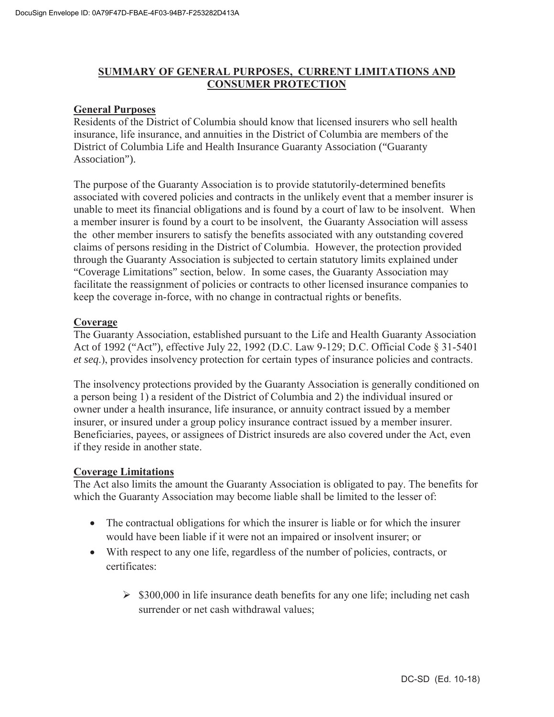# **SUMMARY OF GENERAL PURPOSES, CURRENT LIMITATIONS AND CONSUMER PROTECTION**

# **General Purposes**

Residents of the District of Columbia should know that licensed insurers who sell health insurance, life insurance, and annuities in the District of Columbia are members of the District of Columbia Life and Health Insurance Guaranty Association ("Guaranty Association").

The purpose of the Guaranty Association is to provide statutorily-determined benefits associated with covered policies and contracts in the unlikely event that a member insurer is unable to meet its financial obligations and is found by a court of law to be insolvent. When a member insurer is found by a court to be insolvent, the Guaranty Association will assess the other member insurers to satisfy the benefits associated with any outstanding covered claims of persons residing in the District of Columbia. However, the protection provided through the Guaranty Association is subjected to certain statutory limits explained under "Coverage Limitations" section, below. In some cases, the Guaranty Association may facilitate the reassignment of policies or contracts to other licensed insurance companies to keep the coverage in-force, with no change in contractual rights or benefits.

# **Coverage**

The Guaranty Association, established pursuant to the Life and Health Guaranty Association Act of 1992 ("Act"), effective July 22, 1992 (D.C. Law 9-129; D.C. Official Code § 31-5401 *et seq*.), provides insolvency protection for certain types of insurance policies and contracts.

The insolvency protections provided by the Guaranty Association is generally conditioned on a person being 1) a resident of the District of Columbia and 2) the individual insured or owner under a health insurance, life insurance, or annuity contract issued by a member insurer, or insured under a group policy insurance contract issued by a member insurer. Beneficiaries, payees, or assignees of District insureds are also covered under the Act, even if they reside in another state.

# **Coverage Limitations**

The Act also limits the amount the Guaranty Association is obligated to pay. The benefits for which the Guaranty Association may become liable shall be limited to the lesser of:

- The contractual obligations for which the insurer is liable or for which the insurer would have been liable if it were not an impaired or insolvent insurer; or
- With respect to any one life, regardless of the number of policies, contracts, or certificates:
	- $\geq$  \$300,000 in life insurance death benefits for any one life; including net cash surrender or net cash withdrawal values;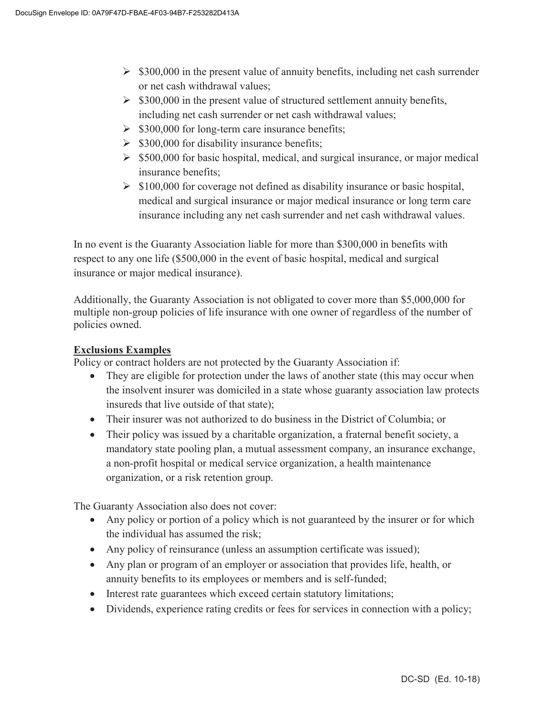- $\geq$  \$300,000 in the present value of annuity benefits, including net cash surrender or net cash withdrawal values;
- $\triangleright$  \$300,000 in the present value of structured settlement annuity benefits, including net cash surrender or net cash withdrawal values;
- $\geq$  \$300,000 for long-term care insurance benefits;
- $\triangleright$  \$300,000 for disability insurance benefits;
- $\geq$  \$500,000 for basic hospital, medical, and surgical insurance, or major medical insurance benefits;
- $\triangleright$  \$100,000 for coverage not defined as disability insurance or basic hospital, medical and surgical insurance or major medical insurance or long term care insurance including any net cash surrender and net cash withdrawal values.

In no event is the Guaranty Association liable for more than \$300,000 in benefits with respect to any one life (\$500,000 in the event of basic hospital, medical and surgical insurance or major medical insurance).

Additionally, the Guaranty Association is not obligated to cover more than \$5,000,000 for multiple non-group policies of life insurance with one owner of regardless of the number of policies owned.

# **Exclusions Examples**

Policy or contract holders are not protected by the Guaranty Association if:

- They are eligible for protection under the laws of another state (this may occur when the insolvent insurer was domiciled in a state whose guaranty association law protects insureds that live outside of that state);
- Their insurer was not authorized to do business in the District of Columbia; or
- $\bullet$  Their policy was issued by a charitable organization, a fraternal benefit society, a mandatory state pooling plan, a mutual assessment company, an insurance exchange, a non-profit hospital or medical service organization, a health maintenance organization, or a risk retention group.

The Guaranty Association also does not cover:

- Any policy or portion of a policy which is not guaranteed by the insurer or for which the individual has assumed the risk;
- Any policy of reinsurance (unless an assumption certificate was issued);
- Any plan or program of an employer or association that provides life, health, or annuity benefits to its employees or members and is self-funded;
- Interest rate guarantees which exceed certain statutory limitations;
- $\bullet$  Dividends, experience rating credits or fees for services in connection with a policy;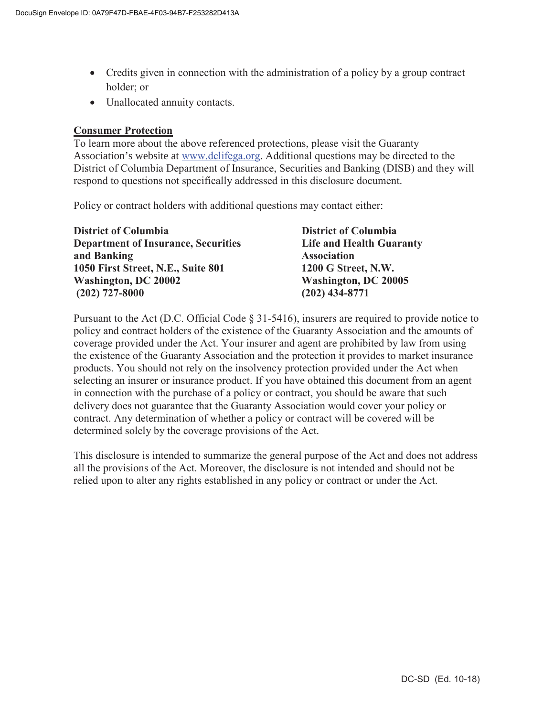- Credits given in connection with the administration of a policy by a group contract holder; or
- Unallocated annuity contacts.

# **Consumer Protection**

To learn more about the above referenced protections, please visit the Guaranty Association's website at www.dclifega.org. Additional questions may be directed to the District of Columbia Department of Insurance, Securities and Banking (DISB) and they will respond to questions not specifically addressed in this disclosure document.

Policy or contract holders with additional questions may contact either:

| <b>District of Columbia</b>                | <b>District of Columbia</b>     |
|--------------------------------------------|---------------------------------|
| <b>Department of Insurance, Securities</b> | <b>Life and Health Guaranty</b> |
| and Banking                                | <b>Association</b>              |
| 1050 First Street, N.E., Suite 801         | 1200 G Street, N.W.             |
| Washington, DC 20002                       | Washington, DC 20005            |
| $(202)$ 727-8000                           | $(202)$ 434-8771                |

Pursuant to the Act (D.C. Official Code § 31-5416), insurers are required to provide notice to policy and contract holders of the existence of the Guaranty Association and the amounts of coverage provided under the Act. Your insurer and agent are prohibited by law from using the existence of the Guaranty Association and the protection it provides to market insurance products. You should not rely on the insolvency protection provided under the Act when selecting an insurer or insurance product. If you have obtained this document from an agent in connection with the purchase of a policy or contract, you should be aware that such delivery does not guarantee that the Guaranty Association would cover your policy or contract. Any determination of whether a policy or contract will be covered will be determined solely by the coverage provisions of the Act.

This disclosure is intended to summarize the general purpose of the Act and does not address all the provisions of the Act. Moreover, the disclosure is not intended and should not be relied upon to alter any rights established in any policy or contract or under the Act.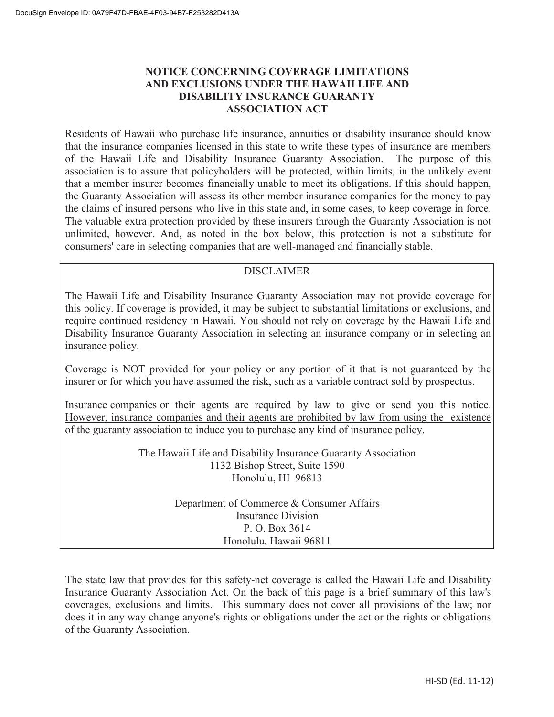# **NOTICE CONCERNING COVERAGE LIMITATIONS AND EXCLUSIONS UNDER THE HAWAII LIFE AND DISABILITY INSURANCE GUARANTY ASSOCIATION ACT**

Residents of Hawaii who purchase life insurance, annuities or disability insurance should know that the insurance companies licensed in this state to write these types of insurance are members of the Hawaii Life and Disability Insurance Guaranty Association. The purpose of this association is to assure that policyholders will be protected, within limits, in the unlikely event that a member insurer becomes financially unable to meet its obligations. If this should happen, the Guaranty Association will assess its other member insurance companies for the money to pay the claims of insured persons who live in this state and, in some cases, to keep coverage in force. The valuable extra protection provided by these insurers through the Guaranty Association is not unlimited, however. And, as noted in the box below, this protection is not a substitute for consumers' care in selecting companies that are well-managed and financially stable.

# DISCLAIMER

The Hawaii Life and Disability Insurance Guaranty Association may not provide coverage for this policy. If coverage is provided, it may be subject to substantial limitations or exclusions, and require continued residency in Hawaii. You should not rely on coverage by the Hawaii Life and Disability Insurance Guaranty Association in selecting an insurance company or in selecting an insurance policy.

Coverage is NOT provided for your policy or any portion of it that is not guaranteed by the insurer or for which you have assumed the risk, such as a variable contract sold by prospectus.

Insurance companies or their agents are required by law to give or send you this notice. However, insurance companies and their agents are prohibited by law from using the existence of the guaranty association to induce you to purchase any kind of insurance policy.

> The Hawaii Life and Disability Insurance Guaranty Association 1132 Bishop Street, Suite 1590 Honolulu, HI 96813

> > Department of Commerce & Consumer Affairs Insurance Division P. O. Box 3614 Honolulu, Hawaii 96811

The state law that provides for this safety-net coverage is called the Hawaii Life and Disability Insurance Guaranty Association Act. On the back of this page is a brief summary of this law's coverages, exclusions and limits. This summary does not cover all provisions of the law; nor does it in any way change anyone's rights or obligations under the act or the rights or obligations of the Guaranty Association.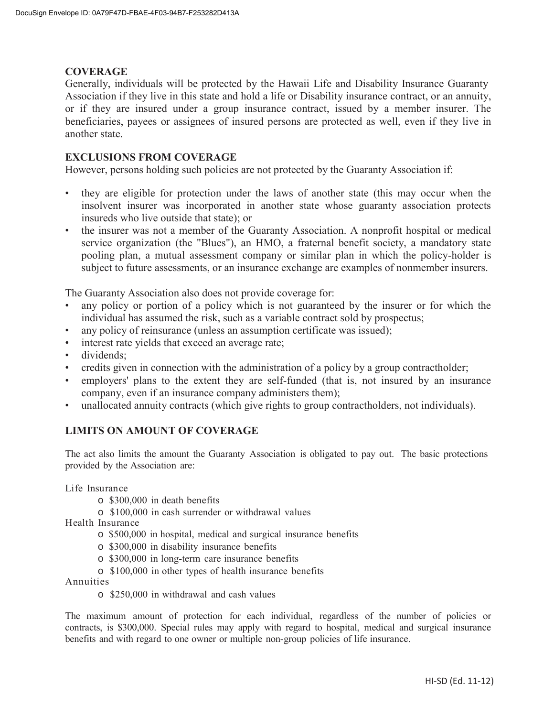# **COVERAGE**

Generally, individuals will be protected by the Hawaii Life and Disability Insurance Guaranty Association if they live in this state and hold a life or Disability insurance contract, or an annuity, or if they are insured under a group insurance contract, issued by a member insurer. The beneficiaries, payees or assignees of insured persons are protected as well, even if they live in another state.

# **EXCLUSIONS FROM COVERAGE**

However, persons holding such policies are not protected by the Guaranty Association if:

- they are eligible for protection under the laws of another state (this may occur when the insolvent insurer was incorporated in another state whose guaranty association protects insureds who live outside that state); or
- the insurer was not a member of the Guaranty Association. A nonprofit hospital or medical service organization (the "Blues"), an HMO, a fraternal benefit society, a mandatory state pooling plan, a mutual assessment company or similar plan in which the policy-holder is subject to future assessments, or an insurance exchange are examples of nonmember insurers.

The Guaranty Association also does not provide coverage for:

- any policy or portion of a policy which is not guaranteed by the insurer or for which the individual has assumed the risk, such as a variable contract sold by prospectus;
- any policy of reinsurance (unless an assumption certificate was issued);
- interest rate yields that exceed an average rate;
- dividends;
- credits given in connection with the administration of a policy by a group contractholder;
- employers' plans to the extent they are self-funded (that is, not insured by an insurance company, even if an insurance company administers them);
- unallocated annuity contracts (which give rights to group contractholders, not individuals).

# **LIMITS ON AMOUNT OF COVERAGE**

The act also limits the amount the Guaranty Association is obligated to pay out. The basic protections provided by the Association are:

Life Insurance

- o \$300,000 in death benefits
- o \$100,000 in cash surrender or withdrawal values

Health Insurance

- o \$500,000 in hospital, medical and surgical insurance benefits
- o \$300,000 in disability insurance benefits
- o \$300,000 in long-term care insurance benefits
- o \$100,000 in other types of health insurance benefits

Annuities

o \$250,000 in withdrawal and cash values

The maximum amount of protection for each individual, regardless of the number of policies or contracts, is \$300,000. Special rules may apply with regard to hospital, medical and surgical insurance benefits and with regard to one owner or multiple non-group policies of life insurance.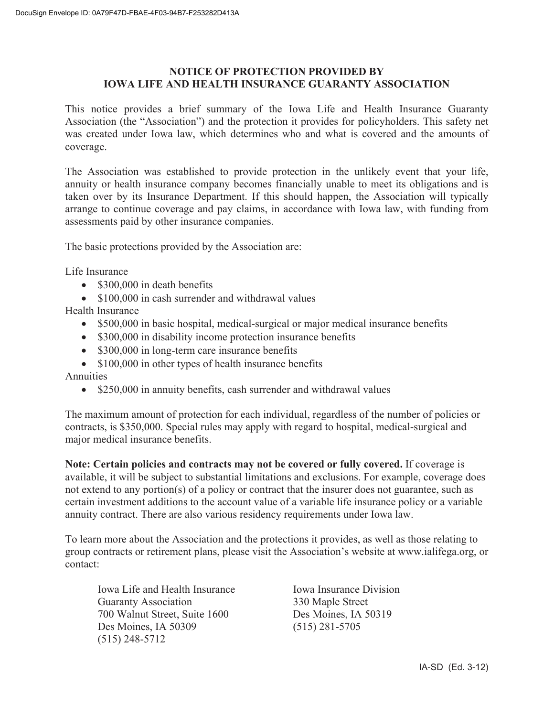# **NOTICE OF PROTECTION PROVIDED BY IOWA LIFE AND HEALTH INSURANCE GUARANTY ASSOCIATION**

This notice provides a brief summary of the Iowa Life and Health Insurance Guaranty Association (the "Association") and the protection it provides for policyholders. This safety net was created under Iowa law, which determines who and what is covered and the amounts of coverage.

The Association was established to provide protection in the unlikely event that your life, annuity or health insurance company becomes financially unable to meet its obligations and is taken over by its Insurance Department. If this should happen, the Association will typically arrange to continue coverage and pay claims, in accordance with Iowa law, with funding from assessments paid by other insurance companies.

The basic protections provided by the Association are:

Life Insurance

- $\bullet$  \$300,000 in death benefits
- $\bullet$  \$100,000 in cash surrender and withdrawal values

Health Insurance

- $\bullet$  \$500,000 in basic hospital, medical-surgical or major medical insurance benefits
- \$300,000 in disability income protection insurance benefits
- $\bullet$  \$300,000 in long-term care insurance benefits
- $\bullet$  \$100,000 in other types of health insurance benefits

Annuities

 $\bullet$  \$250,000 in annuity benefits, cash surrender and withdrawal values

The maximum amount of protection for each individual, regardless of the number of policies or contracts, is \$350,000. Special rules may apply with regard to hospital, medical-surgical and major medical insurance benefits.

**Note: Certain policies and contracts may not be covered or fully covered.** If coverage is available, it will be subject to substantial limitations and exclusions. For example, coverage does not extend to any portion(s) of a policy or contract that the insurer does not guarantee, such as certain investment additions to the account value of a variable life insurance policy or a variable annuity contract. There are also various residency requirements under Iowa law.

To learn more about the Association and the protections it provides, as well as those relating to group contracts or retirement plans, please visit the Association's website at www.ialifega.org, or contact:

Iowa Life and Health Insurance Iowa Insurance Division Guaranty Association 330 Maple Street 700 Walnut Street, Suite 1600 Des Moines, IA 50319 Des Moines, IA 50309 (515) 281-5705 (515) 248-5712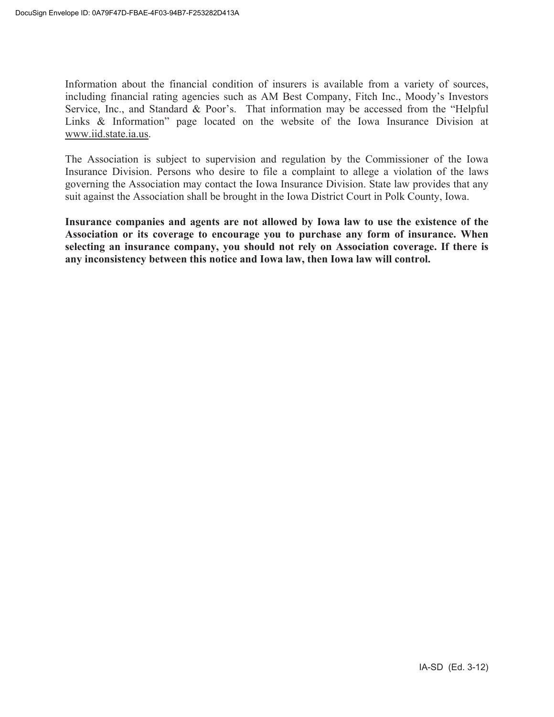Information about the financial condition of insurers is available from a variety of sources, including financial rating agencies such as AM Best Company, Fitch Inc., Moody's Investors Service, Inc., and Standard & Poor's. That information may be accessed from the "Helpful Links & Information" page located on the website of the Iowa Insurance Division at www.iid.state.ia.us.

The Association is subject to supervision and regulation by the Commissioner of the Iowa Insurance Division. Persons who desire to file a complaint to allege a violation of the laws governing the Association may contact the Iowa Insurance Division. State law provides that any suit against the Association shall be brought in the Iowa District Court in Polk County, Iowa.

**Insurance companies and agents are not allowed by Iowa law to use the existence of the Association or its coverage to encourage you to purchase any form of insurance. When selecting an insurance company, you should not rely on Association coverage. If there is any inconsistency between this notice and Iowa law, then Iowa law will control.**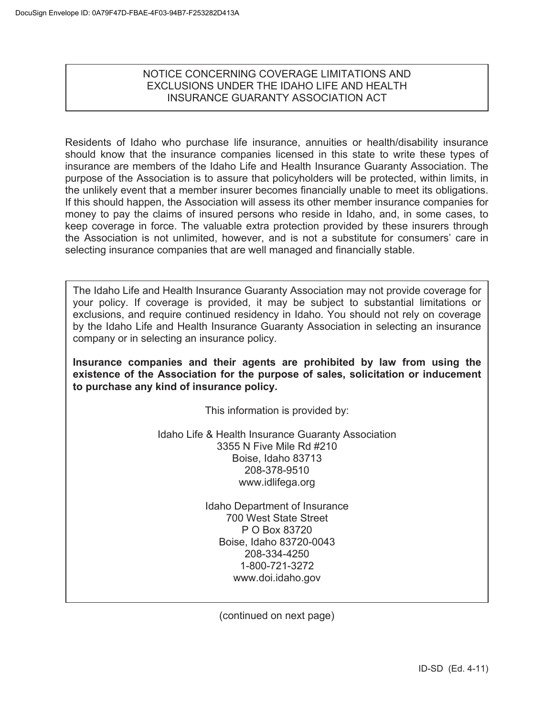# NOTICE CONCERNING COVERAGE LIMITATIONS AND EXCLUSIONS UNDER THE IDAHO LIFE AND HEALTH INSURANCE GUARANTY ASSOCIATION ACT

Residents of Idaho who purchase life insurance, annuities or health/disability insurance should know that the insurance companies licensed in this state to write these types of insurance are members of the Idaho Life and Health Insurance Guaranty Association. The purpose of the Association is to assure that policyholders will be protected, within limits, in the unlikely event that a member insurer becomes financially unable to meet its obligations. If this should happen, the Association will assess its other member insurance companies for money to pay the claims of insured persons who reside in Idaho, and, in some cases, to keep coverage in force. The valuable extra protection provided by these insurers through the Association is not unlimited, however, and is not a substitute for consumers' care in selecting insurance companies that are well managed and financially stable.

The Idaho Life and Health Insurance Guaranty Association may not provide coverage for your policy. If coverage is provided, it may be subject to substantial limitations or exclusions, and require continued residency in Idaho. You should not rely on coverage by the Idaho Life and Health Insurance Guaranty Association in selecting an insurance company or in selecting an insurance policy.

**Insurance companies and their agents are prohibited by law from using the existence of the Association for the purpose of sales, solicitation or inducement to purchase any kind of insurance policy.** 

This information is provided by:

Idaho Life & Health Insurance Guaranty Association 3355 N Five Mile Rd #210 Boise, Idaho 83713 208-378-9510 www.idlifega.org

> Idaho Department of Insurance 700 West State Street P O Box 83720 Boise, Idaho 83720-0043 208-334-4250 1-800-721-3272 www.doi.idaho.gov

(continued on next page)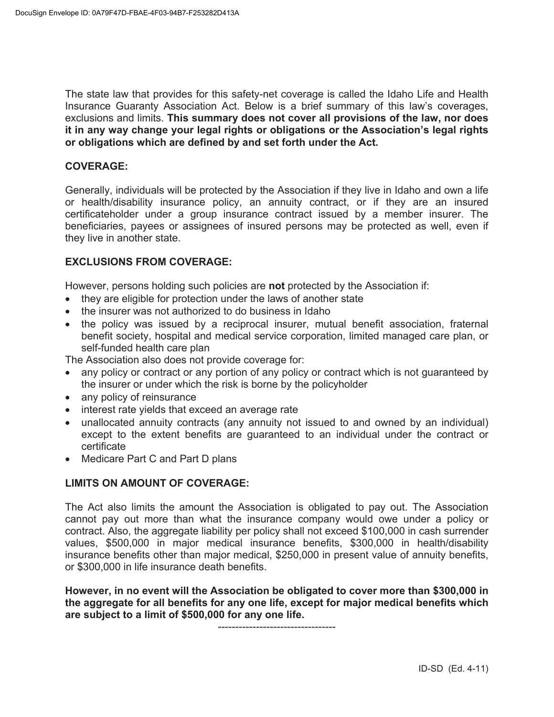The state law that provides for this safety-net coverage is called the Idaho Life and Health Insurance Guaranty Association Act. Below is a brief summary of this law's coverages, exclusions and limits. **This summary does not cover all provisions of the law, nor does it in any way change your legal rights or obligations or the Association's legal rights or obligations which are defined by and set forth under the Act.** 

# **COVERAGE:**

Generally, individuals will be protected by the Association if they live in Idaho and own a life or health/disability insurance policy, an annuity contract, or if they are an insured certificateholder under a group insurance contract issued by a member insurer. The beneficiaries, payees or assignees of insured persons may be protected as well, even if they live in another state.

# **EXCLUSIONS FROM COVERAGE:**

However, persons holding such policies are **not** protected by the Association if:

- they are eligible for protection under the laws of another state
- the insurer was not authorized to do business in Idaho
- the policy was issued by a reciprocal insurer, mutual benefit association, fraternal benefit society, hospital and medical service corporation, limited managed care plan, or self-funded health care plan

The Association also does not provide coverage for:

- any policy or contract or any portion of any policy or contract which is not guaranteed by the insurer or under which the risk is borne by the policyholder
- any policy of reinsurance
- interest rate yields that exceed an average rate
- unallocated annuity contracts (any annuity not issued to and owned by an individual) except to the extent benefits are guaranteed to an individual under the contract or certificate
- Medicare Part C and Part D plans

# **LIMITS ON AMOUNT OF COVERAGE:**

The Act also limits the amount the Association is obligated to pay out. The Association cannot pay out more than what the insurance company would owe under a policy or contract. Also, the aggregate liability per policy shall not exceed \$100,000 in cash surrender values, \$500,000 in major medical insurance benefits, \$300,000 in health/disability insurance benefits other than major medical, \$250,000 in present value of annuity benefits, or \$300,000 in life insurance death benefits.

**However, in no event will the Association be obligated to cover more than \$300,000 in the aggregate for all benefits for any one life, except for major medical benefits which are subject to a limit of \$500,000 for any one life.** 

----------------------------------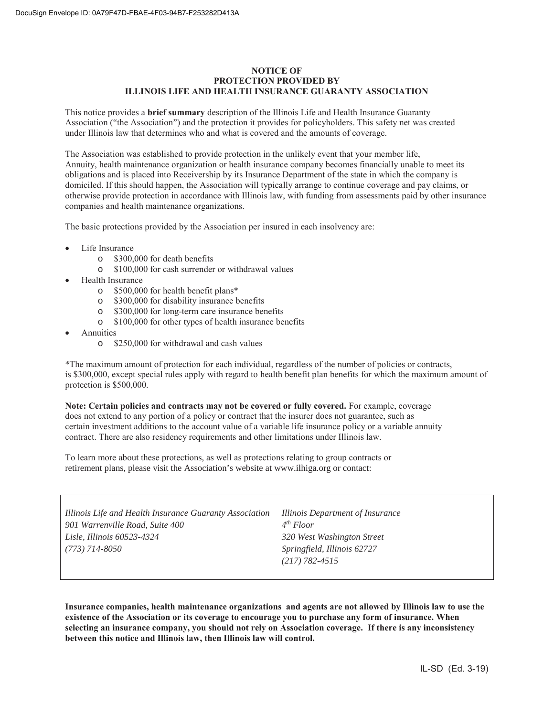#### **NOTICE OF PROTECTION PROVIDED BY ILLINOIS LIFE AND HEALTH INSURANCE GUARANTY ASSOCIATION**

This notice provides a **brief summary** description of the Illinois Life and Health Insurance Guaranty Association ("the Association") and the protection it provides for policyholders. This safety net was created under Illinois law that determines who and what is covered and the amounts of coverage.

The Association was established to provide protection in the unlikely event that your member life, Annuity, health maintenance organization or health insurance company becomes financially unable to meet its obligations and is placed into Receivership by its Insurance Department of the state in which the company is domiciled. If this should happen, the Association will typically arrange to continue coverage and pay claims, or otherwise provide protection in accordance with Illinois law, with funding from assessments paid by other insurance companies and health maintenance organizations.

The basic protections provided by the Association per insured in each insolvency are:

- Life Insurance
	- o \$300,000 for death benefits
	- o \$100,000 for cash surrender or withdrawal values
- Health Insurance
	- o \$500,000 for health benefit plans\*
	- o \$300,000 for disability insurance benefits
	- o \$300,000 for long-term care insurance benefits
	- o \$100,000 for other types of health insurance benefits
- **Annuities** 
	- o \$250,000 for withdrawal and cash values

\*The maximum amount of protection for each individual, regardless of the number of policies or contracts, is \$300,000, except special rules apply with regard to health benefit plan benefits for which the maximum amount of protection is \$500,000.

**Note: Certain policies and contracts may not be covered or fully covered.** For example, coverage does not extend to any portion of a policy or contract that the insurer does not guarantee, such as certain investment additions to the account value of a variable life insurance policy or a variable annuity contract. There are also residency requirements and other limitations under Illinois law.

To learn more about these protections, as well as protections relating to group contracts or retirement plans, please visit the Association's website at www.ilhiga.org or contact:

| Illinois Life and Health Insurance Guaranty Association<br>901 Warrenville Road, Suite 400 | Illinois Department of Insurance<br>4 <sup>th</sup> Floor |
|--------------------------------------------------------------------------------------------|-----------------------------------------------------------|
| Lisle, Illinois 60523-4324                                                                 | 320 West Washington Street                                |
| (773) 714-8050                                                                             | Springfield, Illinois 62727                               |
|                                                                                            | $(217) 782 - 4515$                                        |

**Insurance companies, health maintenance organizations and agents are not allowed by Illinois law to use the existence of the Association or its coverage to encourage you to purchase any form of insurance. When selecting an insurance company, you should not rely on Association coverage. If there is any inconsistency between this notice and Illinois law, then Illinois law will control.**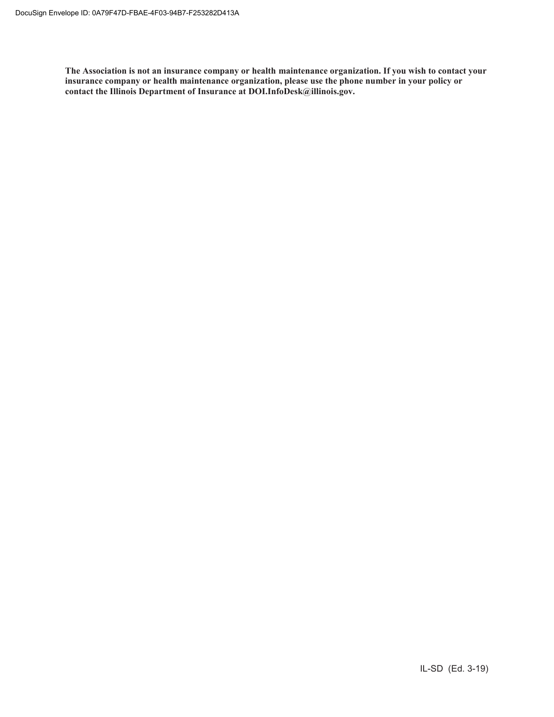**The Association is not an insurance company or health maintenance organization. If you wish to contact your insurance company or health maintenance organization, please use the phone number in your policy or contact the Illinois Department of Insurance at DOI.InfoDesk@illinois.gov.**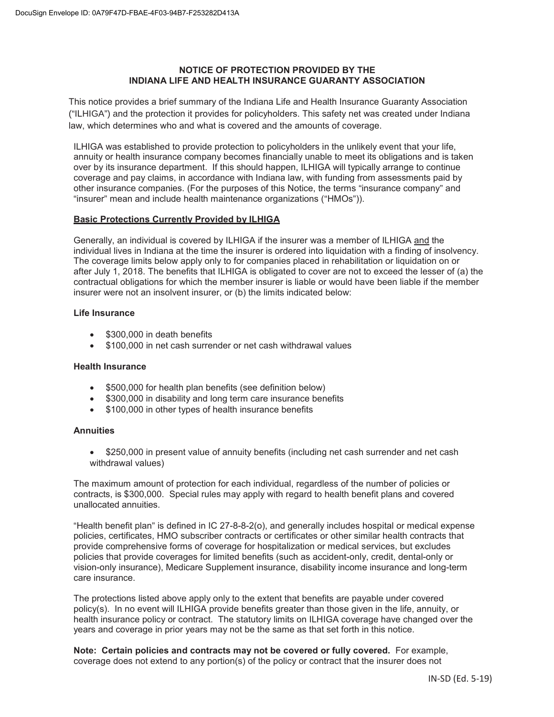## **NOTICE OF PROTECTION PROVIDED BY THE INDIANA LIFE AND HEALTH INSURANCE GUARANTY ASSOCIATION**

This notice provides a brief summary of the Indiana Life and Health Insurance Guaranty Association ("ILHIGA") and the protection it provides for policyholders. This safety net was created under Indiana law, which determines who and what is covered and the amounts of coverage.

ILHIGA was established to provide protection to policyholders in the unlikely event that your life, annuity or health insurance company becomes financially unable to meet its obligations and is taken over by its insurance department. If this should happen, ILHIGA will typically arrange to continue coverage and pay claims, in accordance with Indiana law, with funding from assessments paid by other insurance companies. (For the purposes of this Notice, the terms "insurance company" and "insurer" mean and include health maintenance organizations ("HMOs")).

## **Basic Protections Currently Provided by ILHIGA**

Generally, an individual is covered by ILHIGA if the insurer was a member of ILHIGA and the individual lives in Indiana at the time the insurer is ordered into liquidation with a finding of insolvency. The coverage limits below apply only to for companies placed in rehabilitation or liquidation on or after July 1, 2018. The benefits that ILHIGA is obligated to cover are not to exceed the lesser of (a) the contractual obligations for which the member insurer is liable or would have been liable if the member insurer were not an insolvent insurer, or (b) the limits indicated below:

#### **Life Insurance**

- \$300,000 in death benefits
- \$100,000 in net cash surrender or net cash withdrawal values

#### **Health Insurance**

- \$500,000 for health plan benefits (see definition below)
- \$300,000 in disability and long term care insurance benefits
- \$100,000 in other types of health insurance benefits

#### **Annuities**

• \$250,000 in present value of annuity benefits (including net cash surrender and net cash withdrawal values)

The maximum amount of protection for each individual, regardless of the number of policies or contracts, is \$300,000. Special rules may apply with regard to health benefit plans and covered unallocated annuities.

"Health benefit plan" is defined in IC 27-8-8-2(o), and generally includes hospital or medical expense policies, certificates, HMO subscriber contracts or certificates or other similar health contracts that provide comprehensive forms of coverage for hospitalization or medical services, but excludes policies that provide coverages for limited benefits (such as accident-only, credit, dental-only or vision-only insurance), Medicare Supplement insurance, disability income insurance and long-term care insurance.

The protections listed above apply only to the extent that benefits are payable under covered policy(s). In no event will ILHIGA provide benefits greater than those given in the life, annuity, or health insurance policy or contract. The statutory limits on ILHIGA coverage have changed over the years and coverage in prior years may not be the same as that set forth in this notice.

**Note: Certain policies and contracts may not be covered or fully covered.** For example, coverage does not extend to any portion(s) of the policy or contract that the insurer does not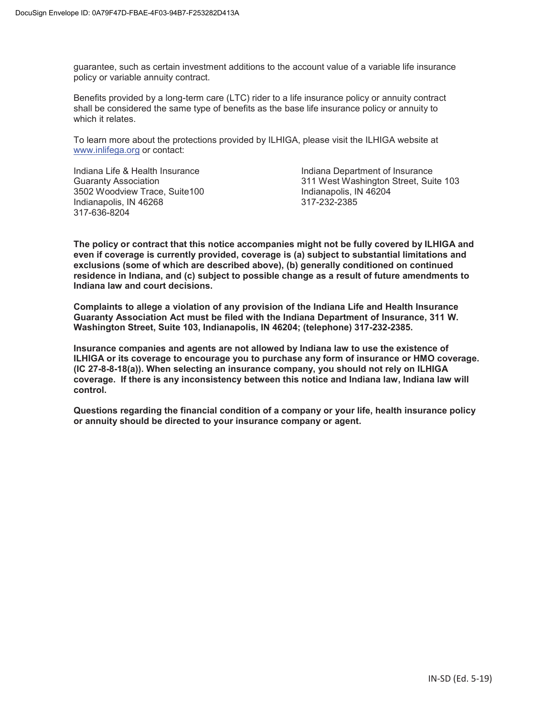guarantee, such as certain investment additions to the account value of a variable life insurance policy or variable annuity contract.

Benefits provided by a long-term care (LTC) rider to a life insurance policy or annuity contract shall be considered the same type of benefits as the base life insurance policy or annuity to which it relates.

To learn more about the protections provided by ILHIGA, please visit the ILHIGA website at www.inlifega.org or contact:

Indiana Life & Health Insurance Indiana Department of Insurance 3502 Woodview Trace, Suite100 Indianapolis, IN 46204 Indianapolis, IN 46268 317-636-8204

Guaranty Association 311 West Washington Street, Suite 103

**The policy or contract that this notice accompanies might not be fully covered by ILHIGA and even if coverage is currently provided, coverage is (a) subject to substantial limitations and exclusions (some of which are described above), (b) generally conditioned on continued residence in Indiana, and (c) subject to possible change as a result of future amendments to Indiana law and court decisions.**

**Complaints to allege a violation of any provision of the Indiana Life and Health Insurance Guaranty Association Act must be filed with the Indiana Department of Insurance, 311 W. Washington Street, Suite 103, Indianapolis, IN 46204; (telephone) 317-232-2385.**

**Insurance companies and agents are not allowed by Indiana law to use the existence of ILHIGA or its coverage to encourage you to purchase any form of insurance or HMO coverage. (IC 27-8-8-18(a)). When selecting an insurance company, you should not rely on ILHIGA coverage. If there is any inconsistency between this notice and Indiana law, Indiana law will control.**

**Questions regarding the financial condition of a company or your life, health insurance policy or annuity should be directed to your insurance company or agent.**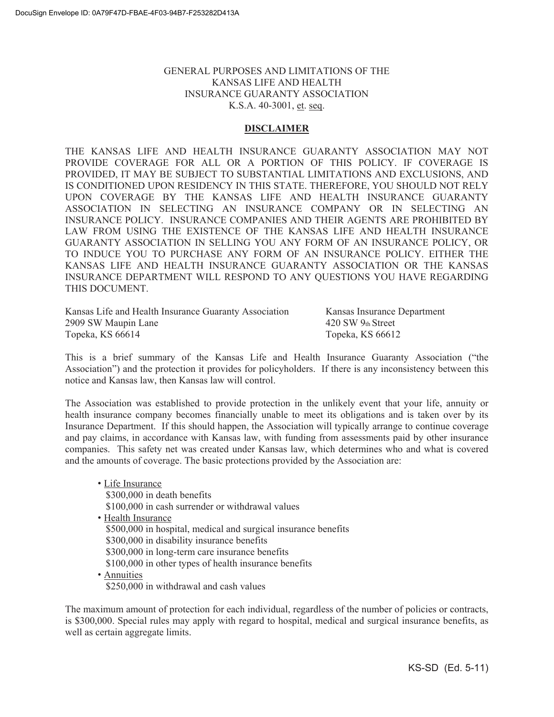# GENERAL PURPOSES AND LIMITATIONS OF THE KANSAS LIFE AND HEALTH INSURANCE GUARANTY ASSOCIATION K.S.A. 40-3001, et. seq.

# **DISCLAIMER**

THE KANSAS LIFE AND HEALTH INSURANCE GUARANTY ASSOCIATION MAY NOT PROVIDE COVERAGE FOR ALL OR A PORTION OF THIS POLICY. IF COVERAGE IS PROVIDED, IT MAY BE SUBJECT TO SUBSTANTIAL LIMITATIONS AND EXCLUSIONS, AND IS CONDITIONED UPON RESIDENCY IN THIS STATE. THEREFORE, YOU SHOULD NOT RELY UPON COVERAGE BY THE KANSAS LIFE AND HEALTH INSURANCE GUARANTY ASSOCIATION IN SELECTING AN INSURANCE COMPANY OR IN SELECTING AN INSURANCE POLICY. INSURANCE COMPANIES AND THEIR AGENTS ARE PROHIBITED BY LAW FROM USING THE EXISTENCE OF THE KANSAS LIFE AND HEALTH INSURANCE GUARANTY ASSOCIATION IN SELLING YOU ANY FORM OF AN INSURANCE POLICY, OR TO INDUCE YOU TO PURCHASE ANY FORM OF AN INSURANCE POLICY. EITHER THE KANSAS LIFE AND HEALTH INSURANCE GUARANTY ASSOCIATION OR THE KANSAS INSURANCE DEPARTMENT WILL RESPOND TO ANY QUESTIONS YOU HAVE REGARDING THIS DOCUMENT.

Kansas Life and Health Insurance Guaranty Association Kansas Insurance Department 2909 SW Maupin Lane 420 SW 9th Street Topeka, KS 66614 Topeka, KS 66612

This is a brief summary of the Kansas Life and Health Insurance Guaranty Association ("the Association") and the protection it provides for policyholders. If there is any inconsistency between this notice and Kansas law, then Kansas law will control.

The Association was established to provide protection in the unlikely event that your life, annuity or health insurance company becomes financially unable to meet its obligations and is taken over by its Insurance Department. If this should happen, the Association will typically arrange to continue coverage and pay claims, in accordance with Kansas law, with funding from assessments paid by other insurance companies. This safety net was created under Kansas law, which determines who and what is covered and the amounts of coverage. The basic protections provided by the Association are:

• Life Insurance \$300,000 in death benefits \$100,000 in cash surrender or withdrawal values • Health Insurance \$500,000 in hospital, medical and surgical insurance benefits \$300,000 in disability insurance benefits \$300,000 in long-term care insurance benefits \$100,000 in other types of health insurance benefits • Annuities \$250,000 in withdrawal and cash values

The maximum amount of protection for each individual, regardless of the number of policies or contracts, is \$300,000. Special rules may apply with regard to hospital, medical and surgical insurance benefits, as well as certain aggregate limits.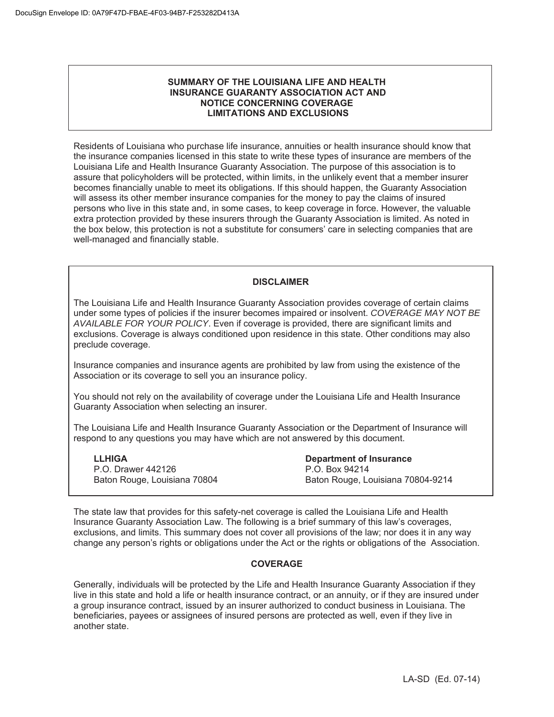#### **SUMMARY OF THE LOUISIANA LIFE AND HEALTH INSURANCE GUARANTY ASSOCIATION ACT AND NOTICE CONCERNING COVERAGE LIMITATIONS AND EXCLUSIONS**

Residents of Louisiana who purchase life insurance, annuities or health insurance should know that the insurance companies licensed in this state to write these types of insurance are members of the Louisiana Life and Health Insurance Guaranty Association. The purpose of this association is to assure that policyholders will be protected, within limits, in the unlikely event that a member insurer becomes financially unable to meet its obligations. If this should happen, the Guaranty Association will assess its other member insurance companies for the money to pay the claims of insured persons who live in this state and, in some cases, to keep coverage in force. However, the valuable extra protection provided by these insurers through the Guaranty Association is limited. As noted in the box below, this protection is not a substitute for consumers' care in selecting companies that are well-managed and financially stable.

## **DISCLAIMER**

The Louisiana Life and Health Insurance Guaranty Association provides coverage of certain claims under some types of policies if the insurer becomes impaired or insolvent. *COVERAGE MAY NOT BE AVAILABLE FOR YOUR POLICY*. Even if coverage is provided, there are significant limits and exclusions. Coverage is always conditioned upon residence in this state. Other conditions may also preclude coverage.

Insurance companies and insurance agents are prohibited by law from using the existence of the Association or its coverage to sell you an insurance policy.

You should not rely on the availability of coverage under the Louisiana Life and Health Insurance Guaranty Association when selecting an insurer.

The Louisiana Life and Health Insurance Guaranty Association or the Department of Insurance will respond to any questions you may have which are not answered by this document.

**LLHIGA**  P.O. Drawer 442126 Baton Rouge, Louisiana 70804 **Department of Insurance** P.O. Box 94214 Baton Rouge, Louisiana 70804-9214

The state law that provides for this safety-net coverage is called the Louisiana Life and Health Insurance Guaranty Association Law. The following is a brief summary of this law's coverages, exclusions, and limits. This summary does not cover all provisions of the law; nor does it in any way change any person's rights or obligations under the Act or the rights or obligations of the Association.

#### **COVERAGE**

Generally, individuals will be protected by the Life and Health Insurance Guaranty Association if they live in this state and hold a life or health insurance contract, or an annuity, or if they are insured under a group insurance contract, issued by an insurer authorized to conduct business in Louisiana. The beneficiaries, payees or assignees of insured persons are protected as well, even if they live in another state.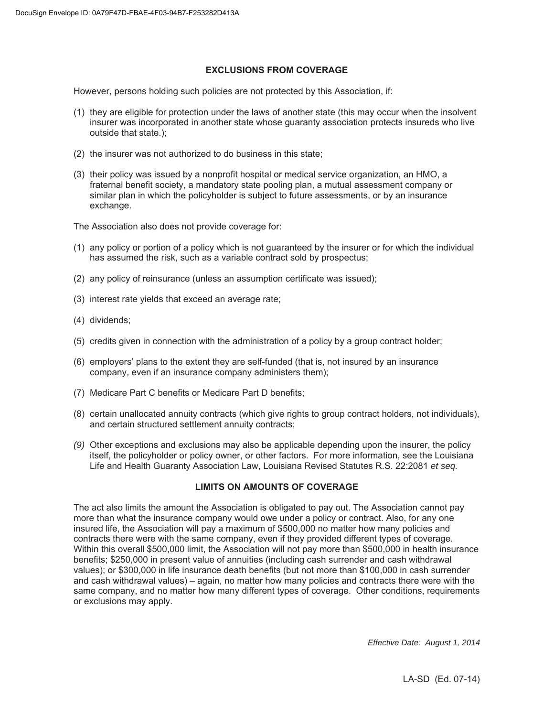## **EXCLUSIONS FROM COVERAGE**

However, persons holding such policies are not protected by this Association, if:

- (1) they are eligible for protection under the laws of another state (this may occur when the insolvent insurer was incorporated in another state whose guaranty association protects insureds who live outside that state.);
- (2) the insurer was not authorized to do business in this state;
- (3) their policy was issued by a nonprofit hospital or medical service organization, an HMO, a fraternal benefit society, a mandatory state pooling plan, a mutual assessment company or similar plan in which the policyholder is subject to future assessments, or by an insurance exchange.

The Association also does not provide coverage for:

- (1) any policy or portion of a policy which is not guaranteed by the insurer or for which the individual has assumed the risk, such as a variable contract sold by prospectus;
- (2) any policy of reinsurance (unless an assumption certificate was issued);
- (3) interest rate yields that exceed an average rate;
- (4) dividends;
- (5) credits given in connection with the administration of a policy by a group contract holder;
- (6) employers' plans to the extent they are self-funded (that is, not insured by an insurance company, even if an insurance company administers them);
- (7) Medicare Part C benefits or Medicare Part D benefits;
- (8) certain unallocated annuity contracts (which give rights to group contract holders, not individuals), and certain structured settlement annuity contracts;
- *(9)* Other exceptions and exclusions may also be applicable depending upon the insurer, the policy itself, the policyholder or policy owner, or other factors. For more information, see the Louisiana Life and Health Guaranty Association Law, Louisiana Revised Statutes R.S. 22:2081 *et seq.*

#### **LIMITS ON AMOUNTS OF COVERAGE**

The act also limits the amount the Association is obligated to pay out. The Association cannot pay more than what the insurance company would owe under a policy or contract. Also, for any one insured life, the Association will pay a maximum of \$500,000 no matter how many policies and contracts there were with the same company, even if they provided different types of coverage. Within this overall \$500,000 limit, the Association will not pay more than \$500,000 in health insurance benefits; \$250,000 in present value of annuities (including cash surrender and cash withdrawal values); or \$300,000 in life insurance death benefits (but not more than \$100,000 in cash surrender and cash withdrawal values) – again, no matter how many policies and contracts there were with the same company, and no matter how many different types of coverage. Other conditions, requirements or exclusions may apply.

*Effective Date: August 1, 2014*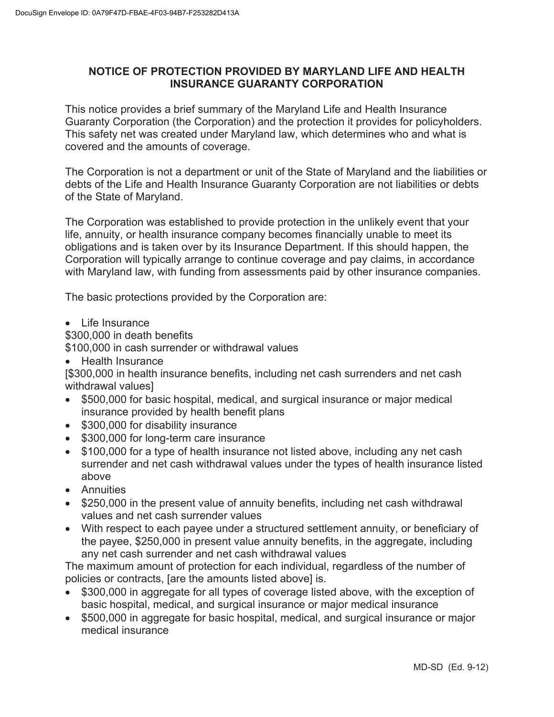# **NOTICE OF PROTECTION PROVIDED BY MARYLAND LIFE AND HEALTH INSURANCE GUARANTY CORPORATION**

This notice provides a brief summary of the Maryland Life and Health Insurance Guaranty Corporation (the Corporation) and the protection it provides for policyholders. This safety net was created under Maryland law, which determines who and what is covered and the amounts of coverage.

The Corporation is not a department or unit of the State of Maryland and the liabilities or debts of the Life and Health Insurance Guaranty Corporation are not liabilities or debts of the State of Maryland.

The Corporation was established to provide protection in the unlikely event that your life, annuity, or health insurance company becomes financially unable to meet its obligations and is taken over by its Insurance Department. If this should happen, the Corporation will typically arrange to continue coverage and pay claims, in accordance with Maryland law, with funding from assessments paid by other insurance companies.

The basic protections provided by the Corporation are:

 $\bullet$  Life Insurance

\$300,000 in death benefits

\$100,000 in cash surrender or withdrawal values

Health Insurance

[\$300,000 in health insurance benefits, including net cash surrenders and net cash withdrawal values]

- x \$500,000 for basic hospital, medical, and surgical insurance or major medical insurance provided by health benefit plans
- \$300,000 for disability insurance
- \$300,000 for long-term care insurance
- \$100,000 for a type of health insurance not listed above, including any net cash surrender and net cash withdrawal values under the types of health insurance listed above
- Annuities
- \$250,000 in the present value of annuity benefits, including net cash withdrawal values and net cash surrender values
- With respect to each payee under a structured settlement annuity, or beneficiary of the payee, \$250,000 in present value annuity benefits, in the aggregate, including any net cash surrender and net cash withdrawal values

The maximum amount of protection for each individual, regardless of the number of policies or contracts, [are the amounts listed above] is.

- \$300,000 in aggregate for all types of coverage listed above, with the exception of basic hospital, medical, and surgical insurance or major medical insurance
- \$500,000 in aggregate for basic hospital, medical, and surgical insurance or major medical insurance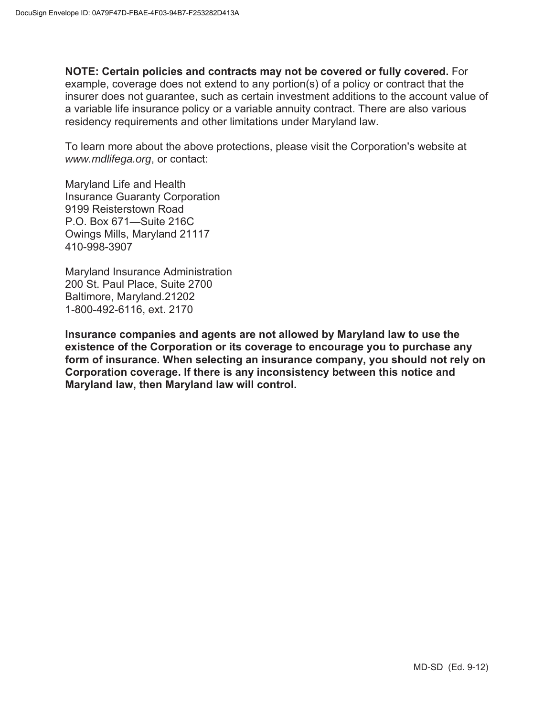**NOTE: Certain policies and contracts may not be covered or fully covered.** For example, coverage does not extend to any portion(s) of a policy or contract that the insurer does not guarantee, such as certain investment additions to the account value of a variable life insurance policy or a variable annuity contract. There are also various residency requirements and other limitations under Maryland law.

To learn more about the above protections, please visit the Corporation's website at *www.mdlifega.org*, or contact:

Maryland Life and Health Insurance Guaranty Corporation 9199 Reisterstown Road P.O. Box 671—Suite 216C Owings Mills, Maryland 21117 410-998-3907

Maryland Insurance Administration 200 St. Paul Place, Suite 2700 Baltimore, Maryland.21202 1-800-492-6116, ext. 2170

**Insurance companies and agents are not allowed by Maryland law to use the existence of the Corporation or its coverage to encourage you to purchase any form of insurance. When selecting an insurance company, you should not rely on Corporation coverage. If there is any inconsistency between this notice and Maryland law, then Maryland law will control.**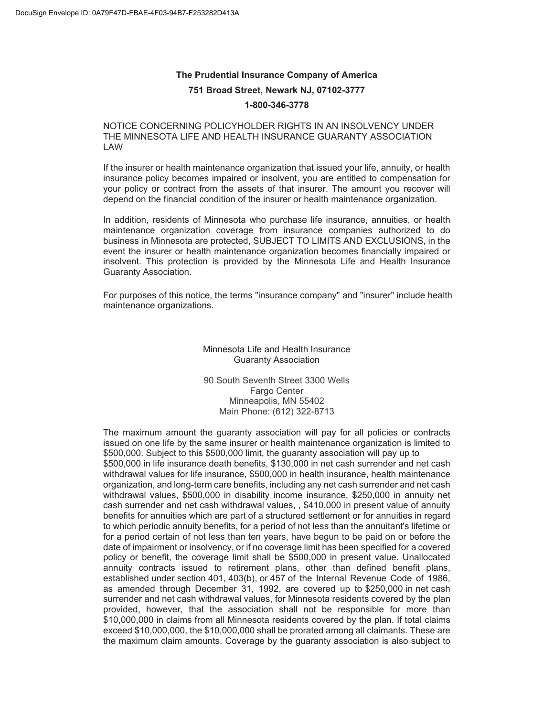# **The Prudential Insurance Company of America 751 Broad Street, Newark NJ, 07102-3777 1-800-346-3778**

#### NOTICE CONCERNING POLICYHOLDER RIGHTS IN AN INSOLVENCY UNDER THE MINNESOTA LIFE AND HEALTH INSURANCE GUARANTY ASSOCIATION LAW

If the insurer or health maintenance organization that issued your life, annuity, or health insurance policy becomes impaired or insolvent, you are entitled to compensation for your policy or contract from the assets of that insurer. The amount you recover will depend on the financial condition of the insurer or health maintenance organization.

In addition, residents of Minnesota who purchase life insurance, annuities, or health maintenance organization coverage from insurance companies authorized to do business in Minnesota are protected, SUBJECT TO LIMITS AND EXCLUSIONS, in the event the insurer or health maintenance organization becomes financially impaired or insolvent. This protection is provided by the Minnesota Life and Health Insurance Guaranty Association.

For purposes of this notice, the terms "insurance company" and "insurer" include health maintenance organizations.

#### Minnesota Life and Health Insurance Guaranty Association

90 South Seventh Street 3300 Wells Fargo Center Minneapolis, MN 55402 Main Phone: (612) 322-8713

The maximum amount the guaranty association will pay for all policies or contracts issued on one life by the same insurer or health maintenance organization is limited to \$500,000. Subject to this \$500,000 limit, the guaranty association will pay up to \$500,000 in life insurance death benefits, \$130,000 in net cash surrender and net cash withdrawal values for life insurance, \$500,000 in health insurance, health maintenance organization, and long-term care benefits, including any net cash surrender and net cash withdrawal values, \$500,000 in disability income insurance, \$250,000 in annuity net cash surrender and net cash withdrawal values, , \$410,000 in present value of annuity benefits for annuities which are part of a structured settlement or for annuities in regard to which periodic annuity benefits, for a period of not less than the annuitant's lifetime or for a period certain of not less than ten years, have begun to be paid on or before the date of impairment or insolvency, or if no coverage limit has been specified for a covered policy or benefit, the coverage limit shall be \$500,000 in present value. Unallocated annuity contracts issued to retirement plans, other than defined benefit plans, established under section 401, 403(b), or 457 of the Internal Revenue Code of 1986, as amended through December 31, 1992, are covered up to \$250,000 in net cash surrender and net cash withdrawal values, for Minnesota residents covered by the plan provided, however, that the association shall not be responsible for more than \$10,000,000 in claims from all Minnesota residents covered by the plan. If total claims exceed \$10,000,000, the \$10,000,000 shall be prorated among all claimants. These are the maximum claim amounts. Coverage by the guaranty association is also subject to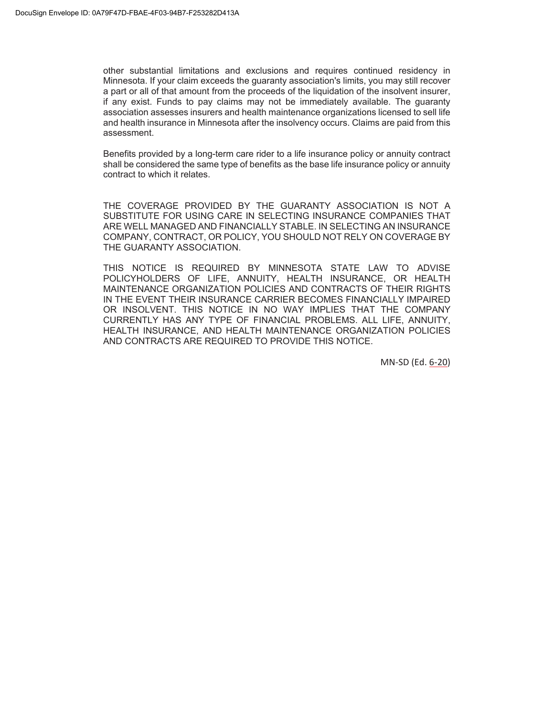other substantial limitations and exclusions and requires continued residency in Minnesota. If your claim exceeds the guaranty association's limits, you may still recover a part or all of that amount from the proceeds of the liquidation of the insolvent insurer, if any exist. Funds to pay claims may not be immediately available. The guaranty association assesses insurers and health maintenance organizations licensed to sell life and health insurance in Minnesota after the insolvency occurs. Claims are paid from this assessment.

Benefits provided by a long-term care rider to a life insurance policy or annuity contract shall be considered the same type of benefits as the base life insurance policy or annuity contract to which it relates.

THE COVERAGE PROVIDED BY THE GUARANTY ASSOCIATION IS NOT A SUBSTITUTE FOR USING CARE IN SELECTING INSURANCE COMPANIES THAT ARE WELL MANAGED AND FINANCIALLY STABLE. IN SELECTING AN INSURANCE COMPANY, CONTRACT, OR POLICY, YOU SHOULD NOT RELY ON COVERAGE BY THE GUARANTY ASSOCIATION.

THIS NOTICE IS REQUIRED BY MINNESOTA STATE LAW TO ADVISE POLICYHOLDERS OF LIFE, ANNUITY, HEALTH INSURANCE, OR HEALTH MAINTENANCE ORGANIZATION POLICIES AND CONTRACTS OF THEIR RIGHTS IN THE EVENT THEIR INSURANCE CARRIER BECOMES FINANCIALLY IMPAIRED OR INSOLVENT. THIS NOTICE IN NO WAY IMPLIES THAT THE COMPANY CURRENTLY HAS ANY TYPE OF FINANCIAL PROBLEMS. ALL LIFE, ANNUITY, HEALTH INSURANCE, AND HEALTH MAINTENANCE ORGANIZATION POLICIES AND CONTRACTS ARE REQUIRED TO PROVIDE THIS NOTICE.

MN-SD (Ed. 6-20)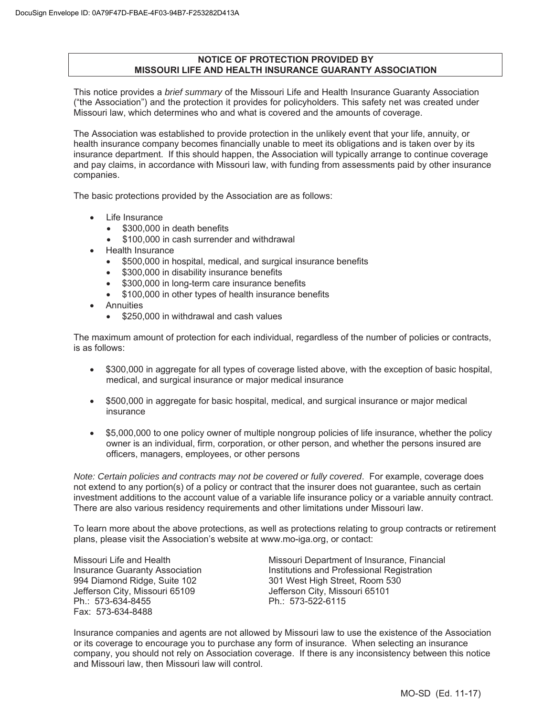## **NOTICE OF PROTECTION PROVIDED BY MISSOURI LIFE AND HEALTH INSURANCE GUARANTY ASSOCIATION**

This notice provides a *brief summary* of the Missouri Life and Health Insurance Guaranty Association ("the Association") and the protection it provides for policyholders. This safety net was created under Missouri law, which determines who and what is covered and the amounts of coverage.

The Association was established to provide protection in the unlikely event that your life, annuity, or health insurance company becomes financially unable to meet its obligations and is taken over by its insurance department. If this should happen, the Association will typically arrange to continue coverage and pay claims, in accordance with Missouri law, with funding from assessments paid by other insurance companies.

The basic protections provided by the Association are as follows:

- Life Insurance
	- $\bullet$  \$300,000 in death benefits
	- \$100,000 in cash surrender and withdrawal
- Health Insurance
	- x \$500,000 in hospital, medical, and surgical insurance benefits
	- \$300,000 in disability insurance benefits
	- \$300,000 in long-term care insurance benefits
	- \$100,000 in other types of health insurance benefits
- **Annuities** 
	- \$250,000 in withdrawal and cash values

The maximum amount of protection for each individual, regardless of the number of policies or contracts, is as follows:

- \$300,000 in aggregate for all types of coverage listed above, with the exception of basic hospital, medical, and surgical insurance or major medical insurance
- x \$500,000 in aggregate for basic hospital, medical, and surgical insurance or major medical insurance
- x \$5,000,000 to one policy owner of multiple nongroup policies of life insurance, whether the policy owner is an individual, firm, corporation, or other person, and whether the persons insured are officers, managers, employees, or other persons

*Note: Certain policies and contracts may not be covered or fully covered*. For example, coverage does not extend to any portion(s) of a policy or contract that the insurer does not guarantee, such as certain investment additions to the account value of a variable life insurance policy or a variable annuity contract. There are also various residency requirements and other limitations under Missouri law.

To learn more about the above protections, as well as protections relating to group contracts or retirement plans, please visit the Association's website at www.mo-iga.org, or contact:

Jefferson City, Missouri 65109 Jefferson City, Missouri 65101 Ph.: 573-634-8455 Ph.: 573-522-6115 Fax: 573-634-8488

Missouri Life and Health Missouri Department of Insurance, Financial Insurance Guaranty Association **Institutions and Professional Registration** 994 Diamond Ridge, Suite 102 301 West High Street, Room 530

Insurance companies and agents are not allowed by Missouri law to use the existence of the Association or its coverage to encourage you to purchase any form of insurance. When selecting an insurance company, you should not rely on Association coverage. If there is any inconsistency between this notice and Missouri law, then Missouri law will control.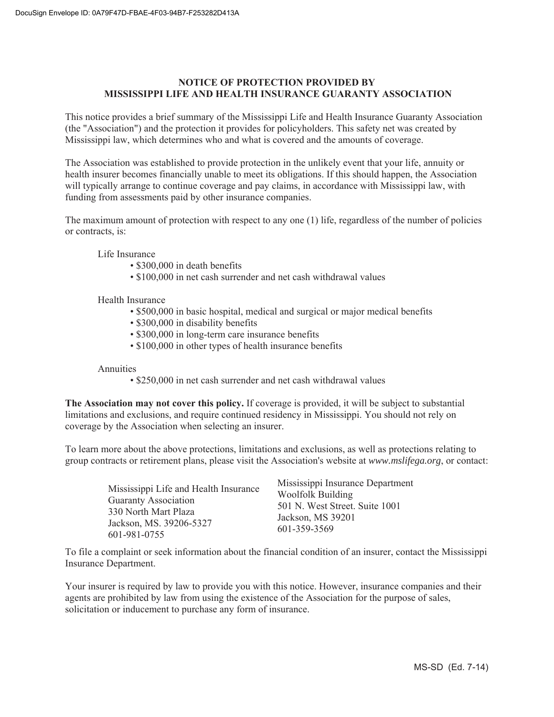# **NOTICE OF PROTECTION PROVIDED BY MISSISSIPPI LIFE AND HEALTH INSURANCE GUARANTY ASSOCIATION**

This notice provides a brief summary of the Mississippi Life and Health Insurance Guaranty Association (the "Association") and the protection it provides for policyholders. This safety net was created by Mississippi law, which determines who and what is covered and the amounts of coverage.

The Association was established to provide protection in the unlikely event that your life, annuity or health insurer becomes financially unable to meet its obligations. If this should happen, the Association will typically arrange to continue coverage and pay claims, in accordance with Mississippi law, with funding from assessments paid by other insurance companies.

The maximum amount of protection with respect to any one (1) life, regardless of the number of policies or contracts, is:

Life Insurance

- \$300,000 in death benefits
- \$100,000 in net cash surrender and net cash withdrawal values

Health Insurance

- \$500,000 in basic hospital, medical and surgical or major medical benefits
- \$300,000 in disability benefits
- \$300,000 in long-term care insurance benefits
- \$100,000 in other types of health insurance benefits

Annuities

• \$250,000 in net cash surrender and net cash withdrawal values

**The Association may not cover this policy.** If coverage is provided, it will be subject to substantial limitations and exclusions, and require continued residency in Mississippi. You should not rely on coverage by the Association when selecting an insurer.

To learn more about the above protections, limitations and exclusions, as well as protections relating to group contracts or retirement plans, please visit the Association's website at *www.mslifega.org*, or contact:

| Mississippi Life and Health Insurance<br><b>Guaranty Association</b><br>330 North Mart Plaza<br>Jackson, MS. 39206-5327 | Mississippi Insurance Department<br><b>Woolfolk Building</b><br>501 N. West Street. Suite 1001<br>Jackson, MS 39201<br>601-359-3569 |
|-------------------------------------------------------------------------------------------------------------------------|-------------------------------------------------------------------------------------------------------------------------------------|
| 601-981-0755                                                                                                            |                                                                                                                                     |

To file a complaint or seek information about the financial condition of an insurer, contact the Mississippi Insurance Department.

Your insurer is required by law to provide you with this notice. However, insurance companies and their agents are prohibited by law from using the existence of the Association for the purpose of sales, solicitation or inducement to purchase any form of insurance.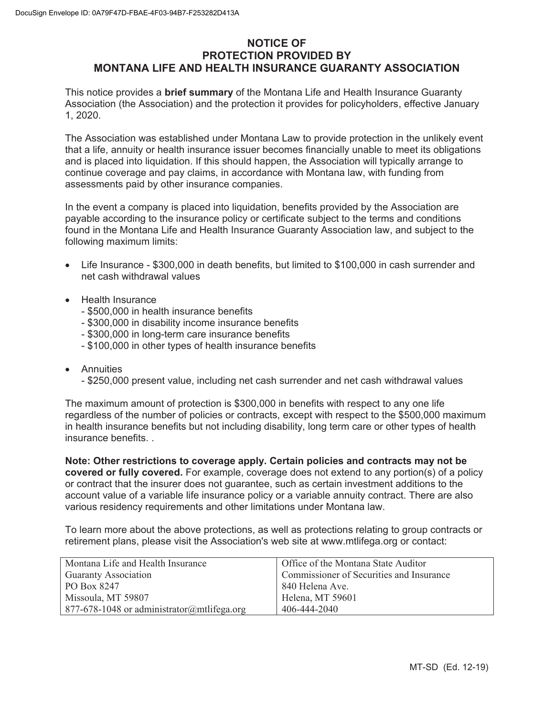# **NOTICE OF PROTECTION PROVIDED BY MONTANA LIFE AND HEALTH INSURANCE GUARANTY ASSOCIATION**

This notice provides a **brief summary** of the Montana Life and Health Insurance Guaranty Association (the Association) and the protection it provides for policyholders, effective January 1, 2020.

The Association was established under Montana Law to provide protection in the unlikely event that a life, annuity or health insurance issuer becomes financially unable to meet its obligations and is placed into liquidation. If this should happen, the Association will typically arrange to continue coverage and pay claims, in accordance with Montana law, with funding from assessments paid by other insurance companies.

In the event a company is placed into liquidation, benefits provided by the Association are payable according to the insurance policy or certificate subject to the terms and conditions found in the Montana Life and Health Insurance Guaranty Association law, and subject to the following maximum limits:

- Life Insurance \$300,000 in death benefits, but limited to \$100,000 in cash surrender and net cash withdrawal values
- Health Insurance
	- \$500,000 in health insurance benefits
	- \$300,000 in disability income insurance benefits
	- \$300,000 in long-term care insurance benefits
	- \$100,000 in other types of health insurance benefits
- Annuities
	- \$250,000 present value, including net cash surrender and net cash withdrawal values

The maximum amount of protection is \$300,000 in benefits with respect to any one life regardless of the number of policies or contracts, except with respect to the \$500,000 maximum in health insurance benefits but not including disability, long term care or other types of health insurance benefits

**Note: Other restrictions to coverage apply. Certain policies and contracts may not be covered or fully covered.** For example, coverage does not extend to any portion(s) of a policy or contract that the insurer does not guarantee, such as certain investment additions to the account value of a variable life insurance policy or a variable annuity contract. There are also various residency requirements and other limitations under Montana law.

To learn more about the above protections, as well as protections relating to group contracts or retirement plans, please visit the Association's web site at www.mtlifega.org or contact:

| Montana Life and Health Insurance          | Office of the Montana State Auditor      |
|--------------------------------------------|------------------------------------------|
| <b>Guaranty Association</b>                | Commissioner of Securities and Insurance |
| PO Box 8247                                | 840 Helena Ave.                          |
| Missoula, MT 59807                         | Helena, MT 59601                         |
| 877-678-1048 or administrator@mtlifega.org | 406-444-2040                             |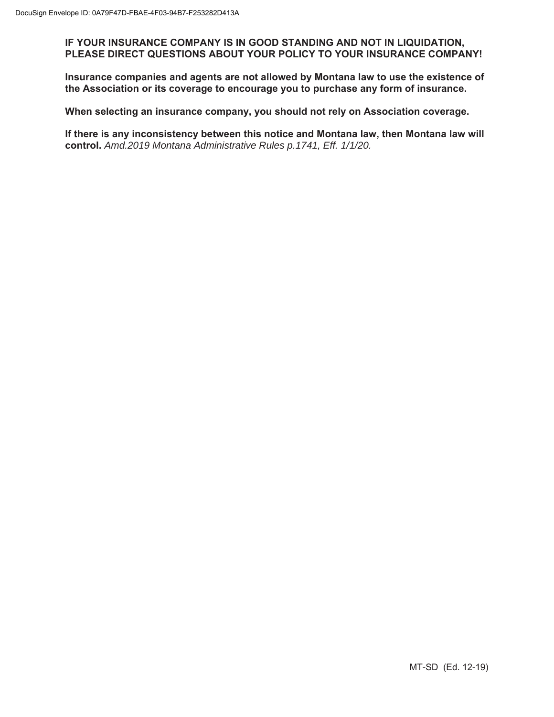**IF YOUR INSURANCE COMPANY IS IN GOOD STANDING AND NOT IN LIQUIDATION, PLEASE DIRECT QUESTIONS ABOUT YOUR POLICY TO YOUR INSURANCE COMPANY!** 

**Insurance companies and agents are not allowed by Montana law to use the existence of the Association or its coverage to encourage you to purchase any form of insurance.** 

**When selecting an insurance company, you should not rely on Association coverage.** 

**If there is any inconsistency between this notice and Montana law, then Montana law will control.** *Amd.2019 Montana Administrative Rules p.1741, Eff. 1/1/20.*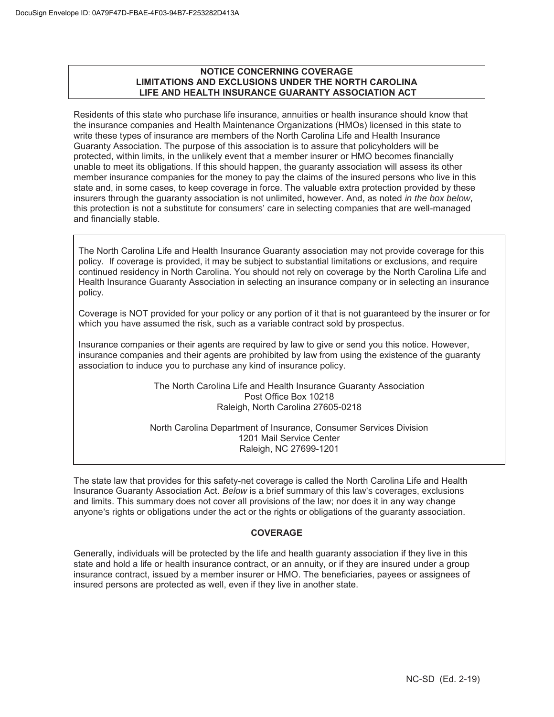## **NOTICE CONCERNING COVERAGE LIMITATIONS AND EXCLUSIONS UNDER THE NORTH CAROLINA LIFE AND HEALTH INSURANCE GUARANTY ASSOCIATION ACT**

Residents of this state who purchase life insurance, annuities or health insurance should know that the insurance companies and Health Maintenance Organizations (HMOs) licensed in this state to write these types of insurance are members of the North Carolina Life and Health Insurance Guaranty Association. The purpose of this association is to assure that policyholders will be protected, within limits, in the unlikely event that a member insurer or HMO becomes financially unable to meet its obligations. If this should happen, the guaranty association will assess its other member insurance companies for the money to pay the claims of the insured persons who live in this state and, in some cases, to keep coverage in force. The valuable extra protection provided by these insurers through the guaranty association is not unlimited, however. And, as noted *in the box below*, this protection is not a substitute for consumers' care in selecting companies that are well-managed and financially stable.

The North Carolina Life and Health Insurance Guaranty association may not provide coverage for this policy. If coverage is provided, it may be subject to substantial limitations or exclusions, and require continued residency in North Carolina. You should not rely on coverage by the North Carolina Life and Health Insurance Guaranty Association in selecting an insurance company or in selecting an insurance policy.

Coverage is NOT provided for your policy or any portion of it that is not guaranteed by the insurer or for which you have assumed the risk, such as a variable contract sold by prospectus.

Insurance companies or their agents are required by law to give or send you this notice. However, insurance companies and their agents are prohibited by law from using the existence of the guaranty association to induce you to purchase any kind of insurance policy.

> The North Carolina Life and Health Insurance Guaranty Association Post Office Box 10218 Raleigh, North Carolina 27605-0218

North Carolina Department of Insurance, Consumer Services Division 1201 Mail Service Center Raleigh, NC 27699-1201

The state law that provides for this safety-net coverage is called the North Carolina Life and Health Insurance Guaranty Association Act. *Below* is a brief summary of this law's coverages, exclusions and limits. This summary does not cover all provisions of the law; nor does it in any way change anyone's rights or obligations under the act or the rights or obligations of the guaranty association.

# **COVERAGE**

Generally, individuals will be protected by the life and health guaranty association if they live in this state and hold a life or health insurance contract, or an annuity, or if they are insured under a group insurance contract, issued by a member insurer or HMO. The beneficiaries, payees or assignees of insured persons are protected as well, even if they live in another state.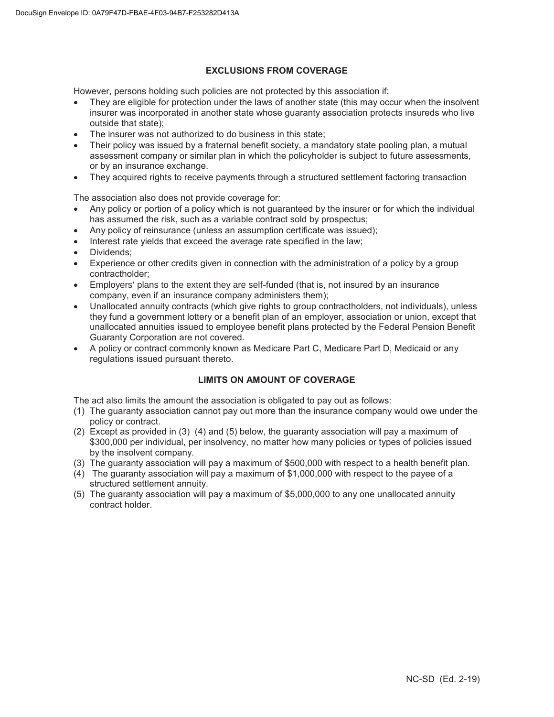## **EXCLUSIONS FROM COVERAGE**

However, persons holding such policies are not protected by this association if:

- They are eligible for protection under the laws of another state (this may occur when the insolvent insurer was incorporated in another state whose guaranty association protects insureds who live outside that state);
- The insurer was not authorized to do business in this state;
- Their policy was issued by a fraternal benefit society, a mandatory state pooling plan, a mutual assessment company or similar plan in which the policyholder is subject to future assessments, or by an insurance exchange.
- They acquired rights to receive payments through a structured settlement factoring transaction

The association also does not provide coverage for:

- Any policy or portion of a policy which is not guaranteed by the insurer or for which the individual has assumed the risk, such as a variable contract sold by prospectus;
- Any policy of reinsurance (unless an assumption certificate was issued);
- Interest rate vields that exceed the average rate specified in the law;
- Dividends:
- Experience or other credits given in connection with the administration of a policy by a group contractholder;
- Employers' plans to the extent they are self-funded (that is, not insured by an insurance company, even if an insurance company administers them);
- Unallocated annuity contracts (which give rights to group contractholders, not individuals), unless they fund a government lottery or a benefit plan of an employer, association or union, except that unallocated annuities issued to employee benefit plans protected by the Federal Pension Benefit Guaranty Corporation are not covered.
- A policy or contract commonly known as Medicare Part C, Medicare Part D, Medicaid or any regulations issued pursuant thereto.

# **LIMITS ON AMOUNT OF COVERAGE**

The act also limits the amount the association is obligated to pay out as follows:

- (1) The guaranty association cannot pay out more than the insurance company would owe under the policy or contract.
- (2) Except as provided in (3) (4) and (5) below, the guaranty association will pay a maximum of \$300,000 per individual, per insolvency, no matter how many policies or types of policies issued by the insolvent company.
- (3) The guaranty association will pay a maximum of \$500,000 with respect to a health benefit plan.
- (4) The guaranty association will pay a maximum of \$1,000,000 with respect to the payee of a structured settlement annuity.
- (5) The guaranty association will pay a maximum of \$5,000,000 to any one unallocated annuity contract holder.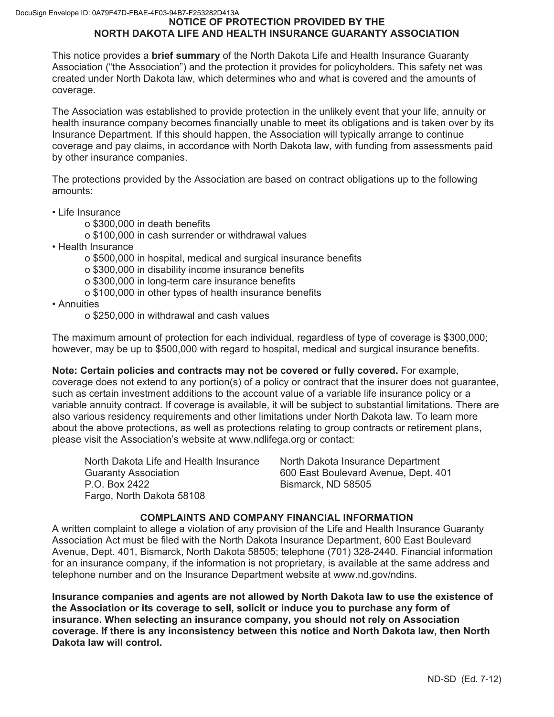# **NOTICE OF PROTECTION PROVIDED BY THE NORTH DAKOTA LIFE AND HEALTH INSURANCE GUARANTY ASSOCIATION**

This notice provides a **brief summary** of the North Dakota Life and Health Insurance Guaranty Association ("the Association") and the protection it provides for policyholders. This safety net was created under North Dakota law, which determines who and what is covered and the amounts of coverage.

The Association was established to provide protection in the unlikely event that your life, annuity or health insurance company becomes financially unable to meet its obligations and is taken over by its Insurance Department. If this should happen, the Association will typically arrange to continue coverage and pay claims, in accordance with North Dakota law, with funding from assessments paid by other insurance companies.

The protections provided by the Association are based on contract obligations up to the following amounts:

- Life Insurance
	- o \$300,000 in death benefits
	- o \$100,000 in cash surrender or withdrawal values
- Health Insurance
	- o \$500,000 in hospital, medical and surgical insurance benefits
	- o \$300,000 in disability income insurance benefits
	- o \$300,000 in long-term care insurance benefits
	- o \$100,000 in other types of health insurance benefits
- Annuities
	- o \$250,000 in withdrawal and cash values

The maximum amount of protection for each individual, regardless of type of coverage is \$300,000; however, may be up to \$500,000 with regard to hospital, medical and surgical insurance benefits.

**Note: Certain policies and contracts may not be covered or fully covered.** For example, coverage does not extend to any portion(s) of a policy or contract that the insurer does not guarantee, such as certain investment additions to the account value of a variable life insurance policy or a variable annuity contract. If coverage is available, it will be subject to substantial limitations. There are also various residency requirements and other limitations under North Dakota law. To learn more about the above protections, as well as protections relating to group contracts or retirement plans, please visit the Association's website at www.ndlifega.org or contact:

North Dakota Life and Health Insurance North Dakota Insurance Department Guaranty Association 600 East Boulevard Avenue, Dept. 401 P.O. Box 2422 **Bismarck, ND 58505** Fargo, North Dakota 58108

# **COMPLAINTS AND COMPANY FINANCIAL INFORMATION**

A written complaint to allege a violation of any provision of the Life and Health Insurance Guaranty Association Act must be filed with the North Dakota Insurance Department, 600 East Boulevard Avenue, Dept. 401, Bismarck, North Dakota 58505; telephone (701) 328-2440. Financial information for an insurance company, if the information is not proprietary, is available at the same address and telephone number and on the Insurance Department website at www.nd.gov/ndins.

**Insurance companies and agents are not allowed by North Dakota law to use the existence of the Association or its coverage to sell, solicit or induce you to purchase any form of insurance. When selecting an insurance company, you should not rely on Association coverage. If there is any inconsistency between this notice and North Dakota law, then North Dakota law will control.**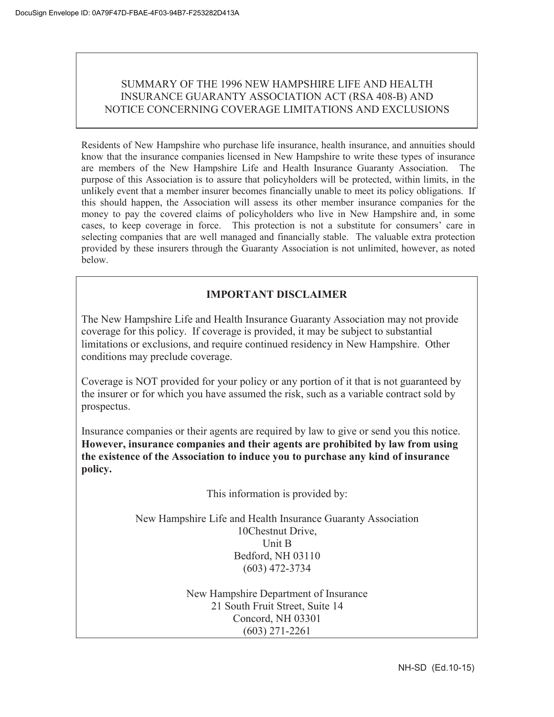# SUMMARY OF THE 1996 NEW HAMPSHIRE LIFE AND HEALTH INSURANCE GUARANTY ASSOCIATION ACT (RSA 408-B) AND NOTICE CONCERNING COVERAGE LIMITATIONS AND EXCLUSIONS

Residents of New Hampshire who purchase life insurance, health insurance, and annuities should know that the insurance companies licensed in New Hampshire to write these types of insurance are members of the New Hampshire Life and Health Insurance Guaranty Association. The purpose of this Association is to assure that policyholders will be protected, within limits, in the unlikely event that a member insurer becomes financially unable to meet its policy obligations. If this should happen, the Association will assess its other member insurance companies for the money to pay the covered claims of policyholders who live in New Hampshire and, in some cases, to keep coverage in force. This protection is not a substitute for consumers' care in selecting companies that are well managed and financially stable. The valuable extra protection provided by these insurers through the Guaranty Association is not unlimited, however, as noted below.

# **IMPORTANT DISCLAIMER**

The New Hampshire Life and Health Insurance Guaranty Association may not provide coverage for this policy. If coverage is provided, it may be subject to substantial limitations or exclusions, and require continued residency in New Hampshire. Other conditions may preclude coverage.

Coverage is NOT provided for your policy or any portion of it that is not guaranteed by the insurer or for which you have assumed the risk, such as a variable contract sold by prospectus.

Insurance companies or their agents are required by law to give or send you this notice. **However, insurance companies and their agents are prohibited by law from using the existence of the Association to induce you to purchase any kind of insurance policy.**

This information is provided by:

New Hampshire Life and Health Insurance Guaranty Association 10Chestnut Drive, Unit B Bedford, NH 03110 (603) 472-3734

> New Hampshire Department of Insurance 21 South Fruit Street, Suite 14 Concord, NH 03301 (603) 271-2261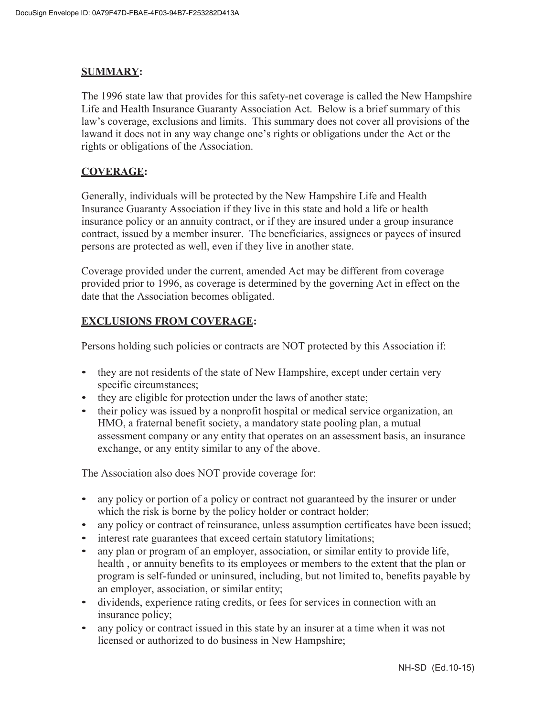# **SUMMARY:**

The 1996 state law that provides for this safety-net coverage is called the New Hampshire Life and Health Insurance Guaranty Association Act. Below is a brief summary of this law's coverage, exclusions and limits. This summary does not cover all provisions of the lawand it does not in any way change one's rights or obligations under the Act or the rights or obligations of the Association.

# **COVERAGE:**

Generally, individuals will be protected by the New Hampshire Life and Health Insurance Guaranty Association if they live in this state and hold a life or health insurance policy or an annuity contract, or if they are insured under a group insurance contract, issued by a member insurer. The beneficiaries, assignees or payees of insured persons are protected as well, even if they live in another state.

Coverage provided under the current, amended Act may be different from coverage provided prior to 1996, as coverage is determined by the governing Act in effect on the date that the Association becomes obligated.

# **EXCLUSIONS FROM COVERAGE:**

Persons holding such policies or contracts are NOT protected by this Association if:

- they are not residents of the state of New Hampshire, except under certain very specific circumstances;
- they are eligible for protection under the laws of another state;
- their policy was issued by a nonprofit hospital or medical service organization, an HMO, a fraternal benefit society, a mandatory state pooling plan, a mutual assessment company or any entity that operates on an assessment basis, an insurance exchange, or any entity similar to any of the above.

The Association also does NOT provide coverage for:

- any policy or portion of a policy or contract not guaranteed by the insurer or under which the risk is borne by the policy holder or contract holder;
- any policy or contract of reinsurance, unless assumption certificates have been issued;
- interest rate guarantees that exceed certain statutory limitations;
- any plan or program of an employer, association, or similar entity to provide life, health , or annuity benefits to its employees or members to the extent that the plan or program is self-funded or uninsured, including, but not limited to, benefits payable by an employer, association, or similar entity;
- dividends, experience rating credits, or fees for services in connection with an insurance policy;
- any policy or contract issued in this state by an insurer at a time when it was not licensed or authorized to do business in New Hampshire;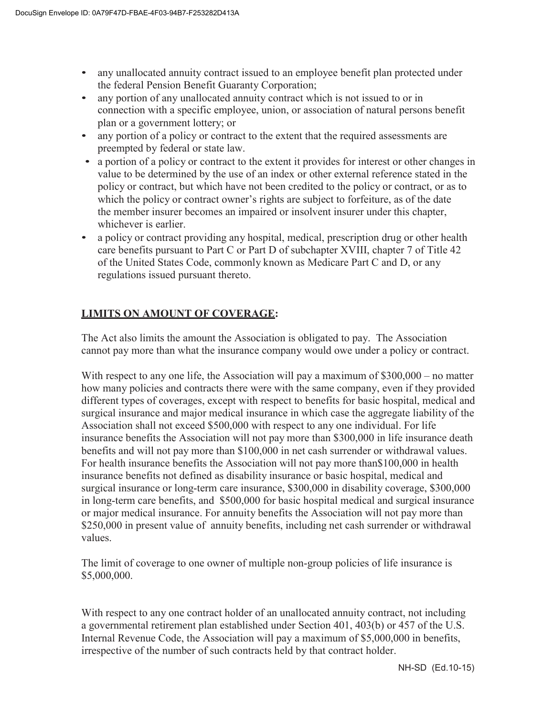- any unallocated annuity contract issued to an employee benefit plan protected under the federal Pension Benefit Guaranty Corporation;
- any portion of any unallocated annuity contract which is not issued to or in connection with a specific employee, union, or association of natural persons benefit plan or a government lottery; or
- any portion of a policy or contract to the extent that the required assessments are preempted by federal or state law.
- a portion of a policy or contract to the extent it provides for interest or other changes in value to be determined by the use of an index or other external reference stated in the policy or contract, but which have not been credited to the policy or contract, or as to which the policy or contract owner's rights are subject to forfeiture, as of the date the member insurer becomes an impaired or insolvent insurer under this chapter, whichever is earlier.
- a policy or contract providing any hospital, medical, prescription drug or other health care benefits pursuant to Part C or Part D of subchapter XVIII, chapter 7 of Title 42 of the United States Code, commonly known as Medicare Part C and D, or any regulations issued pursuant thereto.

# **LIMITS ON AMOUNT OF COVERAGE:**

The Act also limits the amount the Association is obligated to pay. The Association cannot pay more than what the insurance company would owe under a policy or contract.

With respect to any one life, the Association will pay a maximum of \$300,000 – no matter how many policies and contracts there were with the same company, even if they provided different types of coverages, except with respect to benefits for basic hospital, medical and surgical insurance and major medical insurance in which case the aggregate liability of the Association shall not exceed \$500,000 with respect to any one individual. For life insurance benefits the Association will not pay more than \$300,000 in life insurance death benefits and will not pay more than \$100,000 in net cash surrender or withdrawal values. For health insurance benefits the Association will not pay more than\$100,000 in health insurance benefits not defined as disability insurance or basic hospital, medical and surgical insurance or long-term care insurance, \$300,000 in disability coverage, \$300,000 in long-term care benefits, and \$500,000 for basic hospital medical and surgical insurance or major medical insurance. For annuity benefits the Association will not pay more than \$250,000 in present value of annuity benefits, including net cash surrender or withdrawal values.

The limit of coverage to one owner of multiple non-group policies of life insurance is \$5,000,000.

With respect to any one contract holder of an unallocated annuity contract, not including a governmental retirement plan established under Section 401, 403(b) or 457 of the U.S. Internal Revenue Code, the Association will pay a maximum of \$5,000,000 in benefits, irrespective of the number of such contracts held by that contract holder.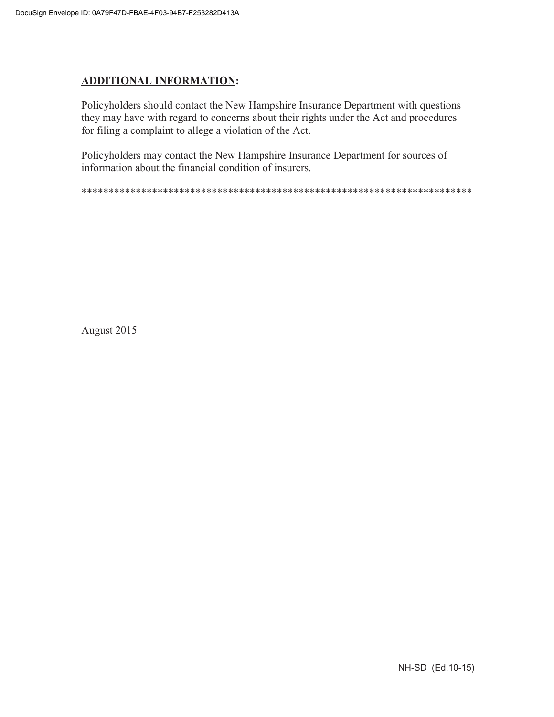# **ADDITIONAL INFORMATION:**

Policyholders should contact the New Hampshire Insurance Department with questions they may have with regard to concerns about their rights under the Act and procedures for filing a complaint to allege a violation of the Act.

Policyholders may contact the New Hampshire Insurance Department for sources of information about the financial condition of insurers.

\*\*\*\*\*\*\*\*\*\*\*\*\*\*\*\*\*\*\*\*\*\*\*\*\*\*\*\*\*\*\*\*\*\*\*\*\*\*\*\*\*\*\*\*\*\*\*\*\*\*\*\*\*\*\*\*\*\*\*\*\*\*\*\*\*\*\*\*\*\*\*\*

August 2015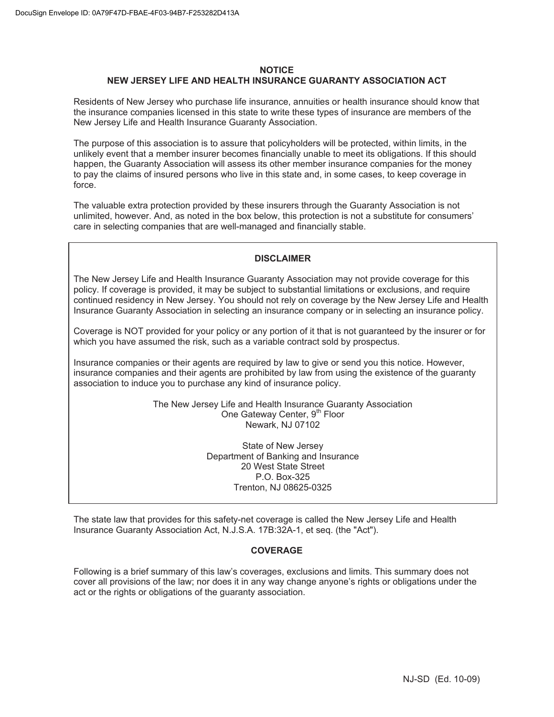## **NOTICE NEW JERSEY LIFE AND HEALTH INSURANCE GUARANTY ASSOCIATION ACT**

Residents of New Jersey who purchase life insurance, annuities or health insurance should know that the insurance companies licensed in this state to write these types of insurance are members of the New Jersey Life and Health Insurance Guaranty Association.

The purpose of this association is to assure that policyholders will be protected, within limits, in the unlikely event that a member insurer becomes financially unable to meet its obligations. If this should happen, the Guaranty Association will assess its other member insurance companies for the money to pay the claims of insured persons who live in this state and, in some cases, to keep coverage in force.

The valuable extra protection provided by these insurers through the Guaranty Association is not unlimited, however. And, as noted in the box below, this protection is not a substitute for consumers' care in selecting companies that are well-managed and financially stable.

## **DISCLAIMER**

The New Jersey Life and Health Insurance Guaranty Association may not provide coverage for this policy. If coverage is provided, it may be subject to substantial limitations or exclusions, and require continued residency in New Jersey. You should not rely on coverage by the New Jersey Life and Health Insurance Guaranty Association in selecting an insurance company or in selecting an insurance policy.

Coverage is NOT provided for your policy or any portion of it that is not guaranteed by the insurer or for which you have assumed the risk, such as a variable contract sold by prospectus.

Insurance companies or their agents are required by law to give or send you this notice. However, insurance companies and their agents are prohibited by law from using the existence of the guaranty association to induce you to purchase any kind of insurance policy.

> The New Jersey Life and Health Insurance Guaranty Association One Gateway Center, 9<sup>th</sup> Floor Newark, NJ 07102

> > State of New Jersey Department of Banking and Insurance 20 West State Street P.O. Box-325 Trenton, NJ 08625-0325

The state law that provides for this safety-net coverage is called the New Jersey Life and Health Insurance Guaranty Association Act, N.J.S.A. 17B:32A-1, et seq. (the "Act").

#### **COVERAGE**

Following is a brief summary of this law's coverages, exclusions and limits. This summary does not cover all provisions of the law; nor does it in any way change anyone's rights or obligations under the act or the rights or obligations of the guaranty association.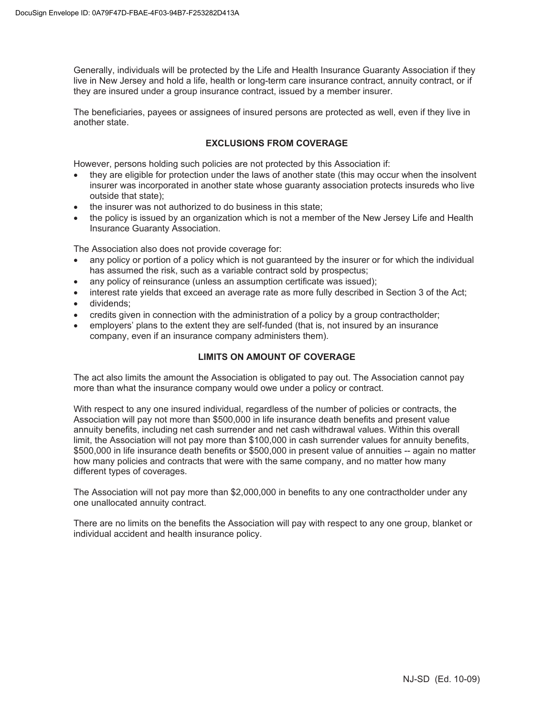Generally, individuals will be protected by the Life and Health Insurance Guaranty Association if they live in New Jersey and hold a life, health or long-term care insurance contract, annuity contract, or if they are insured under a group insurance contract, issued by a member insurer.

The beneficiaries, payees or assignees of insured persons are protected as well, even if they live in another state.

## **EXCLUSIONS FROM COVERAGE**

However, persons holding such policies are not protected by this Association if:

- they are eligible for protection under the laws of another state (this may occur when the insolvent insurer was incorporated in another state whose guaranty association protects insureds who live outside that state);
- the insurer was not authorized to do business in this state;
- the policy is issued by an organization which is not a member of the New Jersey Life and Health Insurance Guaranty Association.

The Association also does not provide coverage for:

- any policy or portion of a policy which is not guaranteed by the insurer or for which the individual has assumed the risk, such as a variable contract sold by prospectus;
- any policy of reinsurance (unless an assumption certificate was issued);
- interest rate yields that exceed an average rate as more fully described in Section 3 of the Act;
- dividends:
- credits given in connection with the administration of a policy by a group contractholder;
- employers' plans to the extent they are self-funded (that is, not insured by an insurance company, even if an insurance company administers them).

## **LIMITS ON AMOUNT OF COVERAGE**

The act also limits the amount the Association is obligated to pay out. The Association cannot pay more than what the insurance company would owe under a policy or contract.

With respect to any one insured individual, regardless of the number of policies or contracts, the Association will pay not more than \$500,000 in life insurance death benefits and present value annuity benefits, including net cash surrender and net cash withdrawal values. Within this overall limit, the Association will not pay more than \$100,000 in cash surrender values for annuity benefits, \$500,000 in life insurance death benefits or \$500,000 in present value of annuities -- again no matter how many policies and contracts that were with the same company, and no matter how many different types of coverages.

The Association will not pay more than \$2,000,000 in benefits to any one contractholder under any one unallocated annuity contract.

There are no limits on the benefits the Association will pay with respect to any one group, blanket or individual accident and health insurance policy.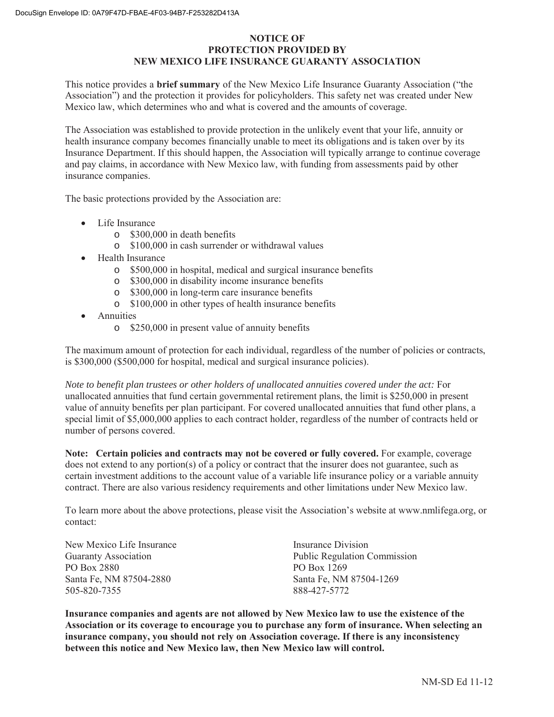## **NOTICE OF PROTECTION PROVIDED BY NEW MEXICO LIFE INSURANCE GUARANTY ASSOCIATION**

This notice provides a **brief summary** of the New Mexico Life Insurance Guaranty Association ("the Association") and the protection it provides for policyholders. This safety net was created under New Mexico law, which determines who and what is covered and the amounts of coverage.

The Association was established to provide protection in the unlikely event that your life, annuity or health insurance company becomes financially unable to meet its obligations and is taken over by its Insurance Department. If this should happen, the Association will typically arrange to continue coverage and pay claims, in accordance with New Mexico law, with funding from assessments paid by other insurance companies.

The basic protections provided by the Association are:

- Life Insurance
	- o \$300,000 in death benefits
	- o \$100,000 in cash surrender or withdrawal values
- Health Insurance
	- o \$500,000 in hospital, medical and surgical insurance benefits
	- o \$300,000 in disability income insurance benefits
	- o \$300,000 in long-term care insurance benefits
	- o \$100,000 in other types of health insurance benefits
- **Annuities** 
	- o \$250,000 in present value of annuity benefits

The maximum amount of protection for each individual, regardless of the number of policies or contracts, is \$300,000 (\$500,000 for hospital, medical and surgical insurance policies).

*Note to benefit plan trustees or other holders of unallocated annuities covered under the act:* For unallocated annuities that fund certain governmental retirement plans, the limit is \$250,000 in present value of annuity benefits per plan participant. For covered unallocated annuities that fund other plans, a special limit of \$5,000,000 applies to each contract holder, regardless of the number of contracts held or number of persons covered.

Note: Certain policies and contracts may not be covered or fully covered. For example, coverage does not extend to any portion(s) of a policy or contract that the insurer does not guarantee, such as certain investment additions to the account value of a variable life insurance policy or a variable annuity contract. There are also various residency requirements and other limitations under New Mexico law.

To learn more about the above protections, please visit the Association's website at www.nmlifega.org, or contact:

| New Mexico Life Insurance   | Insurance Division                  |
|-----------------------------|-------------------------------------|
| <b>Guaranty Association</b> | <b>Public Regulation Commission</b> |
| PO Box 2880                 | PO Box 1269                         |
| Santa Fe, NM 87504-2880     | Santa Fe, NM 87504-1269             |
| 505-820-7355                | 888-427-5772                        |

**Insurance companies and agents are not allowed by New Mexico law to use the existence of the Association or its coverage to encourage you to purchase any form of insurance. When selecting an insurance company, you should not rely on Association coverage. If there is any inconsistency between this notice and New Mexico law, then New Mexico law will control.**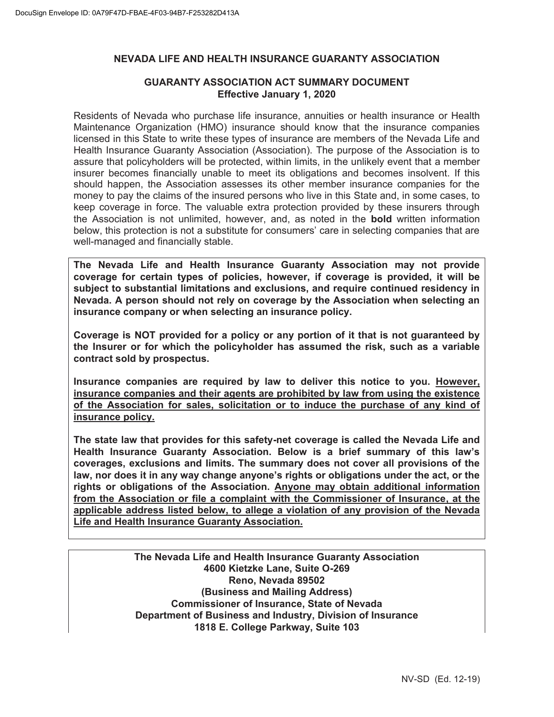# **NEVADA LIFE AND HEALTH INSURANCE GUARANTY ASSOCIATION**

# **GUARANTY ASSOCIATION ACT SUMMARY DOCUMENT Effective January 1, 2020**

Residents of Nevada who purchase life insurance, annuities or health insurance or Health Maintenance Organization (HMO) insurance should know that the insurance companies licensed in this State to write these types of insurance are members of the Nevada Life and Health Insurance Guaranty Association (Association). The purpose of the Association is to assure that policyholders will be protected, within limits, in the unlikely event that a member insurer becomes financially unable to meet its obligations and becomes insolvent. If this should happen, the Association assesses its other member insurance companies for the money to pay the claims of the insured persons who live in this State and, in some cases, to keep coverage in force. The valuable extra protection provided by these insurers through the Association is not unlimited, however, and, as noted in the **bold** written information below, this protection is not a substitute for consumers' care in selecting companies that are well-managed and financially stable.

**The Nevada Life and Health Insurance Guaranty Association may not provide coverage for certain types of policies, however, if coverage is provided, it will be subject to substantial limitations and exclusions, and require continued residency in Nevada. A person should not rely on coverage by the Association when selecting an insurance company or when selecting an insurance policy.** 

**Coverage is NOT provided for a policy or any portion of it that is not guaranteed by the Insurer or for which the policyholder has assumed the risk, such as a variable contract sold by prospectus.** 

**Insurance companies are required by law to deliver this notice to you. However, insurance companies and their agents are prohibited by law from using the existence of the Association for sales, solicitation or to induce the purchase of any kind of insurance policy.** 

**The state law that provides for this safety-net coverage is called the Nevada Life and Health Insurance Guaranty Association. Below is a brief summary of this law's coverages, exclusions and limits. The summary does not cover all provisions of the law, nor does it in any way change anyone's rights or obligations under the act, or the rights or obligations of the Association. Anyone may obtain additional information from the Association or file a complaint with the Commissioner of Insurance, at the applicable address listed below, to allege a violation of any provision of the Nevada Life and Health Insurance Guaranty Association.**

> **The Nevada Life and Health Insurance Guaranty Association 4600 Kietzke Lane, Suite O-269 Reno, Nevada 89502 (Business and Mailing Address) Commissioner of Insurance, State of Nevada Department of Business and Industry, Division of Insurance 1818 E. College Parkway, Suite 103**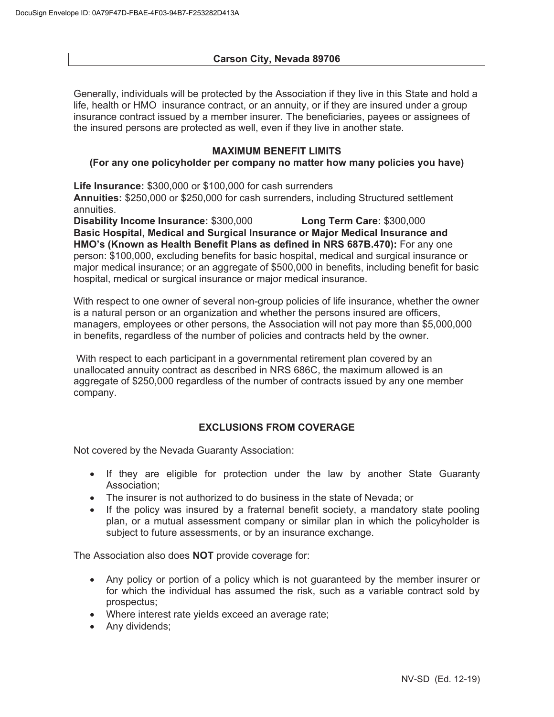Generally, individuals will be protected by the Association if they live in this State and hold a life, health or HMO insurance contract, or an annuity, or if they are insured under a group insurance contract issued by a member insurer. The beneficiaries, payees or assignees of the insured persons are protected as well, even if they live in another state.

# **MAXIMUM BENEFIT LIMITS**

# **(For any one policyholder per company no matter how many policies you have)**

**Life Insurance:** \$300,000 or \$100,000 for cash surrenders

**Annuities:** \$250,000 or \$250,000 for cash surrenders, including Structured settlement annuities.

**Disability Income Insurance:** \$300,000 **Long Term Care:** \$300,000 **Basic Hospital, Medical and Surgical Insurance or Major Medical Insurance and HMO's (Known as Health Benefit Plans as defined in NRS 687B.470):** For any one person: \$100,000, excluding benefits for basic hospital, medical and surgical insurance or major medical insurance; or an aggregate of \$500,000 in benefits, including benefit for basic hospital, medical or surgical insurance or major medical insurance.

With respect to one owner of several non-group policies of life insurance, whether the owner is a natural person or an organization and whether the persons insured are officers, managers, employees or other persons, the Association will not pay more than \$5,000,000 in benefits, regardless of the number of policies and contracts held by the owner.

 With respect to each participant in a governmental retirement plan covered by an unallocated annuity contract as described in NRS 686C, the maximum allowed is an aggregate of \$250,000 regardless of the number of contracts issued by any one member company.

# **EXCLUSIONS FROM COVERAGE**

Not covered by the Nevada Guaranty Association:

- If they are eligible for protection under the law by another State Guaranty Association;
- The insurer is not authorized to do business in the state of Nevada; or
- If the policy was insured by a fraternal benefit society, a mandatory state pooling plan, or a mutual assessment company or similar plan in which the policyholder is subject to future assessments, or by an insurance exchange.

The Association also does **NOT** provide coverage for:

- Any policy or portion of a policy which is not guaranteed by the member insurer or for which the individual has assumed the risk, such as a variable contract sold by prospectus;
- Where interest rate yields exceed an average rate;
- Any dividends;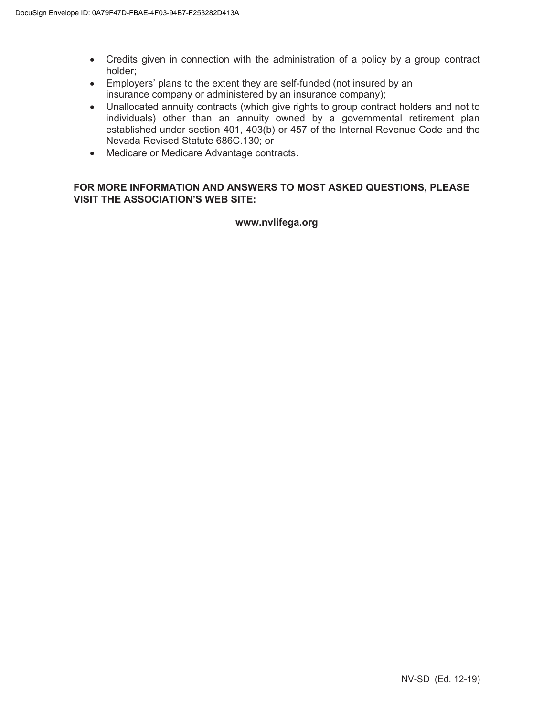- Credits given in connection with the administration of a policy by a group contract holder;
- Employers' plans to the extent they are self-funded (not insured by an insurance company or administered by an insurance company);
- Unallocated annuity contracts (which give rights to group contract holders and not to individuals) other than an annuity owned by a governmental retirement plan established under section 401, 403(b) or 457 of the Internal Revenue Code and the Nevada Revised Statute 686C.130; or
- Medicare or Medicare Advantage contracts.

# **FOR MORE INFORMATION AND ANSWERS TO MOST ASKED QUESTIONS, PLEASE VISIT THE ASSOCIATION'S WEB SITE:**

# **www.nvlifega.org**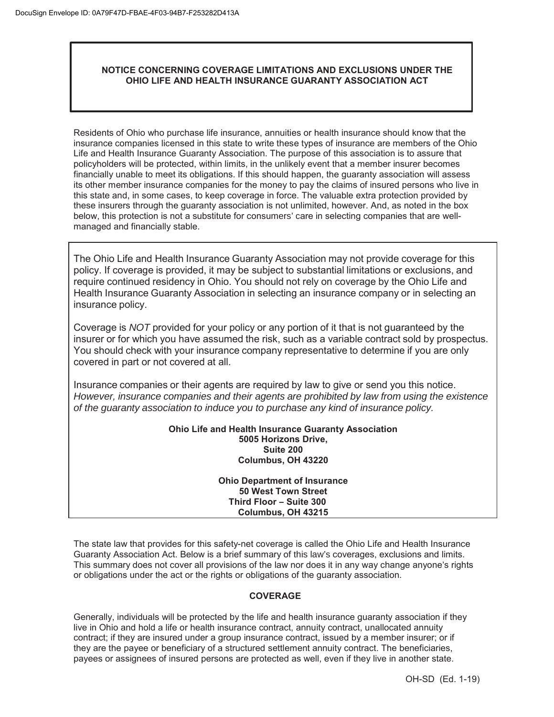# **NOTICE CONCERNING COVERAGE LIMITATIONS AND EXCLUSIONS UNDER THE OHIO LIFE AND HEALTH INSURANCE GUARANTY ASSOCIATION ACT**

Residents of Ohio who purchase life insurance, annuities or health insurance should know that the insurance companies licensed in this state to write these types of insurance are members of the Ohio Life and Health Insurance Guaranty Association. The purpose of this association is to assure that policyholders will be protected, within limits, in the unlikely event that a member insurer becomes financially unable to meet its obligations. If this should happen, the guaranty association will assess its other member insurance companies for the money to pay the claims of insured persons who live in this state and, in some cases, to keep coverage in force. The valuable extra protection provided by these insurers through the guaranty association is not unlimited, however. And, as noted in the box below, this protection is not a substitute for consumers' care in selecting companies that are wellmanaged and financially stable.

The Ohio Life and Health Insurance Guaranty Association may not provide coverage for this policy. If coverage is provided, it may be subject to substantial limitations or exclusions, and require continued residency in Ohio. You should not rely on coverage by the Ohio Life and Health Insurance Guaranty Association in selecting an insurance company or in selecting an insurance policy.

Coverage is *NOT* provided for your policy or any portion of it that is not guaranteed by the insurer or for which you have assumed the risk, such as a variable contract sold by prospectus. You should check with your insurance company representative to determine if you are only covered in part or not covered at all.

Insurance companies or their agents are required by law to give or send you this notice. *However, insurance companies and their agents are prohibited by law from using the existence of the guaranty association to induce you to purchase any kind of insurance policy.*

> **Ohio Life and Health Insurance Guaranty Association 5005 Horizons Drive, Suite 200 Columbus, OH 43220**

> > **Ohio Department of Insurance 50 West Town Street Third Floor – Suite 300 Columbus, OH 43215**

The state law that provides for this safety-net coverage is called the Ohio Life and Health Insurance Guaranty Association Act. Below is a brief summary of this law's coverages, exclusions and limits. This summary does not cover all provisions of the law nor does it in any way change anyone's rights or obligations under the act or the rights or obligations of the guaranty association.

# **COVERAGE**

Generally, individuals will be protected by the life and health insurance guaranty association if they live in Ohio and hold a life or health insurance contract, annuity contract, unallocated annuity contract; if they are insured under a group insurance contract, issued by a member insurer; or if they are the payee or beneficiary of a structured settlement annuity contract. The beneficiaries, payees or assignees of insured persons are protected as well, even if they live in another state.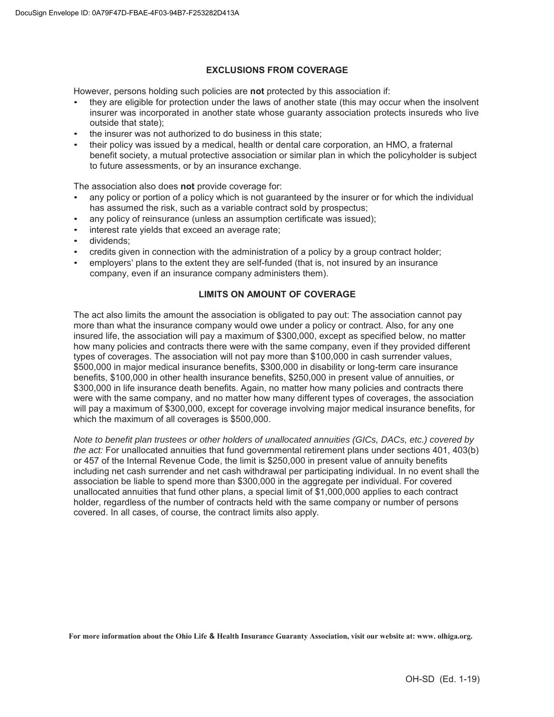## **EXCLUSIONS FROM COVERAGE**

However, persons holding such policies are **not** protected by this association if:

- they are eligible for protection under the laws of another state (this may occur when the insolvent insurer was incorporated in another state whose guaranty association protects insureds who live outside that state);
- the insurer was not authorized to do business in this state;
- their policy was issued by a medical, health or dental care corporation, an HMO, a fraternal benefit society, a mutual protective association or similar plan in which the policyholder is subject to future assessments, or by an insurance exchange.

The association also does **not** provide coverage for:

- any policy or portion of a policy which is not guaranteed by the insurer or for which the individual has assumed the risk, such as a variable contract sold by prospectus;
- any policy of reinsurance (unless an assumption certificate was issued);
- interest rate yields that exceed an average rate;
- dividends:
- credits given in connection with the administration of a policy by a group contract holder;
- employers' plans to the extent they are self-funded (that is, not insured by an insurance company, even if an insurance company administers them).

## **LIMITS ON AMOUNT OF COVERAGE**

The act also limits the amount the association is obligated to pay out: The association cannot pay more than what the insurance company would owe under a policy or contract. Also, for any one insured life, the association will pay a maximum of \$300,000, except as specified below, no matter how many policies and contracts there were with the same company, even if they provided different types of coverages. The association will not pay more than \$100,000 in cash surrender values, \$500,000 in major medical insurance benefits, \$300,000 in disability or long-term care insurance benefits, \$100,000 in other health insurance benefits, \$250,000 in present value of annuities, or \$300,000 in life insurance death benefits. Again, no matter how many policies and contracts there were with the same company, and no matter how many different types of coverages, the association will pay a maximum of \$300,000, except for coverage involving major medical insurance benefits, for which the maximum of all coverages is \$500,000.

*Note to benefit plan trustees or other holders of unallocated annuities (GICs, DACs, etc.) covered by the act:* For unallocated annuities that fund governmental retirement plans under sections 401, 403(b) or 457 of the Internal Revenue Code, the limit is \$250,000 in present value of annuity benefits including net cash surrender and net cash withdrawal per participating individual. In no event shall the association be liable to spend more than \$300,000 in the aggregate per individual. For covered unallocated annuities that fund other plans, a special limit of \$1,000,000 applies to each contract holder, regardless of the number of contracts held with the same company or number of persons covered. In all cases, of course, the contract limits also apply.

**For more information about the Ohio Life & Health Insurance Guaranty Association, visit our website at: www. olhiga.org.**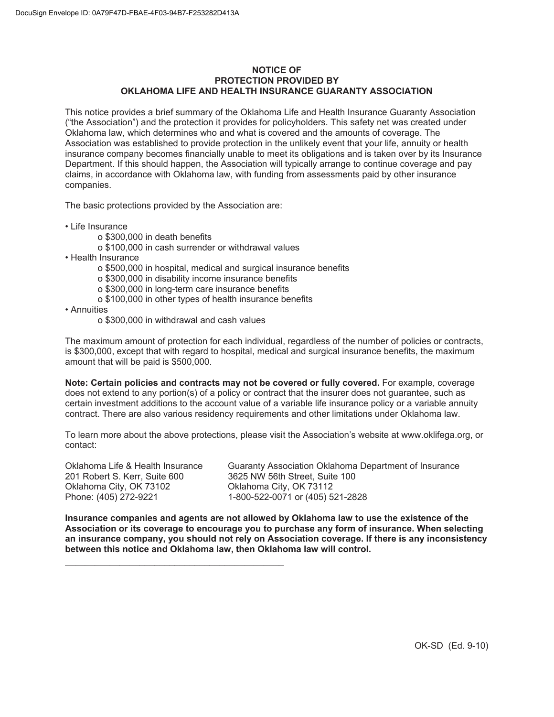#### **NOTICE OF PROTECTION PROVIDED BY OKLAHOMA LIFE AND HEALTH INSURANCE GUARANTY ASSOCIATION**

This notice provides a brief summary of the Oklahoma Life and Health Insurance Guaranty Association ("the Association") and the protection it provides for policyholders. This safety net was created under Oklahoma law, which determines who and what is covered and the amounts of coverage. The Association was established to provide protection in the unlikely event that your life, annuity or health insurance company becomes financially unable to meet its obligations and is taken over by its Insurance Department. If this should happen, the Association will typically arrange to continue coverage and pay claims, in accordance with Oklahoma law, with funding from assessments paid by other insurance companies.

The basic protections provided by the Association are:

- Life Insurance
	- o \$300,000 in death benefits
	- o \$100,000 in cash surrender or withdrawal values
- Health Insurance
	- o \$500,000 in hospital, medical and surgical insurance benefits
	- o \$300,000 in disability income insurance benefits
	- o \$300,000 in long-term care insurance benefits
	- o \$100,000 in other types of health insurance benefits
- Annuities
	- o \$300,000 in withdrawal and cash values

 $\mathcal{L}_\text{max}$  and  $\mathcal{L}_\text{max}$  and  $\mathcal{L}_\text{max}$  and  $\mathcal{L}_\text{max}$ 

The maximum amount of protection for each individual, regardless of the number of policies or contracts, is \$300,000, except that with regard to hospital, medical and surgical insurance benefits, the maximum amount that will be paid is \$500,000.

**Note: Certain policies and contracts may not be covered or fully covered.** For example, coverage does not extend to any portion(s) of a policy or contract that the insurer does not guarantee, such as certain investment additions to the account value of a variable life insurance policy or a variable annuity contract. There are also various residency requirements and other limitations under Oklahoma law.

To learn more about the above protections, please visit the Association's website at www.oklifega.org, or contact:

201 Robert S. Kerr, Suite 600 3625 NW 56th Street, Suite 100 Oklahoma City, OK 73102 Oklahoma City, OK 73112

Oklahoma Life & Health Insurance Guaranty Association Oklahoma Department of Insurance Phone: (405) 272-9221 1-800-522-0071 or (405) 521-2828

**Insurance companies and agents are not allowed by Oklahoma law to use the existence of the Association or its coverage to encourage you to purchase any form of insurance. When selecting an insurance company, you should not rely on Association coverage. If there is any inconsistency between this notice and Oklahoma law, then Oklahoma law will control.**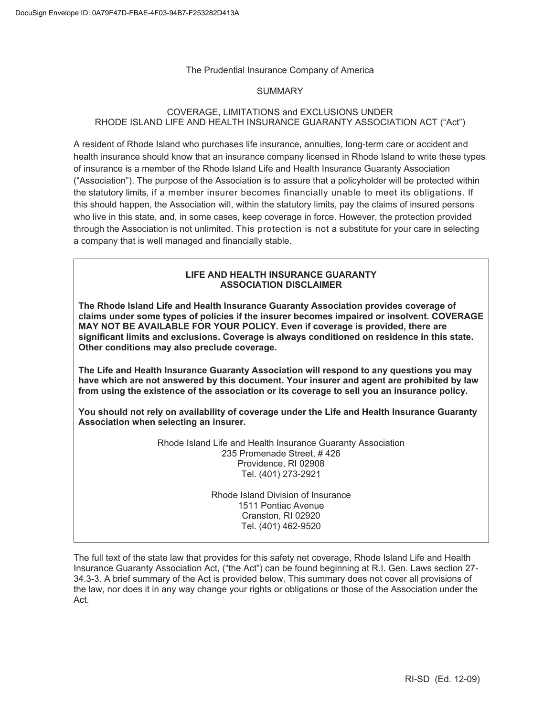## The Prudential Insurance Company of America

#### SUMMARY

# COVERAGE, LIMITATIONS and EXCLUSIONS UNDER RHODE ISLAND LIFE AND HEALTH INSURANCE GUARANTY ASSOCIATION ACT ("Act")

A resident of Rhode Island who purchases life insurance, annuities, long-term care or accident and health insurance should know that an insurance company licensed in Rhode Island to write these types of insurance is a member of the Rhode Island Life and Health Insurance Guaranty Association ("Association"). The purpose of the Association is to assure that a policyholder will be protected within the statutory limits, if a member insurer becomes financially unable to meet its obligations. If this should happen, the Association will, within the statutory limits, pay the claims of insured persons who live in this state, and, in some cases, keep coverage in force. However, the protection provided through the Association is not unlimited. This protection is not a substitute for your care in selecting a company that is well managed and financially stable.

## **LIFE AND HEALTH INSURANCE GUARANTY ASSOCIATION DISCLAIMER**

**The Rhode Island Life and Health Insurance Guaranty Association provides coverage of claims under some types of policies if the insurer becomes impaired or insolvent. COVERAGE MAY NOT BE AVAILABLE FOR YOUR POLICY. Even if coverage is provided, there are significant limits and exclusions. Coverage is always conditioned on residence in this state. Other conditions may also preclude coverage.** 

**The Life and Health Insurance Guaranty Association will respond to any questions you may have which are not answered by this document. Your insurer and agent are prohibited by law from using the existence of the association or its coverage to sell you an insurance policy.** 

**You should not rely on availability of coverage under the Life and Health Insurance Guaranty Association when selecting an insurer.** 

> Rhode Island Life and Health Insurance Guaranty Association 235 Promenade Street, # 426 Providence, RI 02908 Tel. (401) 273-2921

> > Rhode Island Division of Insurance 1511 Pontiac Avenue Cranston, RI 02920 Tel. (401) 462-9520

The full text of the state law that provides for this safety net coverage, Rhode Island Life and Health Insurance Guaranty Association Act, ("the Act") can be found beginning at R.I. Gen. Laws section 27- 34.3-3. A brief summary of the Act is provided below. This summary does not cover all provisions of the law, nor does it in any way change your rights or obligations or those of the Association under the Act.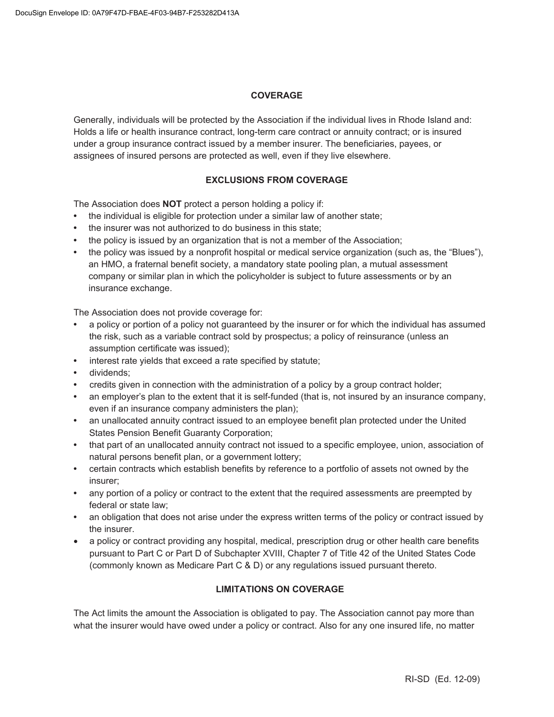#### **COVERAGE**

Generally, individuals will be protected by the Association if the individual lives in Rhode Island and: Holds a life or health insurance contract, long-term care contract or annuity contract; or is insured under a group insurance contract issued by a member insurer. The beneficiaries, payees, or assignees of insured persons are protected as well, even if they live elsewhere.

## **EXCLUSIONS FROM COVERAGE**

The Association does **NOT** protect a person holding a policy if:

- **•** the individual is eligible for protection under a similar law of another state;
- **•** the insurer was not authorized to do business in this state;
- **•** the policy is issued by an organization that is not a member of the Association;
- **•** the policy was issued by a nonprofit hospital or medical service organization (such as, the "Blues"), an HMO, a fraternal benefit society, a mandatory state pooling plan, a mutual assessment company or similar plan in which the policyholder is subject to future assessments or by an insurance exchange.

The Association does not provide coverage for:

- **•** a policy or portion of a policy not guaranteed by the insurer or for which the individual has assumed the risk, such as a variable contract sold by prospectus; a policy of reinsurance (unless an assumption certificate was issued);
- **•** interest rate yields that exceed a rate specified by statute;
- **•** dividends;
- **•** credits given in connection with the administration of a policy by a group contract holder;
- **•** an employer's plan to the extent that it is self-funded (that is, not insured by an insurance company, even if an insurance company administers the plan);
- **•** an unallocated annuity contract issued to an employee benefit plan protected under the United States Pension Benefit Guaranty Corporation;
- **•** that part of an unallocated annuity contract not issued to a specific employee, union, association of natural persons benefit plan, or a government lottery;
- **•** certain contracts which establish benefits by reference to a portfolio of assets not owned by the insurer;
- **•** any portion of a policy or contract to the extent that the required assessments are preempted by federal or state law;
- **•** an obligation that does not arise under the express written terms of the policy or contract issued by the insurer.
- a policy or contract providing any hospital, medical, prescription drug or other health care benefits pursuant to Part C or Part D of Subchapter XVIII, Chapter 7 of Title 42 of the United States Code (commonly known as Medicare Part C & D) or any regulations issued pursuant thereto.

# **LIMITATIONS ON COVERAGE**

The Act limits the amount the Association is obligated to pay. The Association cannot pay more than what the insurer would have owed under a policy or contract. Also for any one insured life, no matter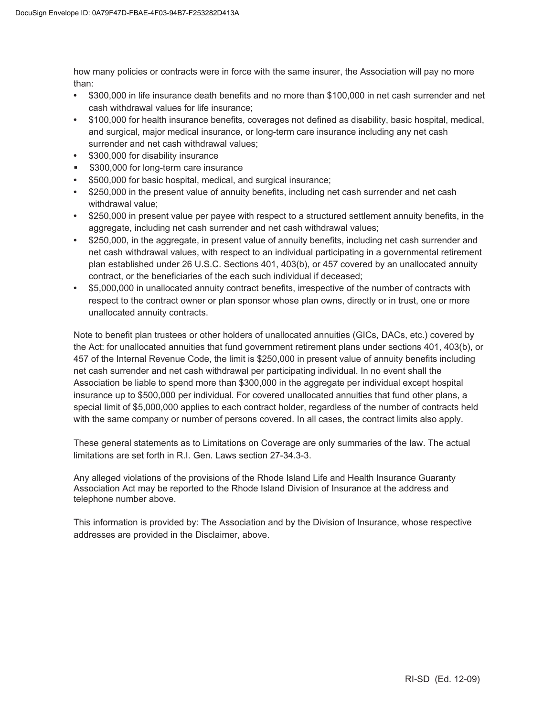how many policies or contracts were in force with the same insurer, the Association will pay no more than:

- **•** \$300,000 in life insurance death benefits and no more than \$100,000 in net cash surrender and net cash withdrawal values for life insurance;
- **•** \$100,000 for health insurance benefits, coverages not defined as disability, basic hospital, medical, and surgical, major medical insurance, or long-term care insurance including any net cash surrender and net cash withdrawal values;
- **•** \$300,000 for disability insurance
- **\$300,000 for long-term care insurance**
- **•** \$500,000 for basic hospital, medical, and surgical insurance;
- **•** \$250,000 in the present value of annuity benefits, including net cash surrender and net cash withdrawal value;
- **•** \$250,000 in present value per payee with respect to a structured settlement annuity benefits, in the aggregate, including net cash surrender and net cash withdrawal values;
- **•** \$250,000, in the aggregate, in present value of annuity benefits, including net cash surrender and net cash withdrawal values, with respect to an individual participating in a governmental retirement plan established under 26 U.S.C. Sections 401, 403(b), or 457 covered by an unallocated annuity contract, or the beneficiaries of the each such individual if deceased;
- **•** \$5,000,000 in unallocated annuity contract benefits, irrespective of the number of contracts with respect to the contract owner or plan sponsor whose plan owns, directly or in trust, one or more unallocated annuity contracts.

Note to benefit plan trustees or other holders of unallocated annuities (GICs, DACs, etc.) covered by the Act: for unallocated annuities that fund government retirement plans under sections 401, 403(b), or 457 of the Internal Revenue Code, the limit is \$250,000 in present value of annuity benefits including net cash surrender and net cash withdrawal per participating individual. In no event shall the Association be liable to spend more than \$300,000 in the aggregate per individual except hospital insurance up to \$500,000 per individual. For covered unallocated annuities that fund other plans, a special limit of \$5,000,000 applies to each contract holder, regardless of the number of contracts held with the same company or number of persons covered. In all cases, the contract limits also apply.

These general statements as to Limitations on Coverage are only summaries of the law. The actual limitations are set forth in R.I. Gen. Laws section 27-34.3-3.

Any alleged violations of the provisions of the Rhode Island Life and Health Insurance Guaranty Association Act may be reported to the Rhode Island Division of Insurance at the address and telephone number above.

This information is provided by: The Association and by the Division of Insurance, whose respective addresses are provided in the Disclaimer, above.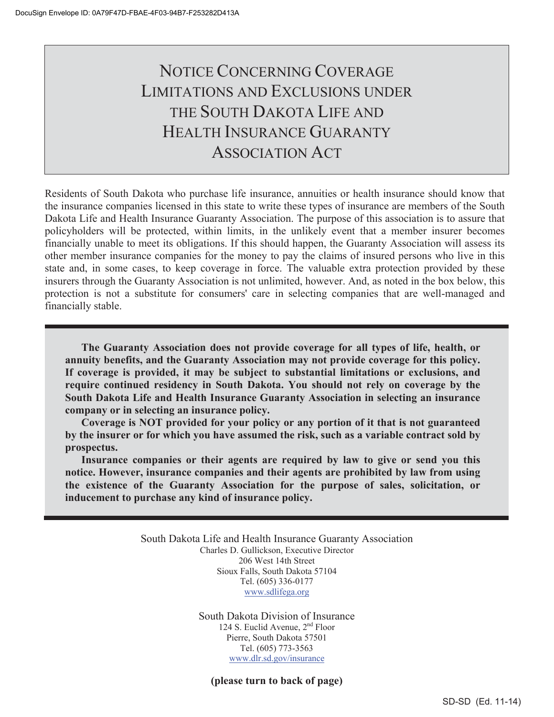# NOTICE CONCERNING COVERAGE LIMITATIONS AND EXCLUSIONS UNDER THE SOUTH DAKOTA LIFE AND HEALTH INSURANCE GUARANTY ASSOCIATION ACT

Residents of South Dakota who purchase life insurance, annuities or health insurance should know that the insurance companies licensed in this state to write these types of insurance are members of the South Dakota Life and Health Insurance Guaranty Association. The purpose of this association is to assure that policyholders will be protected, within limits, in the unlikely event that a member insurer becomes financially unable to meet its obligations. If this should happen, the Guaranty Association will assess its other member insurance companies for the money to pay the claims of insured persons who live in this state and, in some cases, to keep coverage in force. The valuable extra protection provided by these insurers through the Guaranty Association is not unlimited, however. And, as noted in the box below, this protection is not a substitute for consumers' care in selecting companies that are well-managed and financially stable.

**The Guaranty Association does not provide coverage for all types of life, health, or annuity benefits, and the Guaranty Association may not provide coverage for this policy. If coverage is provided, it may be subject to substantial limitations or exclusions, and require continued residency in South Dakota. You should not rely on coverage by the South Dakota Life and Health Insurance Guaranty Association in selecting an insurance company or in selecting an insurance policy.** 

**Coverage is NOT provided for your policy or any portion of it that is not guaranteed by the insurer or for which you have assumed the risk, such as a variable contract sold by prospectus.**

**Insurance companies or their agents are required by law to give or send you this notice. However, insurance companies and their agents are prohibited by law from using the existence of the Guaranty Association for the purpose of sales, solicitation, or inducement to purchase any kind of insurance policy.**

> South Dakota Life and Health Insurance Guaranty Association Charles D. Gullickson, Executive Director 206 West 14th Street Sioux Falls, South Dakota 57104 Tel. (605) 336-0177 www.sdlifega.org

> > South Dakota Division of Insurance 124 S. Euclid Avenue, 2nd Floor Pierre, South Dakota 57501 Tel. (605) 773-3563 www.dlr.sd.gov/insurance

**(please turn to back of page)**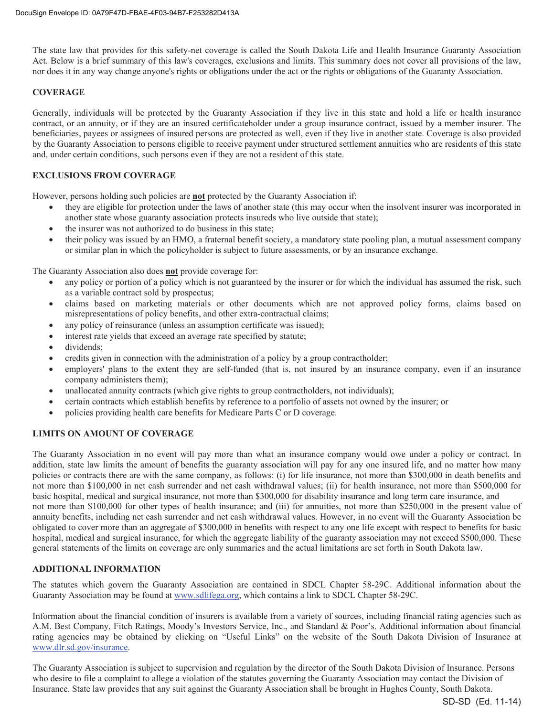The state law that provides for this safety-net coverage is called the South Dakota Life and Health Insurance Guaranty Association Act. Below is a brief summary of this law's coverages, exclusions and limits. This summary does not cover all provisions of the law, nor does it in any way change anyone's rights or obligations under the act or the rights or obligations of the Guaranty Association.

#### **COVERAGE**

Generally, individuals will be protected by the Guaranty Association if they live in this state and hold a life or health insurance contract, or an annuity, or if they are an insured certificateholder under a group insurance contract, issued by a member insurer. The beneficiaries, payees or assignees of insured persons are protected as well, even if they live in another state. Coverage is also provided by the Guaranty Association to persons eligible to receive payment under structured settlement annuities who are residents of this state and, under certain conditions, such persons even if they are not a resident of this state.

#### **EXCLUSIONS FROM COVERAGE**

However, persons holding such policies are **not** protected by the Guaranty Association if:

- x they are eligible for protection under the laws of another state (this may occur when the insolvent insurer was incorporated in another state whose guaranty association protects insureds who live outside that state);
- the insurer was not authorized to do business in this state;
- their policy was issued by an HMO, a fraternal benefit society, a mandatory state pooling plan, a mutual assessment company or similar plan in which the policyholder is subject to future assessments, or by an insurance exchange.

The Guaranty Association also does **not** provide coverage for:

- any policy or portion of a policy which is not guaranteed by the insurer or for which the individual has assumed the risk, such as a variable contract sold by prospectus;
- claims based on marketing materials or other documents which are not approved policy forms, claims based on misrepresentations of policy benefits, and other extra-contractual claims;
- any policy of reinsurance (unless an assumption certificate was issued);
- interest rate yields that exceed an average rate specified by statute;
- dividends;
- credits given in connection with the administration of a policy by a group contractholder;
- employers' plans to the extent they are self-funded (that is, not insured by an insurance company, even if an insurance company administers them);
- unallocated annuity contracts (which give rights to group contractholders, not individuals);
- certain contracts which establish benefits by reference to a portfolio of assets not owned by the insurer; or
- policies providing health care benefits for Medicare Parts C or D coverage.

#### **LIMITS ON AMOUNT OF COVERAGE**

The Guaranty Association in no event will pay more than what an insurance company would owe under a policy or contract. In addition, state law limits the amount of benefits the guaranty association will pay for any one insured life, and no matter how many policies or contracts there are with the same company, as follows: (i) for life insurance, not more than \$300,000 in death benefits and not more than \$100,000 in net cash surrender and net cash withdrawal values; (ii) for health insurance, not more than \$500,000 for basic hospital, medical and surgical insurance, not more than \$300,000 for disability insurance and long term care insurance, and not more than \$100,000 for other types of health insurance; and (iii) for annuities, not more than \$250,000 in the present value of annuity benefits, including net cash surrender and net cash withdrawal values. However, in no event will the Guaranty Association be obligated to cover more than an aggregate of \$300,000 in benefits with respect to any one life except with respect to benefits for basic hospital, medical and surgical insurance, for which the aggregate liability of the guaranty association may not exceed \$500,000. These general statements of the limits on coverage are only summaries and the actual limitations are set forth in South Dakota law.

#### **ADDITIONAL INFORMATION**

The statutes which govern the Guaranty Association are contained in SDCL Chapter 58-29C. Additional information about the Guaranty Association may be found at www.sdlifega.org, which contains a link to SDCL Chapter 58-29C.

Information about the financial condition of insurers is available from a variety of sources, including financial rating agencies such as A.M. Best Company, Fitch Ratings, Moody's Investors Service, Inc., and Standard & Poor's. Additional information about financial rating agencies may be obtained by clicking on "Useful Links" on the website of the South Dakota Division of Insurance at www.dlr.sd.gov/insurance.

The Guaranty Association is subject to supervision and regulation by the director of the South Dakota Division of Insurance. Persons who desire to file a complaint to allege a violation of the statutes governing the Guaranty Association may contact the Division of Insurance. State law provides that any suit against the Guaranty Association shall be brought in Hughes County, South Dakota.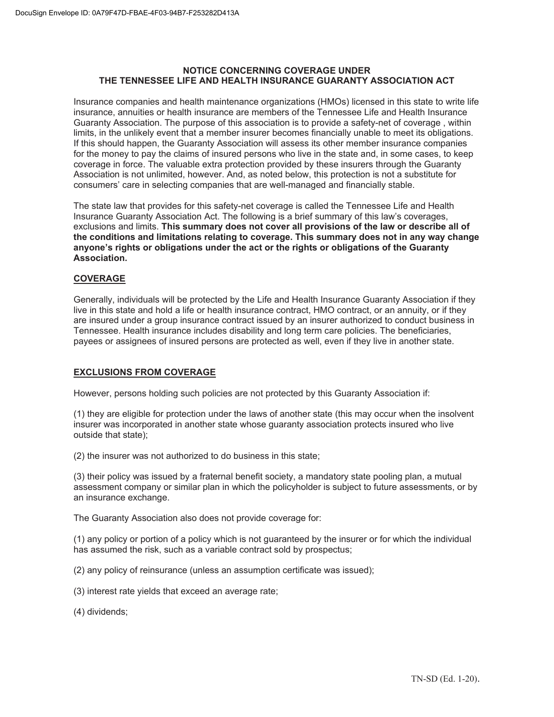#### **NOTICE CONCERNING COVERAGE UNDER THE TENNESSEE LIFE AND HEALTH INSURANCE GUARANTY ASSOCIATION ACT**

Insurance companies and health maintenance organizations (HMOs) licensed in this state to write life insurance, annuities or health insurance are members of the Tennessee Life and Health Insurance Guaranty Association. The purpose of this association is to provide a safety-net of coverage , within limits, in the unlikely event that a member insurer becomes financially unable to meet its obligations. If this should happen, the Guaranty Association will assess its other member insurance companies for the money to pay the claims of insured persons who live in the state and, in some cases, to keep coverage in force. The valuable extra protection provided by these insurers through the Guaranty Association is not unlimited, however. And, as noted below, this protection is not a substitute for consumers' care in selecting companies that are well-managed and financially stable.

The state law that provides for this safety-net coverage is called the Tennessee Life and Health Insurance Guaranty Association Act. The following is a brief summary of this law's coverages, exclusions and limits. **This summary does not cover all provisions of the law or describe all of the conditions and limitations relating to coverage. This summary does not in any way change anyone's rights or obligations under the act or the rights or obligations of the Guaranty Association.** 

# **COVERAGE**

Generally, individuals will be protected by the Life and Health Insurance Guaranty Association if they live in this state and hold a life or health insurance contract, HMO contract, or an annuity, or if they are insured under a group insurance contract issued by an insurer authorized to conduct business in Tennessee. Health insurance includes disability and long term care policies. The beneficiaries, payees or assignees of insured persons are protected as well, even if they live in another state.

# **EXCLUSIONS FROM COVERAGE**

However, persons holding such policies are not protected by this Guaranty Association if:

(1) they are eligible for protection under the laws of another state (this may occur when the insolvent insurer was incorporated in another state whose guaranty association protects insured who live outside that state);

(2) the insurer was not authorized to do business in this state;

(3) their policy was issued by a fraternal benefit society, a mandatory state pooling plan, a mutual assessment company or similar plan in which the policyholder is subject to future assessments, or by an insurance exchange.

The Guaranty Association also does not provide coverage for:

(1) any policy or portion of a policy which is not guaranteed by the insurer or for which the individual has assumed the risk, such as a variable contract sold by prospectus;

(2) any policy of reinsurance (unless an assumption certificate was issued);

- (3) interest rate yields that exceed an average rate;
- (4) dividends;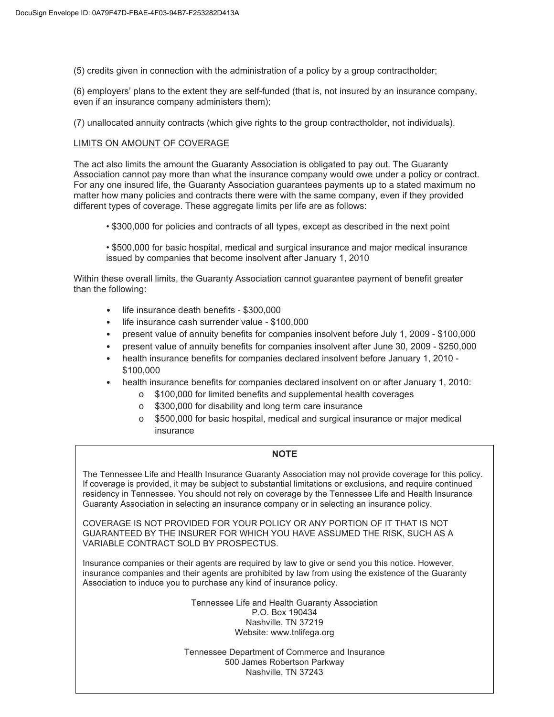(5) credits given in connection with the administration of a policy by a group contractholder;

(6) employers' plans to the extent they are self-funded (that is, not insured by an insurance company, even if an insurance company administers them);

(7) unallocated annuity contracts (which give rights to the group contractholder, not individuals).

## LIMITS ON AMOUNT OF COVERAGE

The act also limits the amount the Guaranty Association is obligated to pay out. The Guaranty Association cannot pay more than what the insurance company would owe under a policy or contract. For any one insured life, the Guaranty Association guarantees payments up to a stated maximum no matter how many policies and contracts there were with the same company, even if they provided different types of coverage. These aggregate limits per life are as follows:

• \$300,000 for policies and contracts of all types, except as described in the next point

• \$500,000 for basic hospital, medical and surgical insurance and major medical insurance issued by companies that become insolvent after January 1, 2010

Within these overall limits, the Guaranty Association cannot guarantee payment of benefit greater than the following:

- life insurance death benefits \$300,000
- life insurance cash surrender value \$100,000
- present value of annuity benefits for companies insolvent before July 1, 2009 \$100,000
- present value of annuity benefits for companies insolvent after June 30, 2009 \$250,000
- health insurance benefits for companies declared insolvent before January 1, 2010 \$100,000
- health insurance benefits for companies declared insolvent on or after January 1, 2010:
	- o \$100,000 for limited benefits and supplemental health coverages
	- o \$300,000 for disability and long term care insurance
	- o \$500,000 for basic hospital, medical and surgical insurance or major medical insurance

#### **NOTE**

The Tennessee Life and Health Insurance Guaranty Association may not provide coverage for this policy. If coverage is provided, it may be subject to substantial limitations or exclusions, and require continued residency in Tennessee. You should not rely on coverage by the Tennessee Life and Health Insurance Guaranty Association in selecting an insurance company or in selecting an insurance policy.

COVERAGE IS NOT PROVIDED FOR YOUR POLICY OR ANY PORTION OF IT THAT IS NOT GUARANTEED BY THE INSURER FOR WHICH YOU HAVE ASSUMED THE RISK, SUCH AS A VARIABLE CONTRACT SOLD BY PROSPECTUS.

Insurance companies or their agents are required by law to give or send you this notice. However, insurance companies and their agents are prohibited by law from using the existence of the Guaranty Association to induce you to purchase any kind of insurance policy.

> Tennessee Life and Health Guaranty Association P.O. Box 190434 Nashville, TN 37219 Website: www.tnlifega.org

Tennessee Department of Commerce and Insurance 500 James Robertson Parkway Nashville, TN 37243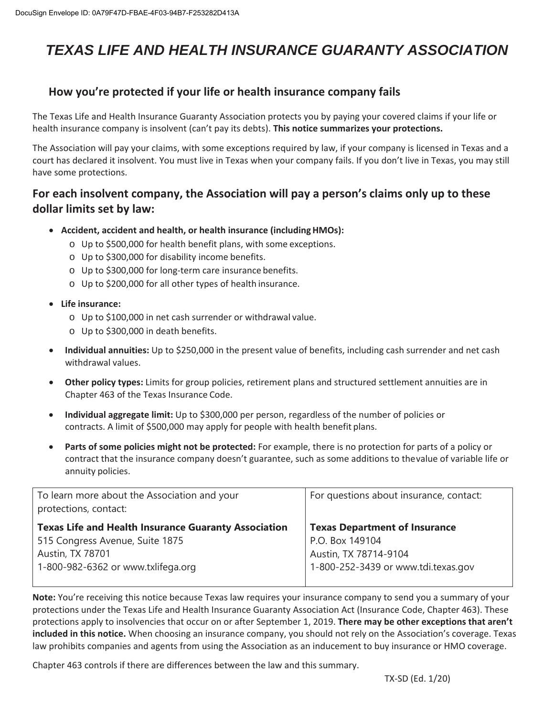# *TEXAS LIFE AND HEALTH INSURANCE GUARANTY ASSOCIATION*

# **How you're protected if your life or health insurance company fails**

The Texas Life and Health Insurance Guaranty Association protects you by paying your covered claims if your life or health insurance company is insolvent (can't pay its debts). **This notice summarizes your protections.** 

The Association will pay your claims, with some exceptions required by law, if your company is licensed in Texas and a court has declared it insolvent. You must live in Texas when your company fails. If you don't live in Texas, you may still have some protections.

# **For each insolvent company, the Association will pay a person's claims only up to these dollar limits set by law:**

- x **Accident, accident and health, or health insurance (including HMOs):** 
	- o Up to \$500,000 for health benefit plans, with some exceptions.
	- o Up to \$300,000 for disability income benefits.
	- o Up to \$300,000 for long-term care insurance benefits.
	- o Up to \$200,000 for all other types of health insurance.
- x **Life insurance:** 
	- o Up to \$100,000 in net cash surrender or withdrawal value.
	- o Up to \$300,000 in death benefits.
- **Individual annuities:** Up to \$250,000 in the present value of benefits, including cash surrender and net cash withdrawal values.
- **Other policy types:** Limits for group policies, retirement plans and structured settlement annuities are in Chapter 463 of the Texas Insurance Code.
- x **Individual aggregate limit:** Up to \$300,000 per person, regardless of the number of policies or contracts. A limit of \$500,000 may apply for people with health benefit plans.
- x **Parts of some policies might not be protected:** For example, there is no protection for parts of a policy or contract that the insurance company doesn't guarantee, such as some additions to the value of variable life or annuity policies.

| To learn more about the Association and your<br>protections, contact:                                              | For questions about insurance, contact:                                          |
|--------------------------------------------------------------------------------------------------------------------|----------------------------------------------------------------------------------|
| <b>Texas Life and Health Insurance Guaranty Association</b><br>515 Congress Avenue, Suite 1875<br>Austin, TX 78701 | <b>Texas Department of Insurance</b><br>P.O. Box 149104<br>Austin, TX 78714-9104 |
| 1-800-982-6362 or www.txlifega.org                                                                                 | 1-800-252-3439 or www.tdi.texas.gov                                              |

**Note:** You're receiving this notice because Texas law requires your insurance company to send you a summary of your protections under the Texas Life and Health Insurance Guaranty Association Act (Insurance Code, Chapter 463). These protections apply to insolvencies that occur on or after September 1, 2019. **There may be other exceptions that aren't included in this notice.** When choosing an insurance company, you should not rely on the Association's coverage. Texas law prohibits companies and agents from using the Association as an inducement to buy insurance or HMO coverage.

Chapter 463 controls if there are differences between the law and this summary.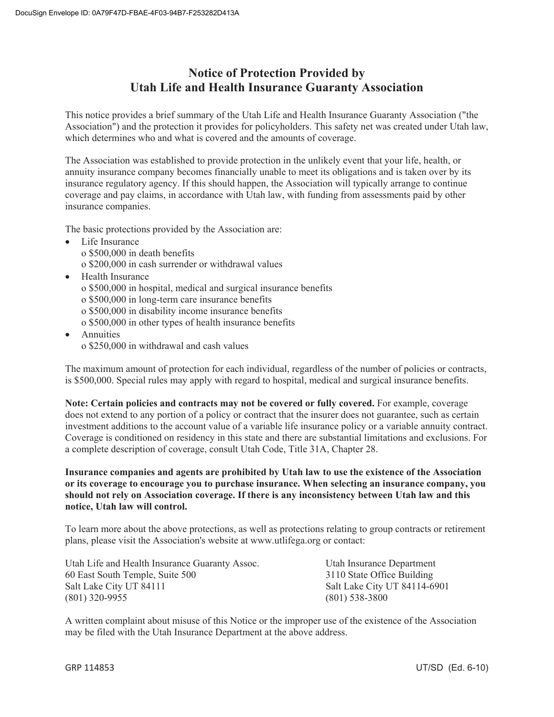# **Notice of Protection Provided by Utah Life and Health Insurance Guaranty Association**

This notice provides a brief summary of the Utah Life and Health Insurance Guaranty Association ("the Association") and the protection it provides for policyholders. This safety net was created under Utah law, which determines who and what is covered and the amounts of coverage.

The Association was established to provide protection in the unlikely event that your life, health, or annuity insurance company becomes financially unable to meet its obligations and is taken over by its insurance regulatory agency. If this should happen, the Association will typically arrange to continue coverage and pay claims, in accordance with Utah law, with funding from assessments paid by other insurance companies.

The basic protections provided by the Association are:

- Life Insurance o \$500,000 in death benefits o \$200,000 in cash surrender or withdrawal values
- Health Insurance
	- o \$500,000 in hospital, medical and surgical insurance benefits
	- o \$500,000 in long-term care insurance benefits
	- o \$500,000 in disability income insurance benefits
	- o \$500,000 in other types of health insurance benefits
- **Annuities** o \$250,000 in withdrawal and cash values

The maximum amount of protection for each individual, regardless of the number of policies or contracts, is \$500,000. Special rules may apply with regard to hospital, medical and surgical insurance benefits.

**Note: Certain policies and contracts may not be covered or fully covered.** For example, coverage does not extend to any portion of a policy or contract that the insurer does not guarantee, such as certain investment additions to the account value of a variable life insurance policy or a variable annuity contract. Coverage is conditioned on residency in this state and there are substantial limitations and exclusions. For a complete description of coverage, consult Utah Code, Title 31A, Chapter 28.

**Insurance companies and agents are prohibited by Utah law to use the existence of the Association or its coverage to encourage you to purchase insurance. When selecting an insurance company, you should not rely on Association coverage. If there is any inconsistency between Utah law and this notice, Utah law will control.** 

To learn more about the above protections, as well as protections relating to group contracts or retirement plans, please visit the Association's website at www.utlifega.org or contact:

Utah Life and Health Insurance Guaranty Assoc. Utah Insurance Department 60 East South Temple, Suite 500 3110 State Office Building Salt Lake City UT 84111 Salt Lake City UT 84114-6901 (801) 320-9955 (801) 538-3800

A written complaint about misuse of this Notice or the improper use of the existence of the Association may be filed with the Utah Insurance Department at the above address.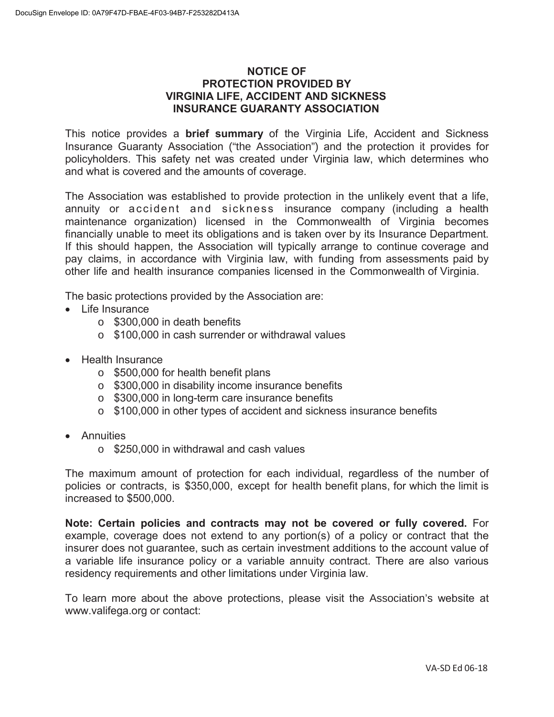# **NOTICE OF PROTECTION PROVIDED BY VIRGINIA LIFE, ACCIDENT AND SICKNESS INSURANCE GUARANTY ASSOCIATION**

This notice provides a **brief summary** of the Virginia Life, Accident and Sickness Insurance Guaranty Association ("the Association") and the protection it provides for policyholders. This safety net was created under Virginia law, which determines who and what is covered and the amounts of coverage.

The Association was established to provide protection in the unlikely event that a life, annuity or accident and sickness insurance company (including a health maintenance organization) licensed in the Commonwealth of Virginia becomes financially unable to meet its obligations and is taken over by its Insurance Department. If this should happen, the Association will typically arrange to continue coverage and pay claims, in accordance with Virginia law, with funding from assessments paid by other life and health insurance companies licensed in the Commonwealth of Virginia.

The basic protections provided by the Association are:

- Life Insurance
	- $\circ$  \$300,000 in death benefits
	- o \$100,000 in cash surrender or withdrawal values
- Health Insurance
	- o \$500,000 for health benefit plans
	- o \$300,000 in disability income insurance benefits
	- o \$300,000 in long-term care insurance benefits
	- o \$100,000 in other types of accident and sickness insurance benefits
- Annuities
	- o \$250,000 in withdrawal and cash values

The maximum amount of protection for each individual, regardless of the number of policies or contracts, is \$350,000, except for health benefit plans, for which the limit is increased to \$500,000.

**Note: Certain policies and contracts may not be covered or fully covered.** For example, coverage does not extend to any portion(s) of a policy or contract that the insurer does not guarantee, such as certain investment additions to the account value of a variable life insurance policy or a variable annuity contract. There are also various residency requirements and other limitations under Virginia law.

To learn more about the above protections, please visit the Association's website at www.valifega.org or contact: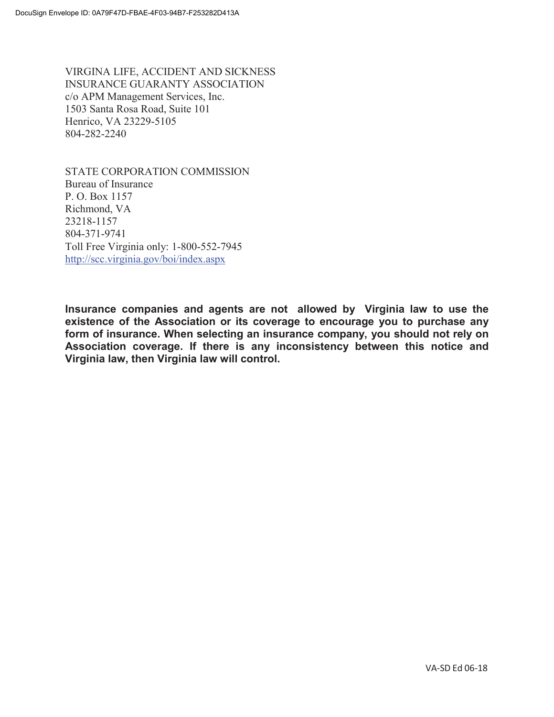VIRGINA LIFE, ACCIDENT AND SICKNESS INSURANCE GUARANTY ASSOCIATION c/o APM Management Services, Inc. 1503 Santa Rosa Road, Suite 101 Henrico, VA 23229-5105 804-282-2240

STATE CORPORATION COMMISSION Bureau of Insurance P. O. Box 1157 Richmond, VA 23218-1157 804-371-9741 Toll Free Virginia only: 1-800-552-7945 http://scc.virginia.gov/boi/index.aspx

**Insurance companies and agents are not allowed by Virginia law to use the existence of the Association or its coverage to encourage you to purchase any form of insurance. When selecting an insurance company, you should not rely on Association coverage. If there is any inconsistency between this notice and Virginia law, then Virginia law will control.**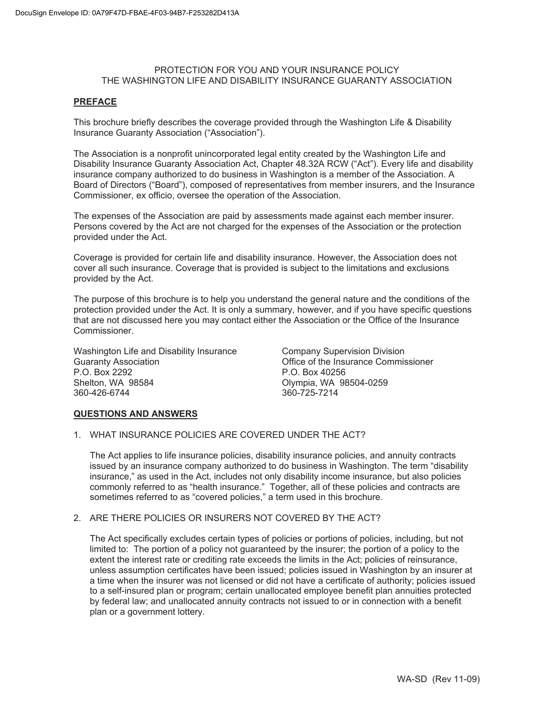## PROTECTION FOR YOU AND YOUR INSURANCE POLICY THE WASHINGTON LIFE AND DISABILITY INSURANCE GUARANTY ASSOCIATION

#### **PREFACE**

This brochure briefly describes the coverage provided through the Washington Life & Disability Insurance Guaranty Association ("Association").

The Association is a nonprofit unincorporated legal entity created by the Washington Life and Disability Insurance Guaranty Association Act, Chapter 48.32A RCW ("Act"). Every life and disability insurance company authorized to do business in Washington is a member of the Association. A Board of Directors ("Board"), composed of representatives from member insurers, and the Insurance Commissioner, ex officio, oversee the operation of the Association.

The expenses of the Association are paid by assessments made against each member insurer. Persons covered by the Act are not charged for the expenses of the Association or the protection provided under the Act.

Coverage is provided for certain life and disability insurance. However, the Association does not cover all such insurance. Coverage that is provided is subject to the limitations and exclusions provided by the Act.

The purpose of this brochure is to help you understand the general nature and the conditions of the protection provided under the Act. It is only a summary, however, and if you have specific questions that are not discussed here you may contact either the Association or the Office of the Insurance Commissioner.

Washington Life and Disability Insurance Guaranty Association P.O. Box 2292 Shelton, WA 98584 360-426-6744

Company Supervision Division Office of the Insurance Commissioner P.O. Box 40256 Olympia, WA 98504-0259 360-725-7214

#### **QUESTIONS AND ANSWERS**

1. WHAT INSURANCE POLICIES ARE COVERED UNDER THE ACT?

The Act applies to life insurance policies, disability insurance policies, and annuity contracts issued by an insurance company authorized to do business in Washington. The term "disability insurance," as used in the Act, includes not only disability income insurance, but also policies commonly referred to as "health insurance." Together, all of these policies and contracts are sometimes referred to as "covered policies," a term used in this brochure.

## 2. ARE THERE POLICIES OR INSURERS NOT COVERED BY THE ACT?

 The Act specifically excludes certain types of policies or portions of policies, including, but not limited to: The portion of a policy not guaranteed by the insurer; the portion of a policy to the extent the interest rate or crediting rate exceeds the limits in the Act; policies of reinsurance, unless assumption certificates have been issued; policies issued in Washington by an insurer at a time when the insurer was not licensed or did not have a certificate of authority; policies issued to a self-insured plan or program; certain unallocated employee benefit plan annuities protected by federal law; and unallocated annuity contracts not issued to or in connection with a benefit plan or a government lottery.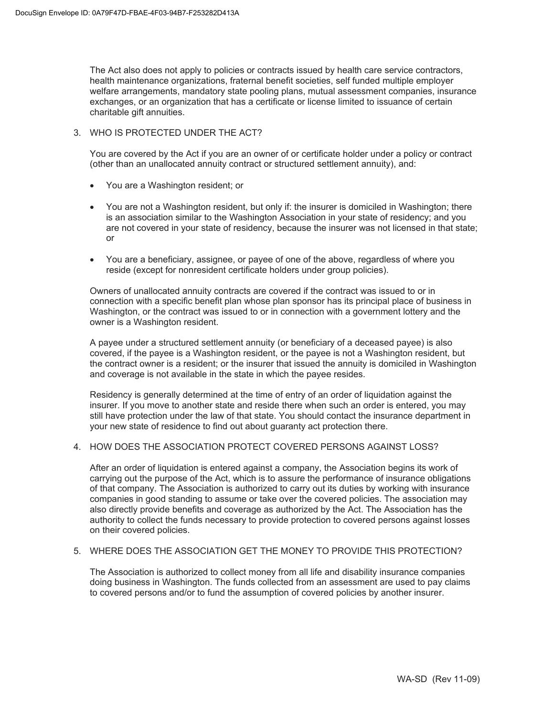The Act also does not apply to policies or contracts issued by health care service contractors, health maintenance organizations, fraternal benefit societies, self funded multiple employer welfare arrangements, mandatory state pooling plans, mutual assessment companies, insurance exchanges, or an organization that has a certificate or license limited to issuance of certain charitable gift annuities.

#### 3. WHO IS PROTECTED UNDER THE ACT?

You are covered by the Act if you are an owner of or certificate holder under a policy or contract (other than an unallocated annuity contract or structured settlement annuity), and:

- You are a Washington resident; or
- You are not a Washington resident, but only if: the insurer is domiciled in Washington; there is an association similar to the Washington Association in your state of residency; and you are not covered in your state of residency, because the insurer was not licensed in that state; or
- You are a beneficiary, assignee, or payee of one of the above, regardless of where you reside (except for nonresident certificate holders under group policies).

Owners of unallocated annuity contracts are covered if the contract was issued to or in connection with a specific benefit plan whose plan sponsor has its principal place of business in Washington, or the contract was issued to or in connection with a government lottery and the owner is a Washington resident.

A payee under a structured settlement annuity (or beneficiary of a deceased payee) is also covered, if the payee is a Washington resident, or the payee is not a Washington resident, but the contract owner is a resident; or the insurer that issued the annuity is domiciled in Washington and coverage is not available in the state in which the payee resides.

Residency is generally determined at the time of entry of an order of liquidation against the insurer. If you move to another state and reside there when such an order is entered, you may still have protection under the law of that state. You should contact the insurance department in your new state of residence to find out about guaranty act protection there.

#### 4. HOW DOES THE ASSOCIATION PROTECT COVERED PERSONS AGAINST LOSS?

After an order of liquidation is entered against a company, the Association begins its work of carrying out the purpose of the Act, which is to assure the performance of insurance obligations of that company. The Association is authorized to carry out its duties by working with insurance companies in good standing to assume or take over the covered policies. The association may also directly provide benefits and coverage as authorized by the Act. The Association has the authority to collect the funds necessary to provide protection to covered persons against losses on their covered policies.

# 5. WHERE DOES THE ASSOCIATION GET THE MONEY TO PROVIDE THIS PROTECTION?

The Association is authorized to collect money from all life and disability insurance companies doing business in Washington. The funds collected from an assessment are used to pay claims to covered persons and/or to fund the assumption of covered policies by another insurer.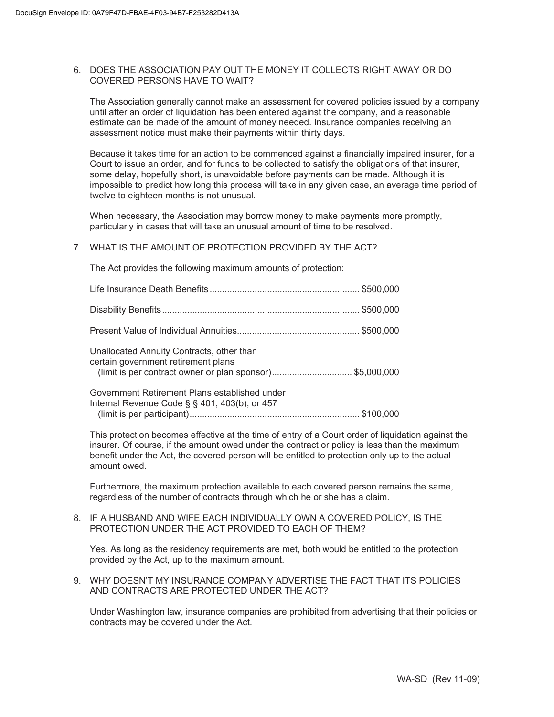#### 6. DOES THE ASSOCIATION PAY OUT THE MONEY IT COLLECTS RIGHT AWAY OR DO COVERED PERSONS HAVE TO WAIT?

The Association generally cannot make an assessment for covered policies issued by a company until after an order of liquidation has been entered against the company, and a reasonable estimate can be made of the amount of money needed. Insurance companies receiving an assessment notice must make their payments within thirty days.

Because it takes time for an action to be commenced against a financially impaired insurer, for a Court to issue an order, and for funds to be collected to satisfy the obligations of that insurer, some delay, hopefully short, is unavoidable before payments can be made. Although it is impossible to predict how long this process will take in any given case, an average time period of twelve to eighteen months is not unusual.

When necessary, the Association may borrow money to make payments more promptly, particularly in cases that will take an unusual amount of time to be resolved.

## 7. WHAT IS THE AMOUNT OF PROTECTION PROVIDED BY THE ACT?

The Act provides the following maximum amounts of protection:

| Unallocated Annuity Contracts, other than<br>certain government retirement plans<br>(limit is per contract owner or plan sponsor)\$5,000,000 |  |
|----------------------------------------------------------------------------------------------------------------------------------------------|--|
| Government Retirement Plans established under<br>Internal Revenue Code § § 401, 403(b), or 457                                               |  |

(limit is per participant) .................................................................... \$100,000

This protection becomes effective at the time of entry of a Court order of liquidation against the insurer. Of course, if the amount owed under the contract or policy is less than the maximum benefit under the Act, the covered person will be entitled to protection only up to the actual amount owed.

Furthermore, the maximum protection available to each covered person remains the same, regardless of the number of contracts through which he or she has a claim.

#### 8. IF A HUSBAND AND WIFE EACH INDIVIDUALLY OWN A COVERED POLICY, IS THE PROTECTION UNDER THE ACT PROVIDED TO EACH OF THEM?

Yes. As long as the residency requirements are met, both would be entitled to the protection provided by the Act, up to the maximum amount.

9. WHY DOESN'T MY INSURANCE COMPANY ADVERTISE THE FACT THAT ITS POLICIES AND CONTRACTS ARE PROTECTED UNDER THE ACT?

Under Washington law, insurance companies are prohibited from advertising that their policies or contracts may be covered under the Act.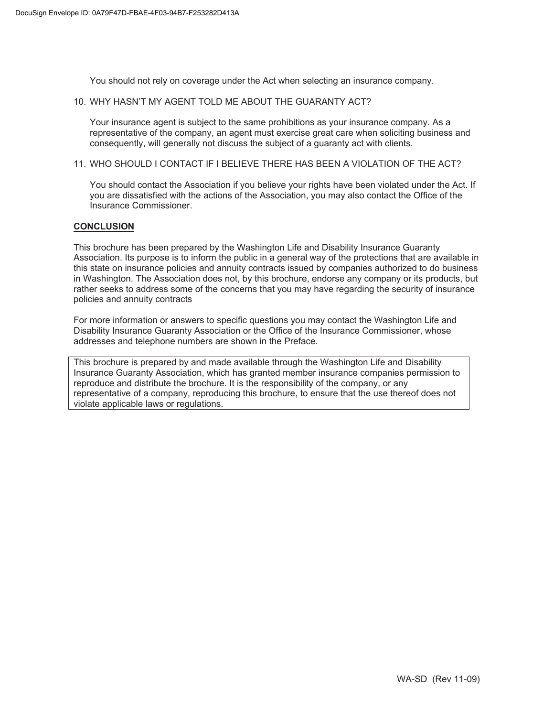You should not rely on coverage under the Act when selecting an insurance company.

#### 10. WHY HASN'T MY AGENT TOLD ME ABOUT THE GUARANTY ACT?

Your insurance agent is subject to the same prohibitions as your insurance company. As a representative of the company, an agent must exercise great care when soliciting business and consequently, will generally not discuss the subject of a guaranty act with clients.

## 11. WHO SHOULD I CONTACT IF I BELIEVE THERE HAS BEEN A VIOLATION OF THE ACT?

You should contact the Association if you believe your rights have been violated under the Act. If you are dissatisfied with the actions of the Association, you may also contact the Office of the Insurance Commissioner.

#### **CONCLUSION**

This brochure has been prepared by the Washington Life and Disability Insurance Guaranty Association. Its purpose is to inform the public in a general way of the protections that are available in this state on insurance policies and annuity contracts issued by companies authorized to do business in Washington. The Association does not, by this brochure, endorse any company or its products, but rather seeks to address some of the concerns that you may have regarding the security of insurance policies and annuity contracts

For more information or answers to specific questions you may contact the Washington Life and Disability Insurance Guaranty Association or the Office of the Insurance Commissioner, whose addresses and telephone numbers are shown in the Preface.

This brochure is prepared by and made available through the Washington Life and Disability Insurance Guaranty Association, which has granted member insurance companies permission to reproduce and distribute the brochure. It is the responsibility of the company, or any representative of a company, reproducing this brochure, to ensure that the use thereof does not violate applicable laws or regulations.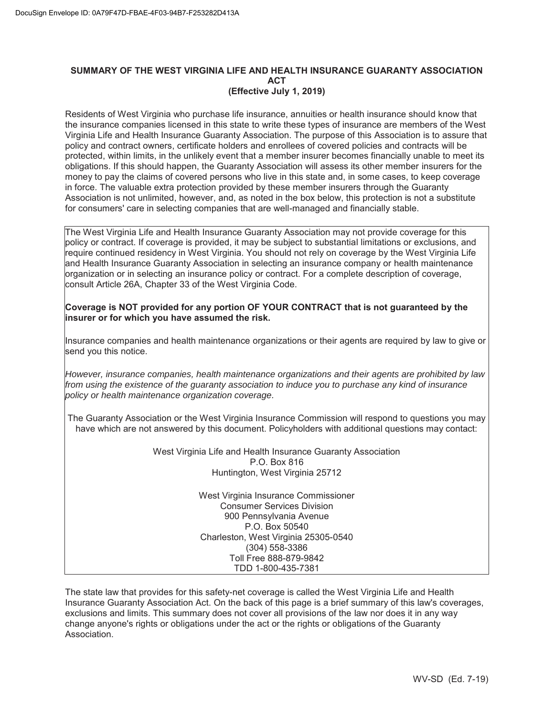#### **SUMMARY OF THE WEST VIRGINIA LIFE AND HEALTH INSURANCE GUARANTY ASSOCIATION ACT (Effective July 1, 2019)**

Residents of West Virginia who purchase life insurance, annuities or health insurance should know that the insurance companies licensed in this state to write these types of insurance are members of the West Virginia Life and Health Insurance Guaranty Association. The purpose of this Association is to assure that policy and contract owners, certificate holders and enrollees of covered policies and contracts will be protected, within limits, in the unlikely event that a member insurer becomes financially unable to meet its obligations. If this should happen, the Guaranty Association will assess its other member insurers for the money to pay the claims of covered persons who live in this state and, in some cases, to keep coverage in force. The valuable extra protection provided by these member insurers through the Guaranty Association is not unlimited, however, and, as noted in the box below, this protection is not a substitute for consumers' care in selecting companies that are well-managed and financially stable.

The West Virginia Life and Health Insurance Guaranty Association may not provide coverage for this policy or contract. If coverage is provided, it may be subject to substantial limitations or exclusions, and require continued residency in West Virginia. You should not rely on coverage by the West Virginia Life and Health Insurance Guaranty Association in selecting an insurance company or health maintenance organization or in selecting an insurance policy or contract. For a complete description of coverage, consult Article 26A, Chapter 33 of the West Virginia Code.

#### **Coverage is NOT provided for any portion OF YOUR CONTRACT that is not guaranteed by the insurer or for which you have assumed the risk.**

Insurance companies and health maintenance organizations or their agents are required by law to give or send you this notice.

*However, insurance companies, health maintenance organizations and their agents are prohibited by law from using the existence of the guaranty association to induce you to purchase any kind of insurance policy or health maintenance organization coverage.*

The Guaranty Association or the West Virginia Insurance Commission will respond to questions you may have which are not answered by this document. Policyholders with additional questions may contact:

> West Virginia Life and Health Insurance Guaranty Association P.O. Box 816 Huntington, West Virginia 25712

> > West Virginia Insurance Commissioner Consumer Services Division 900 Pennsylvania Avenue P.O. Box 50540 Charleston, West Virginia 25305-0540 (304) 558-3386 Toll Free 888-879-9842 TDD 1-800-435-7381

The state law that provides for this safety-net coverage is called the West Virginia Life and Health Insurance Guaranty Association Act. On the back of this page is a brief summary of this law's coverages, exclusions and limits. This summary does not cover all provisions of the law nor does it in any way change anyone's rights or obligations under the act or the rights or obligations of the Guaranty Association.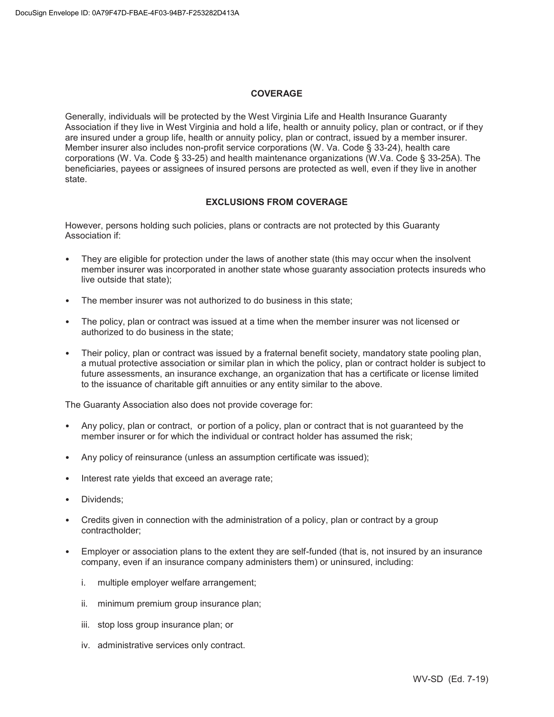#### **COVERAGE**

Generally, individuals will be protected by the West Virginia Life and Health Insurance Guaranty Association if they live in West Virginia and hold a life, health or annuity policy, plan or contract, or if they are insured under a group life, health or annuity policy, plan or contract, issued by a member insurer. Member insurer also includes non-profit service corporations (W. Va. Code § 33-24), health care corporations (W. Va. Code § 33-25) and health maintenance organizations (W.Va. Code § 33-25A). The beneficiaries, payees or assignees of insured persons are protected as well, even if they live in another state.

#### **EXCLUSIONS FROM COVERAGE**

However, persons holding such policies, plans or contracts are not protected by this Guaranty Association if:

- They are eligible for protection under the laws of another state (this may occur when the insolvent member insurer was incorporated in another state whose guaranty association protects insureds who live outside that state);
- The member insurer was not authorized to do business in this state;
- The policy, plan or contract was issued at a time when the member insurer was not licensed or authorized to do business in the state;
- Their policy, plan or contract was issued by a fraternal benefit society, mandatory state pooling plan, a mutual protective association or similar plan in which the policy, plan or contract holder is subject to future assessments, an insurance exchange, an organization that has a certificate or license limited to the issuance of charitable gift annuities or any entity similar to the above.

The Guaranty Association also does not provide coverage for:

- Any policy, plan or contract, or portion of a policy, plan or contract that is not guaranteed by the member insurer or for which the individual or contract holder has assumed the risk;
- Any policy of reinsurance (unless an assumption certificate was issued);
- Interest rate yields that exceed an average rate;
- Dividends:
- Credits given in connection with the administration of a policy, plan or contract by a group contractholder;
- Employer or association plans to the extent they are self-funded (that is, not insured by an insurance company, even if an insurance company administers them) or uninsured, including:
	- i. multiple employer welfare arrangement;
	- ii. minimum premium group insurance plan;
	- iii. stop loss group insurance plan; or
	- iv. administrative services only contract.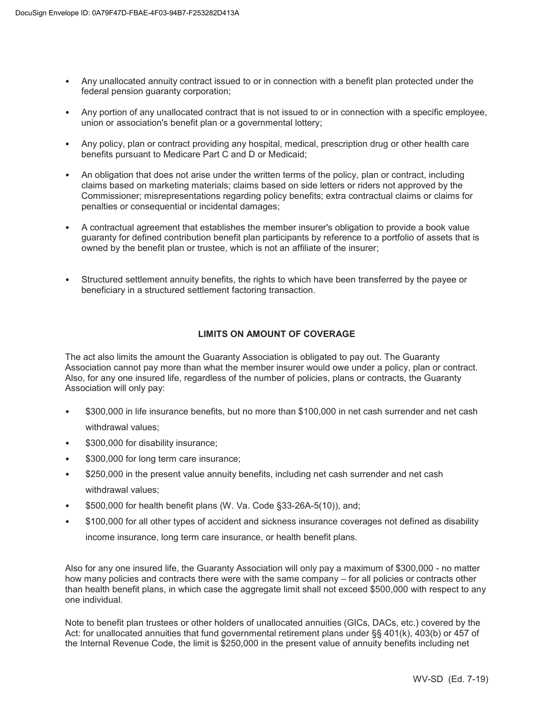- Any unallocated annuity contract issued to or in connection with a benefit plan protected under the federal pension quaranty corporation:
- Any portion of any unallocated contract that is not issued to or in connection with a specific employee, union or association's benefit plan or a governmental lottery;
- Any policy, plan or contract providing any hospital, medical, prescription drug or other health care benefits pursuant to Medicare Part C and D or Medicaid;
- An obligation that does not arise under the written terms of the policy, plan or contract, including claims based on marketing materials; claims based on side letters or riders not approved by the Commissioner; misrepresentations regarding policy benefits; extra contractual claims or claims for penalties or consequential or incidental damages;
- A contractual agreement that establishes the member insurer's obligation to provide a book value guaranty for defined contribution benefit plan participants by reference to a portfolio of assets that is owned by the benefit plan or trustee, which is not an affiliate of the insurer;
- Structured settlement annuity benefits, the rights to which have been transferred by the payee or beneficiary in a structured settlement factoring transaction.

# **LIMITS ON AMOUNT OF COVERAGE**

The act also limits the amount the Guaranty Association is obligated to pay out. The Guaranty Association cannot pay more than what the member insurer would owe under a policy, plan or contract. Also, for any one insured life, regardless of the number of policies, plans or contracts, the Guaranty Association will only pay:

- \$300,000 in life insurance benefits, but no more than \$100,000 in net cash surrender and net cash withdrawal values;
- \$300,000 for disability insurance;
- \$300,000 for long term care insurance;
- \$250,000 in the present value annuity benefits, including net cash surrender and net cash withdrawal values;
- \$500,000 for health benefit plans (W. Va. Code §33-26A-5(10)), and;
- \$100,000 for all other types of accident and sickness insurance coverages not defined as disability income insurance, long term care insurance, or health benefit plans.

Also for any one insured life, the Guaranty Association will only pay a maximum of \$300,000 - no matter how many policies and contracts there were with the same company – for all policies or contracts other than health benefit plans, in which case the aggregate limit shall not exceed \$500,000 with respect to any one individual.

Note to benefit plan trustees or other holders of unallocated annuities (GICs, DACs, etc.) covered by the Act: for unallocated annuities that fund governmental retirement plans under §§ 401(k), 403(b) or 457 of the Internal Revenue Code, the limit is \$250,000 in the present value of annuity benefits including net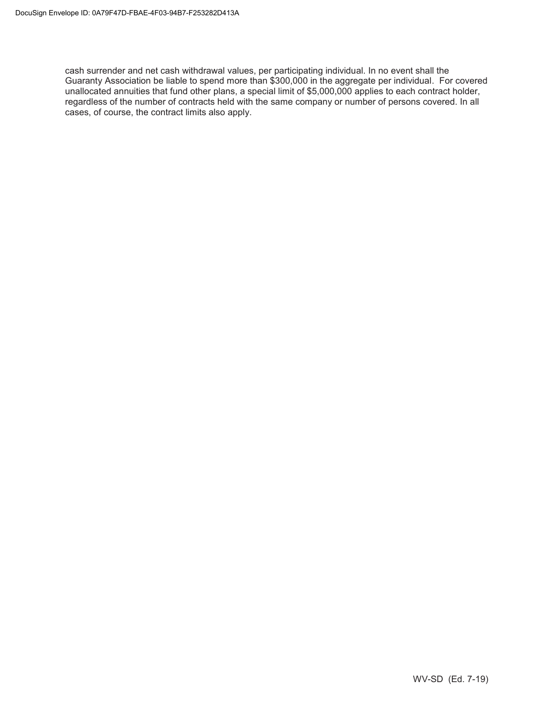cash surrender and net cash withdrawal values, per participating individual. In no event shall the Guaranty Association be liable to spend more than \$300,000 in the aggregate per individual. For covered unallocated annuities that fund other plans, a special limit of \$5,000,000 applies to each contract holder, regardless of the number of contracts held with the same company or number of persons covered. In all cases, of course, the contract limits also apply.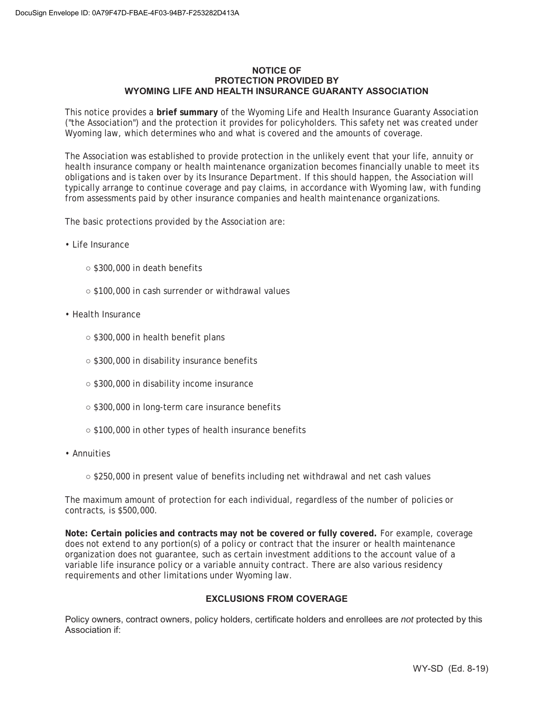#### **NOTICE OF PROTECTION PROVIDED BY WYOMING LIFE AND HEALTH INSURANCE GUARANTY ASSOCIATION**

This notice provides a **brief summary** of the Wyoming Life and Health Insurance Guaranty Association ("the Association") and the protection it provides for policyholders. This safety net was created under Wyoming law, which determines who and what is covered and the amounts of coverage.

The Association was established to provide protection in the unlikely event that your life, annuity or health insurance company or health maintenance organization becomes financially unable to meet its obligations and is taken over by its Insurance Department. If this should happen, the Association will typically arrange to continue coverage and pay claims, in accordance with Wyoming law, with funding from assessments paid by other insurance companies and health maintenance organizations.

The basic protections provided by the Association are:

- Life Insurance
	- \$300,000 in death benefits
	- \$100,000 in cash surrender or withdrawal values
- Health Insurance
	- \$300,000 in health benefit plans
	- \$300,000 in disability insurance benefits
	- \$300,000 in disability income insurance
	- \$300,000 in long-term care insurance benefits
	- \$100,000 in other types of health insurance benefits
- Annuities
	- \$250,000 in present value of benefits including net withdrawal and net cash values

The maximum amount of protection for each individual, regardless of the number of policies or contracts, is \$500,000.

**Note: Certain policies and contracts may not be covered or fully covered.** For example, coverage does not extend to any portion(s) of a policy or contract that the insurer or health maintenance organization does not guarantee, such as certain investment additions to the account value of a variable life insurance policy or a variable annuity contract. There are also various residency requirements and other limitations under Wyoming law.

# **EXCLUSIONS FROM COVERAGE**

Policy owners, contract owners, policy holders, certificate holders and enrollees are *not* protected by this Association if: